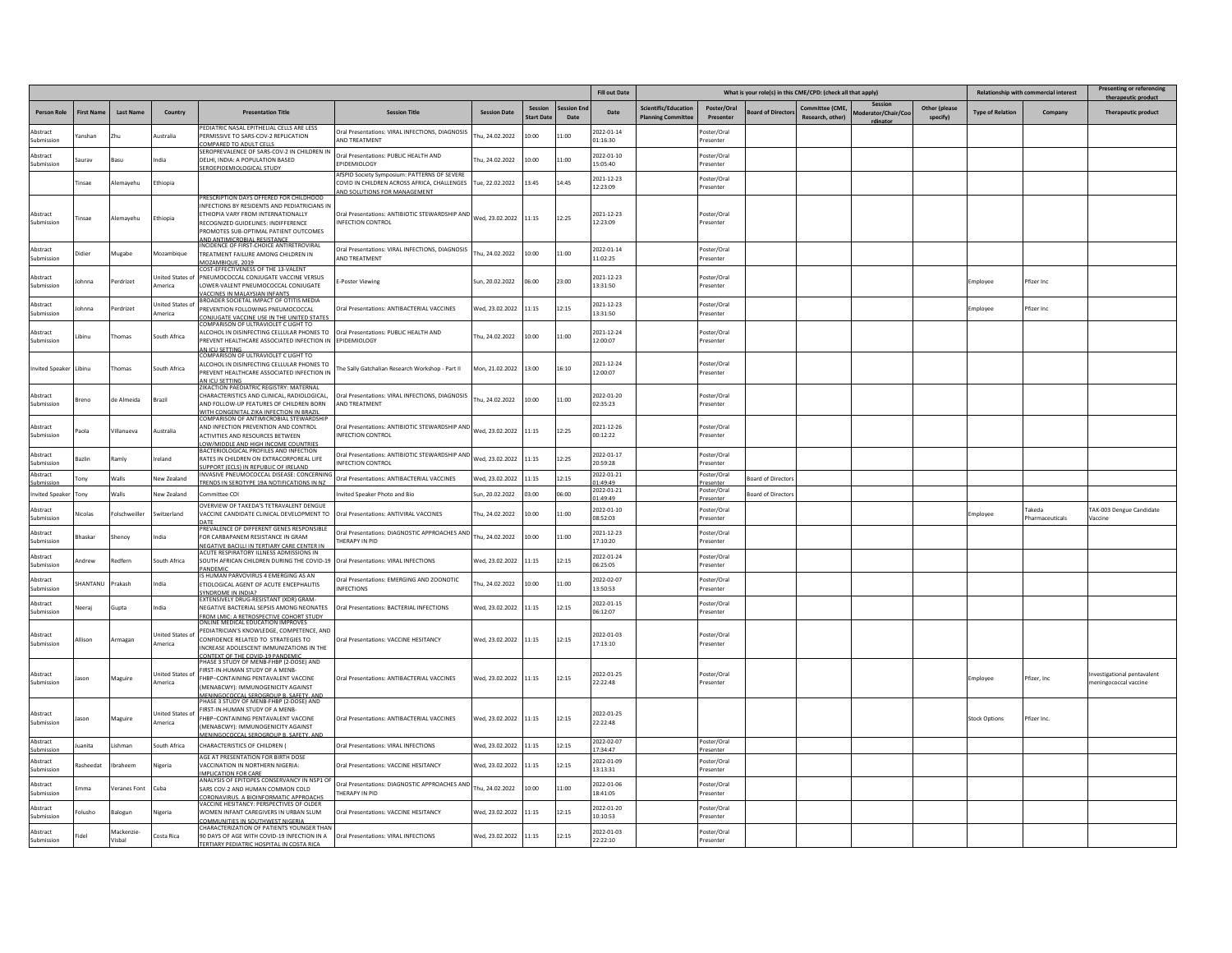|                        |                 |                     |                                   |                                                                                                                                                                                                                                                  |                                                                                                                                            |                       |                             |                   | <b>Fill out Date</b>       |                                                  |                          | What is your role(s) in this CME/CPD: (check all that apply) |                                    |                           |                           |                         | <b>Relationship with commercial interest</b> | <b>Presenting or referencing</b>                  |
|------------------------|-----------------|---------------------|-----------------------------------|--------------------------------------------------------------------------------------------------------------------------------------------------------------------------------------------------------------------------------------------------|--------------------------------------------------------------------------------------------------------------------------------------------|-----------------------|-----------------------------|-------------------|----------------------------|--------------------------------------------------|--------------------------|--------------------------------------------------------------|------------------------------------|---------------------------|---------------------------|-------------------------|----------------------------------------------|---------------------------------------------------|
| <b>Person Role</b>     | <b>First Na</b> | Last Name           | Country                           | <b>Presentation Title</b>                                                                                                                                                                                                                        | <b>Session Title</b>                                                                                                                       | <b>Session Date</b>   | Sessior<br><b>Start Dat</b> | ession En<br>Date | Date                       | Scientific/Educatio<br><b>Planning Committee</b> | Poster/Oral<br>Presenter | <b>Board of Director</b>                                     | Committee (CME,<br>Research, other | Session<br>rator/Chair/Co | Other (please<br>specify) | <b>Type of Relation</b> | Company                                      | <b>Therapeutic product</b>                        |
| Abstract<br>Suhmission | anshan          | Zhu                 | ustralia                          | PEDIATRIC NASAL EPITHELIAL CELLS ARE LESS<br>PERMISSIVE TO SARS-COV-2 REPLICATION<br>OMPARED TO ADULT CELLS                                                                                                                                      | Oral Presentations: VIRAL INFECTIONS, DIAGNOSIS<br><b>NO TREATMENT</b>                                                                     | hu, 24.02.2022        | 10:00                       | 11:00             | 2022-01-14<br>01:16:30     |                                                  | 'oster/Oral<br>Presenter |                                                              |                                    |                           |                           |                         |                                              |                                                   |
| Abstract<br>uhmissio   |                 | lasu                | dia                               | SEROPREVALENCE OF SARS-COV-2 IN CHILDREN II<br>DELHI, INDIA: A POPULATION BASED<br>SEROEPIDEMIOLOGICAL STUDY                                                                                                                                     | Oral Presentations: PUBLIC HEALTH AND<br>PIDEMIOLOGY                                                                                       | hu, 24.02.2022        | 10:00                       | 11:00             | 2022-01-10<br>15:05:40     |                                                  | Poster/Oral<br>Presenter |                                                              |                                    |                           |                           |                         |                                              |                                                   |
|                        | insae           | Alemayehu           | <b>Ethiopia</b>                   |                                                                                                                                                                                                                                                  | IfSPID Society Symposium: PATTERNS OF SEVERE<br>COVID IN CHILDREN ACROSS AFRICA, CHALLENGES Tue, 22.02.2022<br>ND SOLUTIONS FOR MANAGEMENT |                       | 13:45                       | 14:45             | 2021-12-23<br>12:23:09     |                                                  | Poster/Oral<br>Presenter |                                                              |                                    |                           |                           |                         |                                              |                                                   |
| Abstract<br>Submission | <b>Tinsae</b>   | Alemayehu           | Ethiopia                          | PRESCRIPTION DAYS OFFERED FOR CHILDHOOD<br>INFECTIONS BY RESIDENTS AND PEDIATRICIANS IN<br><b>FTHIOPIA VARY FROM INTERNATIONALLY</b><br>RECOGNIZED GUIDELINES: INDIFFERENCE<br>PROMOTES SUB-OPTIMAL PATIENT OUTCOMES                             | Oral Presentations: ANTIBIOTIC STEWARDSHIP AND<br>INFECTION CONTROL                                                                        | Wed, 23.02.2022 11:15 |                             | 12:25             | 2021-12-23<br>12:23:09     |                                                  | Poster/Oral<br>Presenter |                                                              |                                    |                           |                           |                         |                                              |                                                   |
| Abstract<br>Suhmission |                 | Mugabe              |                                   | AND ANTIMICROBIAL RESISTANCE<br>INCIDENCE OF FIRST-CHOICE ANTIRETROVIRAL<br>TREATMENT FAILURE AMONG CHILDREN IN                                                                                                                                  | Oral Presentations: VIRAL INFECTIONS, DIAGNOSIS<br>AND TREATMENT                                                                           | hu, 24.02.2022        | 10:00                       | 11:00             | 2022-01-14<br>11:02:25     |                                                  | Poster/Oral<br>Presenter |                                                              |                                    |                           |                           |                         |                                              |                                                   |
| Abstract<br>Submission | ohnna           | Perdrizet           | nited States o<br>merica          | MOZAMBIQUE, 2019<br>COST-EFFECTIVENESS OF THE 13-VALENT<br>PNEUMOCOCCAL CONJUGATE VACCINE VERSUS<br>LOWER-VALENT PNEUMOCOCCAL CONJUGATE                                                                                                          | -Poster Viewing                                                                                                                            | Sun, 20.02.2022       | 06:00                       | 23:00             | 2021-12-23<br>13:31:50     |                                                  | 'oster/Oral<br>Presenter |                                                              |                                    |                           |                           | Employee                | Pfizer Inc                                   |                                                   |
| Abstract<br>Submissior | hhnna           | Perdrizet           | <b>Jnited States o</b><br>America | VACCINES IN MALAYSIAN INFANTS<br>BROADER SOCIETAL IMPACT OF OTITIS MEDIA<br>PREVENTION FOLLOWING PNEUMOCOCCAL<br>ONJUGATE VACCINE USE IN THE UNITED STATES                                                                                       | Oral Presentations: ANTIBACTERIAL VACCINES                                                                                                 | Wed, 23.02.2022       | 11:15                       | 12:15             | 2021-12-23<br>13:31:50     |                                                  | Poster/Oral<br>Presenter |                                                              |                                    |                           |                           | <i>Employee</i>         | Pfizer Inc                                   |                                                   |
| Abstract<br>Submission | ibinu           | Thomas              | South Africa                      | COMPARISON OF ULTRAVIOLET C LIGHT TO<br>ALCOHOL IN DISINFECTING CELLULAR PHONES TO<br>PREVENT HEALTHCARE ASSOCIATED INFECTION IN<br>AN ICU SETTING                                                                                               | Oral Presentations: PUBLIC HEALTH AND<br>EPIDEMIOLOGY                                                                                      | Thu. 24.02.2022       | 10:00                       | 11:00             | 2021-12-24<br>12:00:07     |                                                  | Poster/Oral<br>Presenter |                                                              |                                    |                           |                           |                         |                                              |                                                   |
| wited Speake           | l ibinu         | homa:               | outh Africa                       | COMPARISON OF ULTRAVIOLET C LIGHT TO<br>ALCOHOL IN DISINFECTING CELLULAR PHONES TO<br>PREVENT HEALTHCARE ASSOCIATED INFECTION IN<br>AN ICU SETTING                                                                                               | The Sally Gatchalian Research Workshop - Part II                                                                                           | Mon, 21.02.2022       | 13:00                       | 16:10             | 2021-12-24<br>12:00:07     |                                                  | oster/Oral<br>Presenter  |                                                              |                                    |                           |                           |                         |                                              |                                                   |
| Abstract<br>Submission | reno            | de Almeida          | Brazil                            | ZIKACTION PAEDIATRIC REGISTRY: MATERNAL<br>CHARACTERISTICS AND CLINICAL, RADIOLOGICAL,<br>AND FOLLOW-UP FEATURES OF CHILDREN BORN<br>WITH CONGENITAL ZIKA INFECTION IN BRAZIL                                                                    | Oral Presentations: VIRAL INFECTIONS, DIAGNOSIS<br>AND TREATMENT                                                                           | hu, 24.02.2022        | 10:00                       | 11:00             | 2022-01-20<br>02:35:23     |                                                  | Poster/Oral<br>Presenter |                                                              |                                    |                           |                           |                         |                                              |                                                   |
| Abstract<br>ubmissior  | aola            | Villanueva          | Australia                         | COMPARISON OF ANTIMICROBIAL STEWARDSHIP<br>AND INFECTION PREVENTION AND CONTROL<br>ACTIVITIES AND RESOURCES BETWEEN<br>LOW/MIDDLE AND HIGH INCOME COUNTRIE:                                                                                      | Oral Presentations: ANTIBIOTIC STEWARDSHIP AND<br>NFECTION CONTROL                                                                         | Wed. 23.02.2022       | 11:15                       | 12:25             | 2021-12-26<br>00:12:22     |                                                  | Poster/Oral<br>resenter  |                                                              |                                    |                           |                           |                         |                                              |                                                   |
| Abstract<br>Submissior | azlir           | Ramly               | reland                            | BACTERIOLOGICAL PROFILES AND INFECTION<br>RATES IN CHILDREN ON EXTRACORPOREAL LIFE<br><b>SUPPORT (ECLS) IN REPUBLIC OF IRELAND</b>                                                                                                               | Oral Presentations: ANTIBIOTIC STEWARDSHIP AND<br>NFECTION CONTROL                                                                         | Wed, 23.02.2022       | 11:15                       | 12:25             | 2022-01-17<br>20:59:28     |                                                  | Poster/Oral<br>Presenter |                                                              |                                    |                           |                           |                         |                                              |                                                   |
| Abstract<br>Submissio  | ony             | Walls               | New Zealand                       | INVASIVE PNEUMOCOCCAL DISEASE: CONCERNING<br>TRENDS IN SEROTYPE 19A NOTIFICATIONS IN NZ                                                                                                                                                          | Oral Presentations: ANTIBACTERIAL VACCINES                                                                                                 | Wed, 23.02.2022       | 11:15                       | 12:15             | 2022-01-21<br>1.49.49      |                                                  | Poster/Oral<br>Presenter | <b>Board of Director</b>                                     |                                    |                           |                           |                         |                                              |                                                   |
| nvited Speake          | Tony            | Walls               | New Zealand                       | Committee CO                                                                                                                                                                                                                                     | nvited Speaker Photo and Bio                                                                                                               | Sun, 20.02.2022       | 03:00                       | 06:00             | 2022-01-21<br>01:49:49     |                                                  | Poster/Oral<br>Presenter | <b>Board of Directors</b>                                    |                                    |                           |                           |                         |                                              |                                                   |
| Abstract<br>Suhmission | licolas         | Folschweiller       | witzerland                        | OVERVIEW OF TAKEDA'S TETRAVALENT DENGUE<br>VACCINE CANDIDATE CLINICAL DEVELOPMENT TO<br>DATE                                                                                                                                                     | Oral Presentations: ANTIVIRAL VACCINES                                                                                                     | hu, 24.02.2022        | 10:00                       | 11:00             | 2022-01-10<br>08:52:03     |                                                  | Poster/Oral<br>Presenter |                                                              |                                    |                           |                           | <i>Employee</i>         | akeda<br>harmaceuticals                      | AK-003 Dengue Candidate<br>Vaccine                |
| Abstract<br>Suhmission | haskar          | henoy               | adia                              | PREVALENCE OF DIFFERENT GENES RESPONSIBLE<br>FOR CARBAPANEM RESISTANCE IN GRAM<br>NEGATIVE BACILLI IN TERTIARY CARE CENTER IN                                                                                                                    | Oral Presentations: DIAGNOSTIC APPROACHES AND<br><b>HERAPY IN PID</b>                                                                      | hu, 24.02.2022        | 10:00                       | 1:00              | 2021-12-23<br>17:10:20     |                                                  | Poster/Oral<br>Presenter |                                                              |                                    |                           |                           |                         |                                              |                                                   |
| Abstract<br>Submission | ndrew           | Redferr             | south Africa                      | ACUTE RESPIRATORY ILLNESS ADMISSIONS IN<br>SOUTH AFRICAN CHILDREN DURING THE COVID-19<br><b>PANDEMIC</b>                                                                                                                                         | Oral Presentations: VIRAL INFECTIONS                                                                                                       | Wed, 23.02.2022       | 11:15                       | 12:15             | 2022-01-24<br>06:25:05     |                                                  | Poster/Oral<br>Presenter |                                                              |                                    |                           |                           |                         |                                              |                                                   |
| Abstract<br>Submission | HANTANU         | Prakash             | India                             | IS HUMAN PARVOVIRUS 4 EMERGING AS AN<br>ETIOLOGICAL AGENT OF ACUTE ENCEPHALITIS<br>YNDROME IN INDIA?                                                                                                                                             | Oral Presentations: EMERGING AND ZOONOTIC<br>NFECTIONS                                                                                     | hu. 24.02.2022        | 10:00                       | 11:00             | 2022-02-07<br>13:50:53     |                                                  | Poster/Oral<br>Presenter |                                                              |                                    |                           |                           |                         |                                              |                                                   |
| Abstract<br>Submission | eraj            | Gupta               | ndia                              | EXTENSIVELY DRUG-RESISTANT (XDR) GRAM-<br>NEGATIVE BACTERIAL SEPSIS AMONG NEONATES<br>FROM LMIC: A RETROSPECTIVE COHORT STUDY                                                                                                                    | Oral Presentations: BACTERIAL INFECTIONS                                                                                                   | Wed, 23.02.2022       | 11:15                       | 12:15             | 2022-01-15<br>06:12:07     |                                                  | oster/Oral<br>Presenter  |                                                              |                                    |                           |                           |                         |                                              |                                                   |
| Abstract<br>iubmission | ison            | Armagar             | <b>Jnited States o</b><br>nerica  | ONLINE MEDICAL EDUCATION IMPROVES<br>PEDIATRICIAN'S KNOWLEDGE, COMPETENCE, AND<br>CONFIDENCE RELATED TO STRATEGIES TO<br>INCREASE ADOLESCENT IMMUNIZATIONS IN THE<br>CONTEXT OF THE COVID-19 PANDEMIC<br>PHASE 3 STUDY OF MENB-FHBP (2-DOSE) AND | Oral Presentations: VACCINE HESITANCY                                                                                                      | Wed, 23.02.2022       | 11:15                       | 12:15             | 2022-01-03<br>17:13:10     |                                                  | Poster/Oral<br>resenter  |                                                              |                                    |                           |                           |                         |                                              |                                                   |
| bstract<br>Submissior  | ason            | Maguire             | nited States o<br>nerica          | FIRST-IN-HUMAN STUDY OF A MENB-<br>FHBP-CONTAINING PENTAVALENT VACCINE<br>(MENABCWY): IMMUNOGENICITY AGAINST                                                                                                                                     | Oral Presentations: ANTIBACTERIAL VACCINES                                                                                                 | Wed. 23.02.2022 11:15 |                             | 12:15             | 2022-01-25<br>22:22:48     |                                                  | Poster/Oral<br>resenter  |                                                              |                                    |                           |                           | Employee                | Pfizer, Inc.                                 | vestigational pentavalent<br>eningococcal vaccine |
| Abstract<br>Suhmission | ason            | Maguire             | <b>Jnited States o</b><br>merica  | MENINGOCOCCAL SEROGROUP B. SAFETY. AND<br>PHASE 3 STUDY OF MENB-FHBP (2-DOSE) AND<br>FIRST-IN-HUMAN STUDY OF A MENR-<br>FHBP-CONTAINING PENTAVALENT VACCINE<br>(MENABCWY): IMMUNOGENICITY AGAINST<br>MENINGOCOCCAL SEROGROUP B. SAFETY, AND      | Oral Presentations: ANTIBACTERIAL VACCINES                                                                                                 | Wed, 23.02.2022       | 11:15                       | 12:15             | 2022-01-25<br>$22.22 - 48$ |                                                  |                          |                                                              |                                    |                           |                           | <b>Stock Options</b>    | Pfizer Inc.                                  |                                                   |
| Abstract<br>Submissio  | uanita          | ishmar              | outh Africa                       | CHARACTERISTICS OF CHILDREN                                                                                                                                                                                                                      | Oral Presentations: VIRAL INFECTIONS                                                                                                       | Wed, 23.02.2022       | 11:15                       | 12:15             | 2022-02-07<br>17:34:47     |                                                  | Poster/Oral<br>Presenter |                                                              |                                    |                           |                           |                         |                                              |                                                   |
| Abstract<br>Submissior | sheedat         | Ibraheem            | ligeria                           | AGE AT PRESENTATION FOR BIRTH DOSE<br>VACCINATION IN NORTHERN NIGERIA:<br>IMPLICATION FOR CARE                                                                                                                                                   | Oral Presentations: VACCINE HESITANCY                                                                                                      | Wed, 23.02.2022       | 11:15                       | 12:15             | 2022-01-09<br>13:13:31     |                                                  | Poster/Oral<br>Presenter |                                                              |                                    |                           |                           |                         |                                              |                                                   |
| Abstract<br>Submissior | mma             | <b>Veranes Font</b> | Cuba                              | ANALYSIS OF EPITOPES CONSERVANCY IN NSP1 OF<br>SARS COV-2 AND HUMAN COMMON COLD<br>CORONAVIRUS. A BIOINFORMATIC APPROACHS                                                                                                                        | Oral Presentations: DIAGNOSTIC APPROACHES AND<br><b>HERAPY IN PID</b>                                                                      | Thu, 24.02.2022       | 10:00                       | 11:00             | 2022-01-06<br>18:41:05     |                                                  | Poster/Oral<br>Presenter |                                                              |                                    |                           |                           |                         |                                              |                                                   |
| Abstract<br>Submission | olusho          | lalogur             |                                   | VACCINE HESITANCY: PERSPECTIVES OF OLDER<br><b>NOMEN INFANT CAREGIVERS IN URBAN SLUM</b><br>COMMUNITIES IN SOUTHWEST NIGERIA                                                                                                                     | Oral Presentations: VACCINE HESITANCY                                                                                                      | Wed, 23.02.2022       | 11:15                       | 12:15             | 2022-01-20<br>10:10:53     |                                                  | oster/Oral<br>Presenter  |                                                              |                                    |                           |                           |                         |                                              |                                                   |
| Abstract<br>Submission | idel            | Mackenzie<br>Visbal | Costa Rica                        | CHARACTERIZATION OF PATIENTS YOUNGER THAN<br>90 DAYS OF AGE WITH COVID-19 INFECTION IN A<br>TERTIARY PEDIATRIC HOSPITAL IN COSTA RICA                                                                                                            | Oral Presentations: VIRAL INFECTIONS                                                                                                       | Wed, 23.02.2022       | 11:15                       | 12:15             | 2022-01-03<br>22:22:10     |                                                  | Poster/Oral<br>Presenter |                                                              |                                    |                           |                           |                         |                                              |                                                   |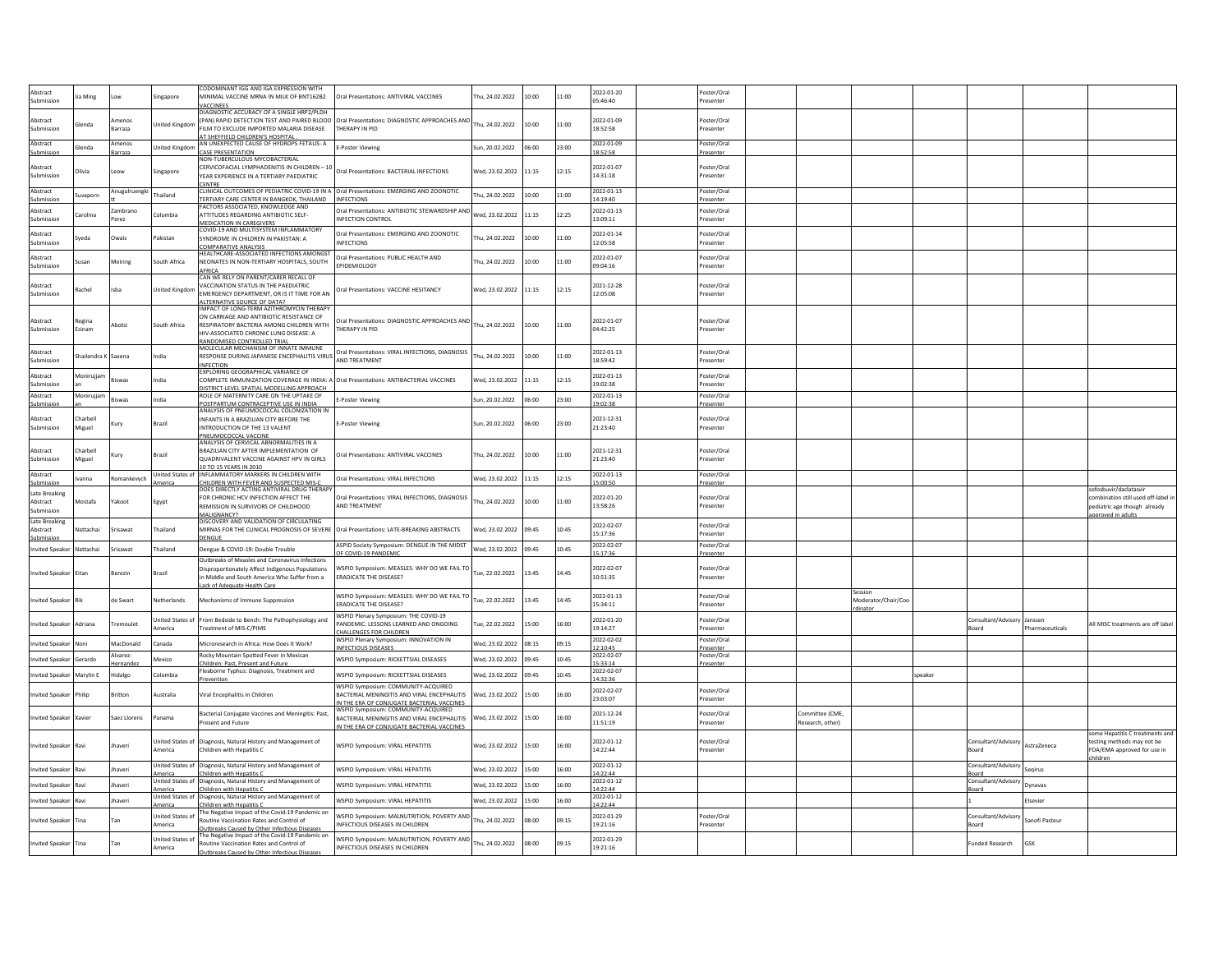| Abstract<br><b>uhmission</b> | a Ming            | ow                        | ingapore                                       | CODOMINANT IGG AND IGA EXPRESSION WITH<br><b>INIMAL VACCINE MRNA IN MILK OF BNT162B2</b>                                                     | Oral Presentations: ANTIVIRAL VACCINES                                                                        | hu, 24.02.2022        | 10:00 | 11:00 | 2022-01-20<br>05:46:40               | Poster/Oral<br>resenter  |                                     |                     |         |                              |                 |                                                                  |
|------------------------------|-------------------|---------------------------|------------------------------------------------|----------------------------------------------------------------------------------------------------------------------------------------------|---------------------------------------------------------------------------------------------------------------|-----------------------|-------|-------|--------------------------------------|--------------------------|-------------------------------------|---------------------|---------|------------------------------|-----------------|------------------------------------------------------------------|
|                              |                   |                           |                                                | VACCINEES<br>DIAGNOSTIC ACCURACY OF A SINGLE HRP2/PLDH                                                                                       |                                                                                                               |                       |       |       |                                      |                          |                                     |                     |         |                              |                 |                                                                  |
| Abstract<br>iubmission       | lend:             | <i>s</i> menos<br>Barraza | nited Kingdor                                  | ILM TO EXCLUDE IMPORTED MALARIA DISEASE                                                                                                      | (PAN) RAPID DETECTION TEST AND PAIRED BLOOD   Oral Presentations: DIAGNOSTIC APPROACHES AND<br>THERAPY IN PID | Thu, 24.02.2022       | 10:00 | 11:00 | 2022-01-09<br>18:52:58               | oster/Ora<br>resenter    |                                     |                     |         |                              |                 |                                                                  |
| Abstract                     |                   | Amenos                    |                                                | AT SHEEFIFI D CHILDREN'S HOSPITAL<br>AN UNEXPECTED CAUSE OF HYDROPS FETALIS- A                                                               |                                                                                                               |                       |       |       | 2022-01-09                           | Poster/Oral              |                                     |                     |         |                              |                 |                                                                  |
| Submission                   | lenda             | Barraza                   | nited Kingdom                                  | <b>CASE PRESENTATION</b><br>NON-TUBERCULOUS MYCOBACTERIAL                                                                                    | <b>E-Poster Viewing</b>                                                                                       | Sun, 20.02.2022       | 06:00 | 23:00 | 18:52:58                             | resenter                 |                                     |                     |         |                              |                 |                                                                  |
| Abstract                     | livia             | Leow                      | ingapore                                       | CERVICOFACIAL LYMPHADENITIS IN CHILDREN - 10                                                                                                 | Oral Presentations: BACTERIAL INFECTIONS                                                                      | Wed, 23.02.2022       | 11:15 | 12:15 | 2022-01-07                           | Poster/Oral              |                                     |                     |         |                              |                 |                                                                  |
| Submission                   |                   |                           |                                                | YEAR EXPERIENCE IN A TERTIARY PAEDIATRIC<br>CENTRE                                                                                           |                                                                                                               |                       |       |       | 14:31:18                             | resenter                 |                                     |                     |         |                              |                 |                                                                  |
| Abstract<br>Submission       | <b>Jvaporn</b>    | Anugulruengk              | ailand                                         | CLINICAL OUTCOMES OF PEDIATRIC COVID-19 IN A Oral Presentations: EMERGING AND ZOONOTIC<br>TERTIARY CARE CENTER IN BANGKOK, THAILAND          | <b>INFECTIONS</b>                                                                                             | hu. 24.02.2022        | 10:00 | 11:00 | 2022-01-13<br>4:19:40                | Poster/Oral<br>resenter  |                                     |                     |         |                              |                 |                                                                  |
| Abstract                     | arolina           | ambrano                   | olombia                                        | FACTORS ASSOCIATED. KNOWLEDGE AND<br>ATTITUDES REGARDING ANTIBIOTIC SELF-                                                                    | Oral Presentations: ANTIBIOTIC STEWARDSHIP AND                                                                | Ved. 23.02.2022       | 11:15 | 12:25 | 2022-01-13                           | oster/Ora                |                                     |                     |         |                              |                 |                                                                  |
| Submission                   |                   | Perez                     |                                                | MEDICATION IN CAREGIVERS<br>COVID-19 AND MULTISYSTEM INFLAMMATORY                                                                            | INFECTION CONTROL                                                                                             |                       |       |       | 13:09:11                             | Presenter                |                                     |                     |         |                              |                 |                                                                  |
| Abstract<br>Submission       | reda              | Owais                     | akistan                                        | SYNDROME IN CHILDREN IN PAKISTAN: A                                                                                                          | Oral Presentations: EMERGING AND ZOONOTIC<br><b>INFECTIONS</b>                                                | hu, 24.02.2022        | 10:00 | 11:00 | 2022-01-14<br>12:05:58               | Poster/Ora<br>Presenter  |                                     |                     |         |                              |                 |                                                                  |
| Abstract                     |                   |                           |                                                | COMPARATIVE ANALYSIS<br>HEALTHCARE-ASSOCIATED INFECTIONS AMONGST                                                                             | Oral Presentations: PUBLIC HEALTH AND                                                                         |                       |       |       | 2022-01-07                           | oster/Oral               |                                     |                     |         |                              |                 |                                                                  |
| Submission                   | san               | Meiring                   | south Africa                                   | NEONATES IN NON-TERTIARY HOSPITALS, SOUTH<br>AFRICA                                                                                          | EPIDEMIOLOGY                                                                                                  | hu, 24.02.2022        | 10:00 | 11:00 | 09:04:16                             | resenter                 |                                     |                     |         |                              |                 |                                                                  |
| Abstract                     |                   |                           |                                                | CAN WE RELY ON PARENT/CARER RECALL OF<br>VACCINATION STATUS IN THE PAEDIATRIC                                                                |                                                                                                               |                       |       |       | 2021-12-28                           | Poster/Oral              |                                     |                     |         |                              |                 |                                                                  |
| iubmission                   | tachel            | Isba                      | Inited Kingdor                                 | <b>EMERGENCY DEPARTMENT, OR IS IT TIME FOR AN</b>                                                                                            | Oral Presentations: VACCINE HESITANCY                                                                         | Ved. 23.02.2022       | 11:15 | 12:15 | 12:05:08                             | esenter                  |                                     |                     |         |                              |                 |                                                                  |
|                              |                   |                           |                                                | ALTERNATIVE SOURCE OF DATA?<br>IMPACT OF LONG-TERM AZITHROMYCIN THERAPY                                                                      |                                                                                                               |                       |       |       |                                      |                          |                                     |                     |         |                              |                 |                                                                  |
| Abstract<br>Submission       | tegina<br>sinam   | Abotsi                    | south Africa                                   | ON CARRIAGE AND ANTIBIOTIC RESISTANCE OF<br>RESPIRATORY BACTERIA AMONG CHILDREN WITH                                                         | Oral Presentations: DIAGNOSTIC APPROACHES AND Thu, 24.02.2022<br>THERAPY IN PID                               |                       | 10:00 | 11:00 | 2022-01-07<br>04:42:25               | Poster/Oral<br>resenter  |                                     |                     |         |                              |                 |                                                                  |
|                              |                   |                           |                                                | HIV-ASSOCIATED CHRONIC LUNG DISEASE: A<br>RANDOMISED CONTROLLED TRIAL                                                                        |                                                                                                               |                       |       |       |                                      |                          |                                     |                     |         |                              |                 |                                                                  |
| Abstract                     | hailendra K       | Saxena                    | ıdia                                           | MOLECULAR MECHANISM OF INNATE IMMUNE<br>RESPONSE DURING JAPANESE ENCEPHALITIS VIRUS                                                          | Oral Presentations: VIRAL INFECTIONS, DIAGNOSIS                                                               | hu. 24.02.2022        | 10:00 | 11:00 | 2022-01-13                           | Poster/Oral              |                                     |                     |         |                              |                 |                                                                  |
| iubmissio                    |                   |                           |                                                | <b>INFECTION</b><br>EXPLORING GEOGRAPHICAL VARIANCE OF                                                                                       | AND TREATMENT                                                                                                 |                       |       |       | 18:59:42                             | resenter                 |                                     |                     |         |                              |                 |                                                                  |
| Abstract<br>iubmission       | <b>Monirujjar</b> | <b>Biswas</b>             | India                                          | COMPLETE IMMUNIZATION COVERAGE IN INDIA: A Oral Presentations: ANTIBACTERIAL VACCINES                                                        |                                                                                                               | Ved. 23.02.2022       | 11:15 | 12:15 | 2022-01-13<br>19:02:38               | Poster/Ora<br>resenter   |                                     |                     |         |                              |                 |                                                                  |
| Abstract                     | Monirujjan        |                           |                                                | DISTRICT-LEVEL SPATIAL MODELLING APPROACH<br>ROLE OF MATERNITY CARE ON THE UPTAKE OF                                                         |                                                                                                               |                       |       |       | 2022-01-13                           | Poster/Oral              |                                     |                     |         |                              |                 |                                                                  |
| Submission                   |                   | Biswas                    | India                                          | POSTPARTUM CONTRACEPTIVE USE IN INDIA<br>ANALYSIS OF PNEUMOCOCCAL COLONIZATION IN                                                            | <b>E-Poster Viewing</b>                                                                                       | un, 20.02.2022        | 06:00 | 23:00 | 19:02:38                             | Presenter                |                                     |                     |         |                              |                 |                                                                  |
| Abstract<br>Submission       | harbell<br>Miguel | Kury                      | Brazil                                         | INFANTS IN A BRAZILIAN CITY BEFORE THE<br>INTRODUCTION OF THE 13 VALENT                                                                      | -Poster Viewing                                                                                               | sun, 20.02.2022       | 06:00 | 23:00 | 2021-12-31<br>21:23:40               | Poster/Oral<br>resenter  |                                     |                     |         |                              |                 |                                                                  |
|                              |                   |                           |                                                | PNEUMOCOCCAL VACCINE                                                                                                                         |                                                                                                               |                       |       |       |                                      |                          |                                     |                     |         |                              |                 |                                                                  |
| Abstract                     | harhell           | Kurv                      | Brazil                                         | ANALYSIS OF CERVICAL ABNORMALITIES IN A<br>BRAZILIAN CITY AFTER IMPLEMENTATION OF                                                            | Oral Presentations: ANTIVIRAL VACCINES                                                                        | hu, 24.02.2022        | 10:00 | 11:00 | 2021-12-31                           | Poster/Oral              |                                     |                     |         |                              |                 |                                                                  |
| ubmission                    | Aiguel            |                           |                                                | QUADRIVALENT VACCINE AGAINST HPV IN GIRLS<br>10 TO 15 YEARS IN 2010                                                                          |                                                                                                               |                       |       |       | 21:23:40                             | resenter                 |                                     |                     |         |                              |                 |                                                                  |
| Abstract                     |                   |                           |                                                |                                                                                                                                              |                                                                                                               |                       |       |       |                                      |                          |                                     |                     |         |                              |                 |                                                                  |
|                              | vanna             | Romankevvch               | Inited States of                               | INFLAMMATORY MARKERS IN CHILDREN WITH                                                                                                        | Oral Presentations: VIRAL INFECTIONS                                                                          | Wed. 23.02.2022       | 11:15 | 12:15 | 2022-01-13                           | oster/Oral               |                                     |                     |         |                              |                 |                                                                  |
| Submissio<br>Late Breaking   |                   |                           | nerica                                         | CHILDREN WITH FEVER AND SUSPECTED MIS-<br>DOES DIRECTLY ACTING ANTIVIRAL DRUG THERAPY                                                        |                                                                                                               |                       |       |       | 15:00:50                             | resenter                 |                                     |                     |         |                              |                 | ofosbuvir/daclatasvi                                             |
| Abstract<br>Submission       | Mostafa           | <b>Yakoot</b>             | Egypt                                          | FOR CHRONIC HCV INFECTION AFFECT THE<br>REMISSION IN SURVIVORS OF CHILDHOOD                                                                  | Oral Presentations: VIRAL INFECTIONS, DIAGNOSIS<br>AND TREATMENT                                              | hu, 24.02.2022        | 10:00 | 11:00 | 2022-01-20<br>13:58:26               | oster/Oral<br>resenter   |                                     |                     |         |                              |                 | ombination still used off-label i<br>ediatric age though already |
| Late Breaking                |                   |                           |                                                | MALIGNANCY?<br>ISCOVERY AND VALIDATION OF CIRCULATING                                                                                        |                                                                                                               |                       |       |       |                                      |                          |                                     |                     |         |                              |                 | oproved in adults                                                |
| Abstract<br>Submission       | lattachai         | Srisawat                  | Thailand                                       | MIRNAS FOR THE CLINICAL PROGNOSIS OF SEVERE Oral Presentations: LATE-BREAKING ABSTRACTS<br>DENGUE                                            |                                                                                                               | Ved, 23.02.2022       | 09:45 | 10:45 | 2022-02-07<br>15:17:36               | Poster/Oral<br>resenter  |                                     |                     |         |                              |                 |                                                                  |
| <b>Invited Speaker</b>       | Nattachai         | Srisawat                  | Thailand                                       | Dengue & COVID-19: Double Trouble                                                                                                            | ASPID Society Symposium: DENGUE IN THE MIDST                                                                  | Wed. 23.02.2022 09:45 |       | 10:45 | 2022-02-07<br>15:17:36               | Poster/Oral<br>Presenter |                                     |                     |         |                              |                 |                                                                  |
|                              |                   |                           |                                                | Outbreaks of Measles and Coronavirus Infections                                                                                              | OF COVID-19 PANDEMIC                                                                                          |                       |       |       |                                      |                          |                                     |                     |         |                              |                 |                                                                  |
| Invited Speake               | itan              | Berezin                   | Brazil                                         | Disproportionately Affect Indigenous Populations<br>in Middle and South America Who Suffer from a                                            | WSPID Symposium: MEASLES: WHY DO WE FAIL TO<br><b>FRADICATE THE DISEASE?</b>                                  | ue, 22.02.2022        | 13:45 | 14:45 | 2022-02-07<br>10:51:35               | oster/Oral<br>resenter   |                                     |                     |         |                              |                 |                                                                  |
|                              |                   |                           |                                                | ack of Adequate Health Care                                                                                                                  |                                                                                                               |                       |       |       |                                      | Poster/Oral              |                                     | Session             |         |                              |                 |                                                                  |
| nvited Speake                |                   | de Swart                  | <b>Jetherlands</b>                             | Mechanisms of Immune Suppression                                                                                                             | WSPID Symposium: MEASLES: WHY DO WE FAIL TO<br>ERADICATE THE DISEASE?                                         | ue, 22.02.2022        | 13:45 | 14:45 | 2022-01-13<br>15:34:11               | resenter                 |                                     | Moderator/Chair/Cog |         |                              |                 |                                                                  |
| Invited Speake               | Adriana           | Tremoulet                 | nited States of                                | From Bedside to Bench: The Pathophysiology and                                                                                               | WSPID Plenary Symposium: THE COVID-19<br>PANDEMIC: LESSONS LEARNED AND ONGOING                                | ue, 22.02.2022        | 15:00 | 16:00 | 2022-01-20                           | oster/Oral               |                                     |                     |         | Consultant/Advisory          | Jansser         | All MISC treatments are off labe                                 |
|                              |                   |                           | merica                                         | Treatment of MIS-C/PIMS                                                                                                                      | HALLENGES FOR CHILDREN<br>WSPID Plenary Symposium: INNOVATION IN                                              |                       |       |       | 19:14:27<br>2022-02-02               | Presenter<br>Poster/Oral |                                     |                     |         | Board                        | Pharmaceuticals |                                                                  |
| <b>Invited Speake</b>        | Noni              | MacDonald                 | Canada                                         | Microresearch in Africa: How Does It Work?                                                                                                   | NFECTIOUS DISEASES                                                                                            | Wed, 23.02.2022 08:15 |       | 09:15 | 2:10:45                              | resenter                 |                                     |                     |         |                              |                 |                                                                  |
| nvited Speake                | ierardo           | Alvarez<br>lernande       | Mexico                                         | Rocky Mountain Spotted Fever in Mexican<br>Children: Past, Present and Future                                                                | WSPID Symposium: RICKETTSIAL DISEASES                                                                         | Ved. 23.02.2022       | 09:45 | 10:45 | 2022-02-07<br>15:33:14<br>2022-02-07 | Poster/Oral<br>resenter  |                                     |                     |         |                              |                 |                                                                  |
| nvited Speake                | Marvlin E         | Hidalgo                   | Colombia                                       | Fleaborne Typhus: Diagnosis, Treatment and<br>revention                                                                                      | WSPID Symposium: RICKETTSIAL DISEASES                                                                         | Wed. 23.02.2022       | 09:45 | 10:45 | 4:32:36                              |                          |                                     |                     | speaker |                              |                 |                                                                  |
| nvited Speake                | hilip             | Britton                   | <b>Australia</b>                               | Viral Encephalitis in Children                                                                                                               | WSPID Symposium: COMMUNITY-ACQUIRED<br>BACTERIAL MENINGITIS AND VIRAL ENCEPHALITIS                            | Ved, 23.02.2022       | 15:00 | 16:00 | 2022-02-07<br>23:03:07               | Poster/Oral<br>Presenter |                                     |                     |         |                              |                 |                                                                  |
|                              |                   |                           |                                                |                                                                                                                                              | N THE ERA OF CONJUGATE BACTERIAL VACCINES<br>VSPID Symposium: COMMUNITY-ACQUIRED                              |                       |       |       |                                      |                          |                                     |                     |         |                              |                 |                                                                  |
| nvited Speake                | (avier            | Saez Llorens              | anama                                          | Bacterial Conjugate Vaccines and Meningitis: Past,<br>Present and Future                                                                     | BACTERIAL MENINGITIS AND VIRAL ENCEPHALITIS                                                                   | Ved, 23.02.2022       | 15:00 | 16:00 | 2021-12-24<br>11:51:19               | oster/Oral<br>resenter   | Committee (CME,<br>Research, other) |                     |         |                              |                 |                                                                  |
|                              |                   |                           |                                                |                                                                                                                                              | IN THE ERA OF CONJUGATE BACTERIAL VACCINES                                                                    |                       |       |       |                                      |                          |                                     |                     |         |                              |                 | ome Hepatitis C treatments and                                   |
| nvited Speake                | Ravi              | Jhaveri                   | <b>America</b>                                 | Inited States of Diagnosis, Natural History and Management of<br>Children with Hepatitis C                                                   | WSPID Symposium: VIRAL HEPATITIS                                                                              | Ved, 23.02.2022       | 15:00 | 16:00 | 2022-01-12<br>14:22:44               | oster/Oral<br>resenter   |                                     |                     |         | Consultant/Advisory<br>Board | AstraZeneca     | testing methods may not be<br>DA/EMA approved for use in         |
| <b>Invited Speake</b>        |                   | Ihaveri                   |                                                | Inited States of Diagnosis, Natural History and Management of                                                                                | WSPID Symposium: VIRAL HEPATITIS                                                                              | Wed, 23.02.2022       | 15:00 | 16:00 | 2022-01-12                           |                          |                                     |                     |         | Consultant/Advisory          | Segirus         |                                                                  |
|                              |                   | <b>Ihaveri</b>            | merica                                         | Children with Hepatitis C<br>Inited States of Diagnosis, Natural History and Management of                                                   |                                                                                                               |                       |       | 16:00 | 14:22:44<br>2022-01-12               |                          |                                     |                     |         | Board<br>Consultant/Advisory | Dynavay         |                                                                  |
| nvited Speake                |                   |                           | merica                                         | Children with Hepatitis C<br>nited States of Diagnosis, Natural History and Management of                                                    | WSPID Symposium: VIRAL HEPATITIS                                                                              | Ved, 23.02.2022       | 15:00 |       | 14:22:44<br>2022-01-12               |                          |                                     |                     |         | Board                        |                 |                                                                  |
| nvited Speake                |                   | haveri                    | merica                                         | Children with Hepatitis (<br>The Negative Impact of the Covid-19 Pandemic on                                                                 | WSPID Symposium: VIRAL HEPATITIS                                                                              | Ved, 23.02.2022       | 15:00 | 16:00 | 14:22:44                             |                          |                                     |                     |         |                              |                 |                                                                  |
| Invited Speake               | Tina              | Tan                       | nited States o<br>merica                       | <b>Routine Vaccination Rates and Control of</b>                                                                                              | <b>NSPID Symposium: MALNUTRITION, POVERTY AND</b><br>NFECTIOUS DISEASES IN CHILDREN                           | hu, 24.02.2022        | 08:00 | 09:15 | 2022-01-29<br>19:21:16               | Poster/Oral<br>resenter  |                                     |                     |         | Consultant/Advisory<br>3oard | Sanofi Pasteur  |                                                                  |
| <b>Invited Speaker</b>       | Tina              | Tan                       | nited States o<br><i><u><b>Imerica</b></u></i> | Outbreaks Caused by Other Infectious Diseases<br>The Negative Impact of the Covid-19 Pandemic on<br>Routine Vaccination Rates and Control of | WSPID Symposium: MALNUTRITION, POVERTY AND<br><b>INFECTIOUS DISEASES IN CHILDREN</b>                          | hu, 24.02.2022        | 08:00 | 09:15 | 2022-01-29<br>19:21:16               |                          |                                     |                     |         | unded Research               | GSK             |                                                                  |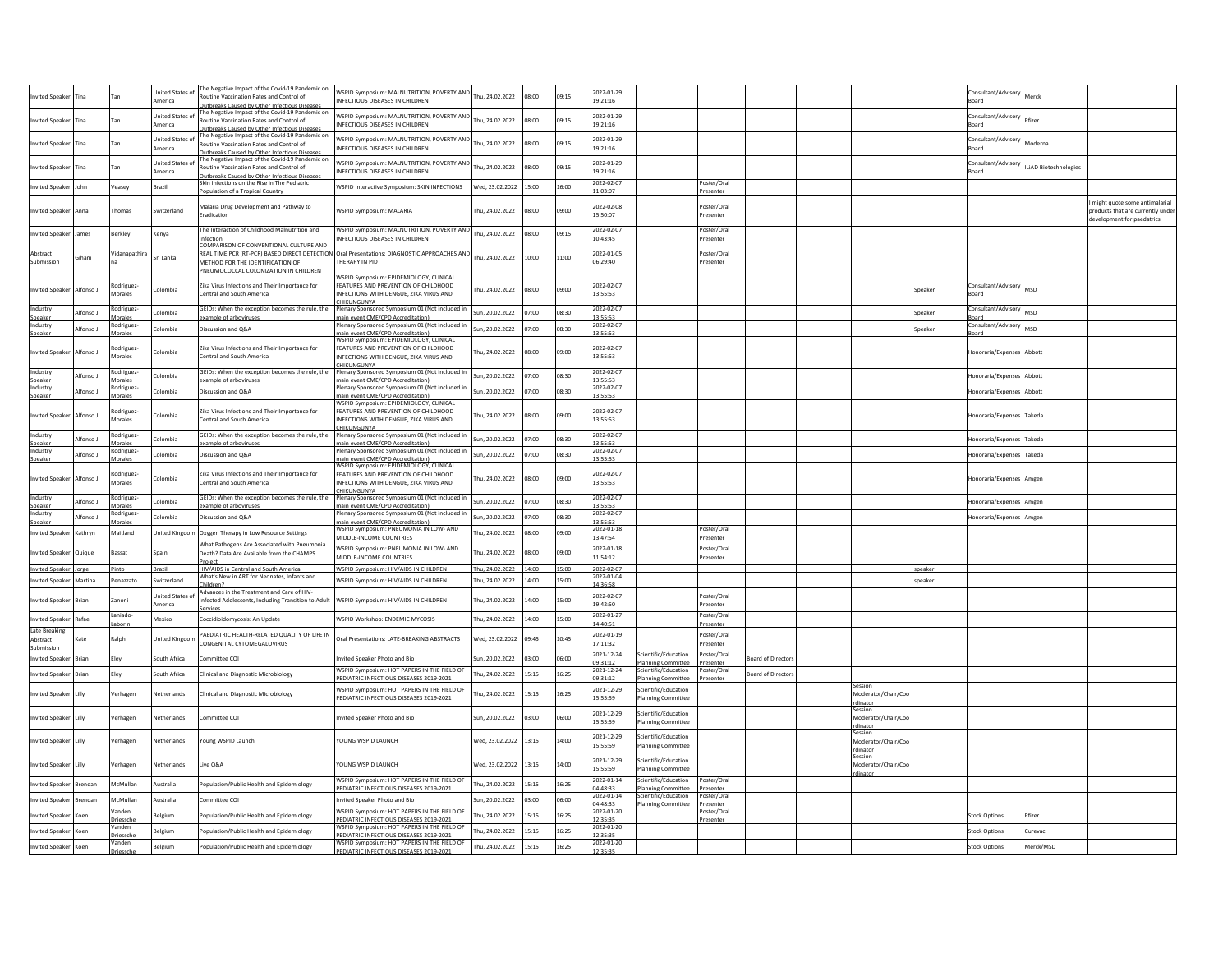|                        |            |                      |                           | The Negative Impact of the Covid-19 Pandemic on                                                  |                                                                                             |                       |       |       |                        |                                          |                         |                          |                                |         |                              |                              |                                                               |
|------------------------|------------|----------------------|---------------------------|--------------------------------------------------------------------------------------------------|---------------------------------------------------------------------------------------------|-----------------------|-------|-------|------------------------|------------------------------------------|-------------------------|--------------------------|--------------------------------|---------|------------------------------|------------------------------|---------------------------------------------------------------|
| nvited Speake          |            | Tan                  | nited States of<br>merica | Routine Vaccination Rates and Control of                                                         | WSPID Symposium: MALNUTRITION, POVERTY AND<br>INFECTIOUS DISEASES IN CHILDREN               | u, 24.02.2022         | 08:00 | 09:15 | 2022-01-29<br>19:21:16 |                                          |                         |                          |                                |         | Consultant/Advisory<br>Board | Merck                        |                                                               |
|                        |            |                      |                           | Outbreaks Caused by Other Infectious Diseases                                                    |                                                                                             |                       |       |       |                        |                                          |                         |                          |                                |         |                              |                              |                                                               |
| nvited Speake          | ïna        | Tan                  | <b>Jnited States of</b>   | The Negative Impact of the Covid-19 Pandemic on                                                  | WSPID Symposium: MALNUTRITION, POVERTY AND                                                  | hu. 24.02.2022        | 08:00 | 09:15 | 2022-01-29             |                                          |                         |                          |                                |         | Consultant/Advisory          |                              |                                                               |
|                        |            |                      | America                   | Routine Vaccination Rates and Control of<br>Outbreaks Caused by Other Infectious Diseases        | <b>INFECTIOUS DISEASES IN CHILDREN</b>                                                      |                       |       |       | 19:21:16               |                                          |                         |                          |                                |         | Board                        |                              |                                                               |
|                        |            |                      | nited States of           | The Negative Impact of the Covid-19 Pandemic on                                                  | WSPID Symposium: MALNUTRITION, POVERTY AND                                                  |                       |       |       | 2022-01-29             |                                          |                         |                          |                                |         | Consultant/Advisory          |                              |                                                               |
| nvited Speake          | lina       | Tan                  | merica                    | Routine Vaccination Rates and Control of                                                         | INFECTIOUS DISEASES IN CHILDREN                                                             | hu, 24.02.2022        | 08:00 | 09:15 | 19:21:16               |                                          |                         |                          |                                |         | Board                        | Anderna                      |                                                               |
|                        |            |                      |                           | Outbreaks Caused by Other Infectious Diseases<br>The Negative Impact of the Covid-19 Pandemic on |                                                                                             |                       |       |       |                        |                                          |                         |                          |                                |         |                              |                              |                                                               |
| Invited Speake         | ïna        | Tan                  | nited States              | Routine Vaccination Rates and Control of                                                         | WSPID Symposium: MALNUTRITION, POVERTY AND                                                  | hu. 24.02.2022        | 08:00 | 09:15 | 2022-01-29             |                                          |                         |                          |                                |         | Consultant/Advisory          | <b>ILiAD Biotechnologies</b> |                                                               |
|                        |            |                      | America                   | Outbreaks Caused by Other Infectious Disease                                                     | INFECTIOUS DISEASES IN CHILDREN                                                             |                       |       |       | 19:21:16               |                                          |                         |                          |                                |         | Board                        |                              |                                                               |
| nvited Speake          |            | Veasey               | Brazil                    | Skin Infections on the Rise in The Pediatric                                                     | WSPID Interactive Symposium: SKIN INFECTIONS                                                | Wed, 23.02.2022 15:00 |       | 16:00 | 2022-02-07             |                                          | Poster/Oral             |                          |                                |         |                              |                              |                                                               |
|                        |            |                      |                           | Population of a Tropical Country                                                                 |                                                                                             |                       |       |       | 11:03:07               |                                          | Presenter               |                          |                                |         |                              |                              |                                                               |
|                        |            |                      |                           | Malaria Drug Development and Pathway to                                                          |                                                                                             |                       |       |       | 2022-02-08             |                                          | Poster/Oral             |                          |                                |         |                              |                              | might quote some antimalarial                                 |
| Invited Speake         | Anna       | Thomas               | witzerland                | <b>Fradication</b>                                                                               | WSPID Symposium: MALARIA                                                                    | hu, 24.02.2022        | 08:00 | 09:00 | 15:50:07               |                                          | resenter                |                          |                                |         |                              |                              | roducts that are currently under<br>evelopment for paedatrics |
|                        |            |                      |                           | The Interaction of Childhood Malnutrition and                                                    | WSPID Symposium: MALNUTRITION, POVERTY AND                                                  |                       |       |       | 2022-02-07             |                                          |                         |                          |                                |         |                              |                              |                                                               |
| nvited Speake          | mes        | Berkley              | Kenya                     | nfection                                                                                         | NFECTIOUS DISEASES IN CHILDREN                                                              | hu, 24.02.2022        | 08:00 | 09:15 | 0:43:45                |                                          | Poster/Oral<br>resenter |                          |                                |         |                              |                              |                                                               |
|                        |            |                      |                           | COMPARISON OF CONVENTIONAL CULTURE AND                                                           |                                                                                             |                       |       |       |                        |                                          |                         |                          |                                |         |                              |                              |                                                               |
| Abstract               | iihani     | Vidanapathira        | Sri Lanka                 |                                                                                                  | REAL TIME PCR (RT-PCR) BASED DIRECT DETECTION Oral Presentations: DIAGNOSTIC APPROACHES AND | hu, 24.02.2022        | 10:00 | 11:00 | 2022-01-05             |                                          | Poster/Oral             |                          |                                |         |                              |                              |                                                               |
| Submission             |            |                      |                           | METHOD FOR THE IDENTIFICATION OF<br>PNEUMOCOCCAL COLONIZATION IN CHILDREN                        | THERAPY IN PID                                                                              |                       |       |       | 06:29:40               |                                          | resenter                |                          |                                |         |                              |                              |                                                               |
|                        |            |                      |                           |                                                                                                  | WSPID Symposium: EPIDEMIOLOGY, CLINICAL                                                     |                       |       |       |                        |                                          |                         |                          |                                |         |                              |                              |                                                               |
| <b>Invited Speaker</b> | Alfonso J. | todriguez            | Colombia                  | Zika Virus Infections and Their Importance for                                                   | FEATURES AND PREVENTION OF CHILDHOOD                                                        | hu. 24.02.2022        | 08:00 | 09:00 | 2022-02-07             |                                          |                         |                          |                                | Speaker | Consultant/Advisory          | MSD                          |                                                               |
|                        |            | Morales              |                           | Central and South America                                                                        | INFECTIONS WITH DENGUE, ZIKA VIRUS AND                                                      |                       |       |       | 13:55:53               |                                          |                         |                          |                                |         | oard                         |                              |                                                               |
| ndustry                |            | todriguez            |                           | GEIDs: When the exception becomes the rule, the                                                  | CHIKUNGUNYA<br>Plenary Sponsored Symposium 01 (Not included in                              |                       |       |       | 2022-02-07             |                                          |                         |                          |                                |         | Consultant/Advisory MSD      |                              |                                                               |
| Speaker                | Alfonso J. | Morales              | colombia                  | example of arboviruses                                                                           | main event CME/CPD Accreditation)                                                           | un. 20.02.2022        | 07:00 | 08:30 | 13:55:53               |                                          |                         |                          |                                | Speaker | Board                        |                              |                                                               |
| dustry                 | Alfonso J. | todriguez-           | Colombia                  | Discussion and Q&A                                                                               | Plenary Sponsored Symposium 01 (Not included in                                             | un. 20.02.2022        | 07:00 | 08:30 | 022-02-07              |                                          |                         |                          |                                | Speaker | Consultant/Advisory          | <b>MSD</b>                   |                                                               |
| Speaker                |            | <b>Aorales</b>       |                           |                                                                                                  | nain event CME/CPD Accreditation)<br>VSPID Symposium: EPIDEMIOLOGY, CLINICAL                |                       |       |       | 3:55:53                |                                          |                         |                          |                                |         | snard                        |                              |                                                               |
|                        |            | Rodriguez            |                           | Zika Virus Infections and Their Importance for                                                   | FEATURES AND PREVENTION OF CHILDHOOD                                                        |                       |       |       | 2022-02-07             |                                          |                         |                          |                                |         |                              |                              |                                                               |
| <b>Invited Speaker</b> | Alfonso J. | Morales              | colombia                  | Central and South America                                                                        | INFECTIONS WITH DENGUE, ZIKA VIRUS AND                                                      | hu, 24.02.2022        | 08:00 | 09:00 | 13:55:53               |                                          |                         |                          |                                |         | Honoraria/Expenses Abbott    |                              |                                                               |
| ndustry                |            | todriguez            |                           | GEIDs: When the exception becomes the rule, the                                                  | CHIKUNGUNYA<br>Plenary Sponsored Symposium 01 (Not included in                              |                       |       |       | 2022-02-07             |                                          |                         |                          |                                |         |                              |                              |                                                               |
| Speaker                | Alfonso J. | Morales              | olombia                   | example of arboviruses                                                                           | main event CME/CPD Accreditation)                                                           | un, 20.02.2022        | 07:00 | 08:30 | 8.5553                 |                                          |                         |                          |                                |         | Ionoraria/Expenses Abbott    |                              |                                                               |
| idustry                | Ifonso J.  | Rodriguez            | olombia                   | Discussion and Q&A                                                                               | Plenary Sponsored Symposium 01 (Not included in                                             | un, 20.02.2022        | 07:00 | 08:30 | 2022-02-07             |                                          |                         |                          |                                |         | Ionoraria/Expenses           | Abbott                       |                                                               |
| Speaker                |            | Aorales              |                           |                                                                                                  | nain event CME/CPD Accreditation)<br>WSPID Symposium: EPIDEMIOLOGY, CLINICAL                |                       |       |       | 3:55:53                |                                          |                         |                          |                                |         |                              |                              |                                                               |
|                        |            | Rodriguez            |                           | Zika Virus Infections and Their Importance for                                                   | FEATURES AND PREVENTION OF CHILDHOOD                                                        |                       |       |       | 2022-02-07             |                                          |                         |                          |                                |         |                              |                              |                                                               |
| <b>Invited Speaker</b> | Ifonso J.  | Morales              | colombia                  | Central and South America                                                                        | INFECTIONS WITH DENGUE, ZIKA VIRUS AND                                                      | hu, 24.02.2022        | 08:00 | 09:00 | 13:55:53               |                                          |                         |                          |                                |         | Ionoraria/Expenses Takeda    |                              |                                                               |
|                        |            |                      |                           |                                                                                                  | <b>HIKUNGUNYA</b>                                                                           |                       |       |       |                        |                                          |                         |                          |                                |         |                              |                              |                                                               |
| Industry<br>Speaker    | Ifonso J.  | Rodriguez<br>Morales | olombia                   | GEIDs: When the exception becomes the rule, the<br>example of arboviruses                        | Plenary Sponsored Symposium 01 (Not included in<br>nain event CME/CPD Accreditation)        | un. 20.02.2022        | 07:00 | 08:30 | 2022-02-07<br>3:55:53  |                                          |                         |                          |                                |         | Ionoraria/Expenses Takeda    |                              |                                                               |
| ndustry                |            | Rodriguez            |                           |                                                                                                  | Plenary Sponsored Symposium 01 (Not included in                                             | un. 20.02.2022        |       | 08:30 | 2022-02-07             |                                          |                         |                          |                                |         |                              |                              |                                                               |
| Speaker                | Ifonso J.  | Aorale               | olombia                   | Discussion and Q&A                                                                               | ain event CME/CPD Accreditation                                                             |                       | 07:00 |       | 3:55:53                |                                          |                         |                          |                                |         | Honoraria/Expenses Takeda    |                              |                                                               |
|                        |            | todriguez            |                           | Zika Virus Infections and Their Importance for                                                   | WSPID Symposium: EPIDEMIOLOGY, CLINICAL                                                     |                       |       |       | 2022-02-07             |                                          |                         |                          |                                |         |                              |                              |                                                               |
| <b>Invited Speake</b>  | Alfonso J. | Morales              | colombia                  | Central and South America                                                                        | FEATURES AND PREVENTION OF CHILDHOOD<br>INFECTIONS WITH DENGUE, ZIKA VIRUS AND              | Thu, 24.02.2022       | 08:00 | 09:00 | 13:55:53               |                                          |                         |                          |                                |         | Honoraria/Expenses Amgen     |                              |                                                               |
|                        |            |                      |                           |                                                                                                  | <b>CHIKUNGUNYA</b>                                                                          |                       |       |       |                        |                                          |                         |                          |                                |         |                              |                              |                                                               |
| Industry               | Alfonso J. | Rodriguez            | Colombia                  | GEIDs: When the exception becomes the rule, the                                                  | Plenary Sponsored Symposium 01 (Not included in                                             | un. 20.02.2022        | 07:00 | 08:30 | 2022-02-07             |                                          |                         |                          |                                |         | Ionoraria/Expenses Amgen     |                              |                                                               |
| Speaker                |            | Morales              |                           | example of arboviruses                                                                           | main event CME/CPD Accreditation)<br>Plenary Sponsored Symposium 01 (Not included in        |                       |       |       | 13:55:53<br>2022-02-07 |                                          |                         |                          |                                |         |                              |                              |                                                               |
|                        |            |                      |                           |                                                                                                  |                                                                                             | un. 20.02.2022        | 07:00 | 08:30 | 3:55:53                |                                          |                         |                          |                                |         | Honoraria/Expenses Amgen     |                              |                                                               |
| ndustry<br>Speake      | Alfonso L  | todriguez            | colombia                  | Discussion and O&A                                                                               |                                                                                             |                       |       |       |                        |                                          |                         |                          |                                |         |                              |                              |                                                               |
|                        |            | Morales<br>Maitland  |                           |                                                                                                  | main event CME/CPD Accreditation)<br>WSPID Symposium: PNEUMONIA IN LOW- AND                 |                       |       | 09:00 | 2022-01-18             |                                          | Poster/Oral             |                          |                                |         |                              |                              |                                                               |
| Invited Speake         | Kathrvn    |                      |                           | United Kingdom Oxygen Therapy in Low Resource Settings                                           | MIDDLE-INCOME COUNTRIES                                                                     | hu, 24.02.2022        | 08:00 |       | 13:47:54               |                                          | resenter                |                          |                                |         |                              |                              |                                                               |
|                        |            |                      | Snain                     | What Pathogens Are Associated with Pneumonia                                                     | WSPID Symposium: PNEUMONIA IN LOW- AND                                                      |                       |       |       | 2022-01-18             |                                          | Poster/Oral             |                          |                                |         |                              |                              |                                                               |
| <b>Invited Speake</b>  | Quique     | Bassat               |                           | Death? Data Are Available from the CHAMPS<br>Project                                             | MIDDLE-INCOME COUNTRIES                                                                     | hu, 24.02.2022        | 08:00 | 09:00 | 11:54:12               |                                          | resenter                |                          |                                |         |                              |                              |                                                               |
| <b>Invited Speaker</b> | Jorge      | Pinto                | Brazil                    | HIV/AIDS in Central and South America                                                            | WSPID Symposium: HIV/AIDS IN CHILDREN                                                       | Thu. 24.02.2022       | 14:00 | 15:00 | 2022-02-07             |                                          |                         |                          |                                | speaker |                              |                              |                                                               |
| <b>Invited Speaker</b> | Martina    | Penazzato            | Switzerland               | What's New in ART for Neonates, Infants and<br>Children?                                         | WSPID Symposium: HIV/AIDS IN CHILDREN                                                       | hu, 24.02.2022        | 14:00 | 15:00 | 2022-01-04<br>14:36:58 |                                          |                         |                          |                                | speaker |                              |                              |                                                               |
|                        |            |                      |                           | Advances in the Treatment and Care of HIV-                                                       |                                                                                             |                       |       |       |                        |                                          |                         |                          |                                |         |                              |                              |                                                               |
| <b>Invited Speake</b>  | trian      | Zanoni               | nited States<br>merica    | Infected Adolescents, Including Transition to Adult                                              | WSPID Symposium: HIV/AIDS IN CHILDREN                                                       | hu. 24.02.2022        | 14:00 | 15:00 | 2022-02-07             |                                          | Poster/Oral<br>resenter |                          |                                |         |                              |                              |                                                               |
|                        |            | Laniado-             |                           | Services                                                                                         |                                                                                             |                       |       |       | 19:42:50               |                                          | Poster/Oral             |                          |                                |         |                              |                              |                                                               |
| vited Speake           | tafael     | Laborin              | <b>Mexico</b>             | Coccidioidomycosis: An Update                                                                    | <b>NSPID Workshop: ENDEMIC MYCOSIS</b>                                                      | hu, 24.02.2022        | 14:00 | 15:00 | 2022-01-27<br>14:40:51 |                                          | resenter                |                          |                                |         |                              |                              |                                                               |
| Late Breaking          |            |                      |                           |                                                                                                  |                                                                                             |                       |       |       | 2022-01-19             |                                          | Poster/Oral             |                          |                                |         |                              |                              |                                                               |
| Abstract               | Kate       | Ralph                | <b>Jnited Kingdor</b>     | PAEDIATRIC HEALTH-RELATED QUALITY OF LIFE IN<br>CONGENITAL CYTOMEGALOVIRUS                       | Oral Presentations: LATE-BREAKING ABSTRACTS                                                 | Ved. 23.02.2022       | 09:45 | 10:45 | 17:11:32               |                                          | resenter                |                          |                                |         |                              |                              |                                                               |
| Submission             |            |                      |                           |                                                                                                  |                                                                                             |                       |       |       | 2021-12-24             | Scientific/Education                     | Poster/Oral             |                          |                                |         |                              |                              |                                                               |
| <b>Invited Speake</b>  | trian      | Elev                 | South Africa              | Committee COI                                                                                    | nvited Speaker Photo and Bio                                                                | un. 20.02.2022        | 03:00 | 06:00 | 09:31:12               | <b>Planning Committee</b>                | Presenter               | Board of Director        |                                |         |                              |                              |                                                               |
| <b>Invited Speaker</b> | Brian      | Eley                 | South Africa              | <b>Clinical and Diagnostic Microbiology</b>                                                      | WSPID Symposium: HOT PAPERS IN THE FIELD OF                                                 | hu. 24.02.2022        | 15:15 | 16:25 | 2021-12-24             | Scientific/Education                     | Poster/Oral             | <b>Board of Director</b> |                                |         |                              |                              |                                                               |
|                        |            |                      |                           |                                                                                                  | PEDIATRIC INFECTIOUS DISEASES 2019-2021                                                     |                       |       |       | 09:31:12               | <b>Planning Committee</b>                | Presenter               |                          | Session                        |         |                              |                              |                                                               |
| <b>Invited Speake</b>  | illy       | Verhagen             | Vetherlands               | Clinical and Diagnostic Microbiology                                                             | <b>NSPID Symposium: HOT PAPERS IN THE FIELD OF</b>                                          | hu. 24.02.2022        | 15:15 | 16:25 | 2021-12-29             | cientific/Education                      |                         |                          | Moderator/Chair/Coo            |         |                              |                              |                                                               |
|                        |            |                      |                           |                                                                                                  | PEDIATRIC INFECTIOUS DISEASES 2019-2021                                                     |                       |       |       | 15:55:59               | <b>Planning Committee</b>                |                         |                          |                                |         |                              |                              |                                                               |
|                        |            |                      |                           |                                                                                                  |                                                                                             |                       |       |       | 2021-12-29             | Scientific/Education                     |                         |                          | Session                        |         |                              |                              |                                                               |
| Invited Speake         |            | erhagen              | etherlands                | Committee COI                                                                                    | vited Speaker Photo and Bio                                                                 | un, 20.02.2022        | 03:00 | 06:00 | 15:55:59               | <b>Planning Committee</b>                |                         |                          | Moderator/Chair/Coo<br>dinator |         |                              |                              |                                                               |
|                        |            |                      |                           |                                                                                                  |                                                                                             |                       |       |       | 2021-12-29             | Scientific/Education                     |                         |                          | Session                        |         |                              |                              |                                                               |
| nvited Speake          | Lilly      | erhage               | detherlands               | Young WSPID Launch                                                                               | YOUNG WSPID LAUNCH                                                                          | Ved, 23.02.2022       | 13:15 | 14:00 | 15:55:59               | <b>Planning Committee</b>                |                         |                          | Moderator/Chair/Coo            |         |                              |                              |                                                               |
|                        |            |                      |                           |                                                                                                  |                                                                                             |                       |       |       |                        |                                          |                         |                          | rdinator                       |         |                              |                              |                                                               |
| nvited Speake          | .illv      | Verhagen             | letherlands               | Live Q&A                                                                                         | OUNG WSPID LAUNCH                                                                           | Ved, 23.02.2022       | 13:15 | 14:00 | 2021-12-29<br>15:55:59 | Scientific/Education                     |                         |                          | Moderator/Chair/Coo            |         |                              |                              |                                                               |
|                        |            |                      |                           |                                                                                                  |                                                                                             |                       |       |       |                        | <b>Planning Committee</b>                |                         |                          | rdinator                       |         |                              |                              |                                                               |
| Invited Speake         | trendan    | McMullan             | Australia                 | Population/Public Health and Epidemiology                                                        | WSPID Symposium: HOT PAPERS IN THE FIELD OF<br>PEDIATRIC INFECTIOUS DISEASES 2019-2021      | hu. 24.02.2022        | 15:15 | 16:25 | 2022-01-14<br>04:48:33 | cientific/Education<br>lanning Committee | Poster/Oral<br>resenter |                          |                                |         |                              |                              |                                                               |
| nvited Speake          | rendan     | McMullan             | Australia                 | Committee COI                                                                                    | nvited Speaker Photo and Bio                                                                | un. 20.02.2022        | 03:00 | 06:00 | 2022-01-14             | icientific/Education                     | oster/Oral              |                          |                                |         |                              |                              |                                                               |
|                        |            |                      |                           |                                                                                                  |                                                                                             |                       |       |       | 04:48:33               | anning Committee                         | resenter                |                          |                                |         |                              |                              |                                                               |
| nvited Speake          |            | Vander<br>Driessch   | delgium                   | Population/Public Health and Epidemiology                                                        | WSPID Symposium: HOT PAPERS IN THE FIELD OF<br>PEDIATRIC INFECTIOUS DISEASES 2019-2021      | hu, 24.02.2022        | 15:15 | 16:25 | 2022-01-20<br>12:35:35 |                                          | oster/Ora<br>resenter   |                          |                                |         | <b>Stock Options</b>         | Pfizer                       |                                                               |
|                        |            | Vanden               |                           |                                                                                                  | <b>NSPID Symposium: HOT PAPERS IN THE FIELD OF</b>                                          |                       |       | 16:25 | 2022-01-20             |                                          |                         |                          |                                |         |                              |                              |                                                               |
| nvited Speake          |            | Driessch             | Belgium                   | Population/Public Health and Epidemiology                                                        | PEDIATRIC INFECTIOUS DISEASES 2019-2021                                                     | hu, 24.02.2022        | 15:15 |       | 12:35:35               |                                          |                         |                          |                                |         | <b>Stock Options</b>         | Curevac                      |                                                               |
| nvited Speake          |            | Vanden<br>Driessch   | Belgium                   | Population/Public Health and Epidemiology                                                        | WSPID Symposium: HOT PAPERS IN THE FIELD OF<br>PEDIATRIC INFECTIOUS DISEASES 2019-2021      | hu, 24.02.2022        | 15:15 | 16:25 | 2022-01-20<br>12:35:35 |                                          |                         |                          |                                |         | <b>Stock Options</b>         | Merck/MSD                    |                                                               |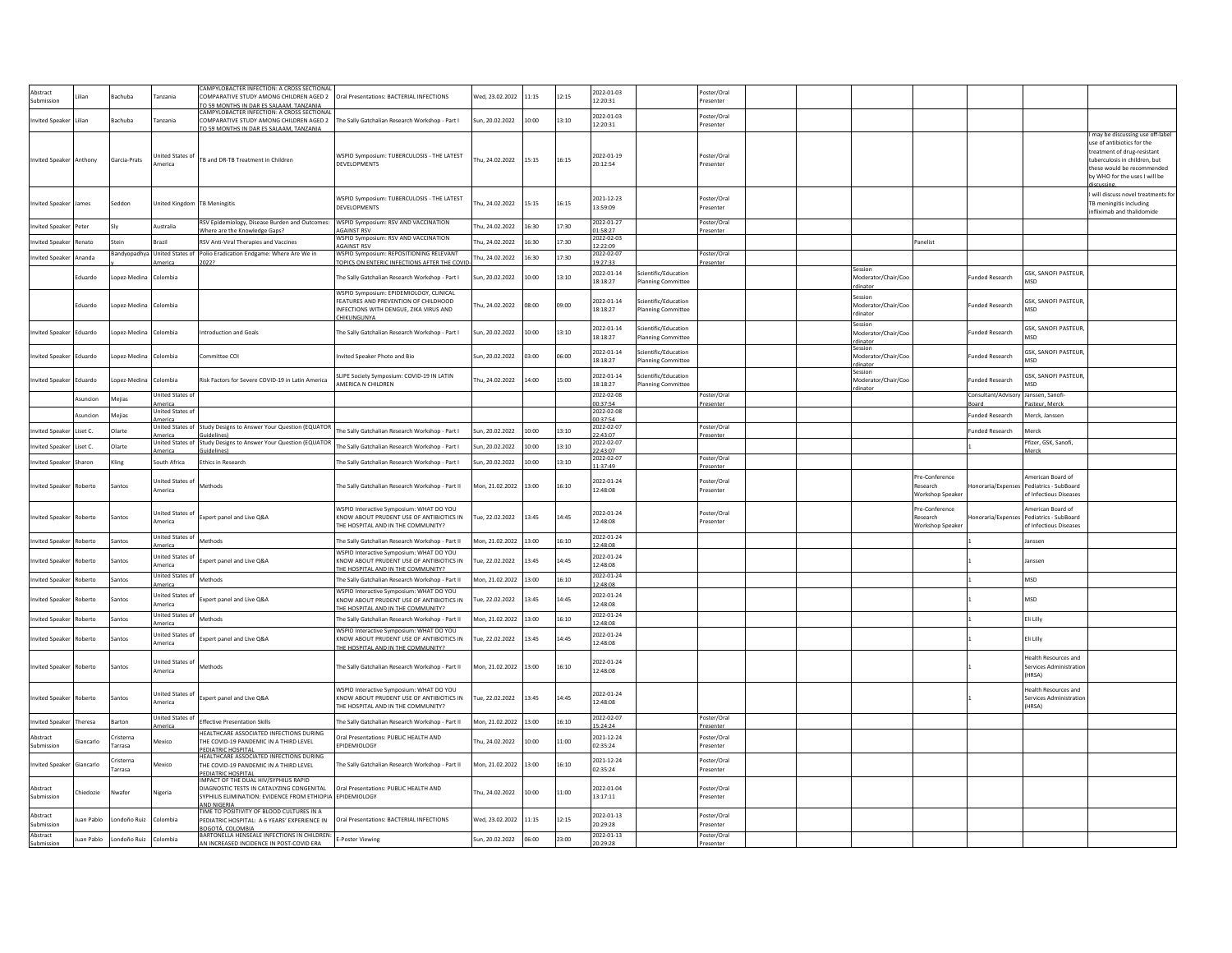| Abstract<br>Submission  |            | achuba              | anzania                           | CAMPYLOBACTER INFECTION: A CROSS SECTIONAL<br>OMPARATIVE STUDY AMONG CHILDREN AGED 2       | Oral Presentations: BACTERIAL INFECTIONS                         | Ved, 23.02.2022 | 1:15  | 12:15 | 2022-01-03<br>12:20:31 |                                                   | Poster/Oral<br>resenter  |  |                                |                             |                        |                                                            |
|-------------------------|------------|---------------------|-----------------------------------|--------------------------------------------------------------------------------------------|------------------------------------------------------------------|-----------------|-------|-------|------------------------|---------------------------------------------------|--------------------------|--|--------------------------------|-----------------------------|------------------------|------------------------------------------------------------|
|                         |            |                     |                                   | TO 59 MONTHS IN DAR ES SALAAM, TANZANIA<br><b>MPYLOBACTER INFECTION: A CROSS SECTIONAL</b> |                                                                  |                 |       |       |                        |                                                   |                          |  |                                |                             |                        |                                                            |
| <b>Invited Speaker</b>  | Lilian     | Bachuba             | anzania                           | COMPARATIVE STUDY AMONG CHILDREN AGED 2                                                    | The Sally Gatchalian Research Workshop - Part I                  | Sun, 20.02.2022 | 10:00 | 13:10 | 2022-01-03<br>12:20:31 |                                                   | Poster/Oral<br>resenter  |  |                                |                             |                        |                                                            |
|                         |            |                     |                                   | O 59 MONTHS IN DAR ES SALAAM. TANZANIA                                                     |                                                                  |                 |       |       |                        |                                                   |                          |  |                                |                             |                        | may be discussing use off-label                            |
|                         |            |                     |                                   |                                                                                            |                                                                  |                 |       |       |                        |                                                   |                          |  |                                |                             |                        | ise of antibiotics for the                                 |
|                         |            |                     | nited States o                    |                                                                                            | WSPID Symposium: TUBERCULOSIS - THE LATEST                       |                 |       |       | 2022-01-19             |                                                   | Poster/Oral              |  |                                |                             |                        | treatment of drug-resistant                                |
| Invited Speaker Anthony |            | Garcia-Prats        | America                           | TB and DR-TB Treatment in Children                                                         | <b>DEVELOPMENTS</b>                                              | Thu, 24.02.2022 | 15:15 | 16:15 | 20:12:54               |                                                   | Presenter                |  |                                |                             |                        | tuberculosis in children, but<br>hese would be recommended |
|                         |            |                     |                                   |                                                                                            |                                                                  |                 |       |       |                        |                                                   |                          |  |                                |                             |                        | by WHO for the uses I will be                              |
|                         |            |                     |                                   |                                                                                            |                                                                  |                 |       |       |                        |                                                   |                          |  |                                |                             |                        |                                                            |
|                         |            |                     |                                   |                                                                                            |                                                                  |                 |       |       |                        |                                                   |                          |  |                                |                             |                        | will discuss novel treatments for                          |
| <b>Invited Speaker</b>  | James      | Seddon              | <b>Jnited Kingdom</b>             | <b>TB Meningitis</b>                                                                       | <b>NSPID Symposium: TUBERCULOSIS - THE LATEST</b>                | hu, 24.02.2022  | 15:15 | 16:15 | 2021-12-23             |                                                   | oster/Oral               |  |                                |                             |                        | TB meningitis including                                    |
|                         |            |                     |                                   |                                                                                            | DEVELOPMENTS                                                     |                 |       |       | 13:59:09               |                                                   | resenter                 |  |                                |                             |                        | infliximab and thalidomide                                 |
|                         |            |                     |                                   | RSV Epidemiology, Disease Burden and Outcomes:                                             | WSPID Symposium: RSV AND VACCINATION                             |                 |       |       | 2022-01-27             |                                                   | Poster/Oral              |  |                                |                             |                        |                                                            |
| nvited Speaker          | Peter      |                     | Australia                         | Where are the Knowledge Gaps?                                                              | <b>AGAINST RSV</b>                                               | Thu, 24.02.2022 | 16:30 | 17:30 | 01:58:27               |                                                   | Presenter                |  |                                |                             |                        |                                                            |
| nvited Speaker          | Renato     | stein               | Brazil                            | RSV Anti-Viral Therapies and Vaccines                                                      | WSPID Symposium: RSV AND VACCINATION                             | Thu, 24.02.2022 | 16:30 | 17:30 | 2022-02-03             |                                                   |                          |  |                                | Panelist                    |                        |                                                            |
|                         |            | <b>Bandyopadhya</b> | United States of                  | Polio Eradication Endgame: Where Are We in                                                 | <b>GAINST RSV</b><br>WSPID Symposium: REPOSITIONING RELEVANT     |                 |       |       | 12:22:09<br>2022-02-07 |                                                   | Poster/Oral              |  |                                |                             |                        |                                                            |
| nvited Speaker          | Ananda     |                     | America                           | 2022?                                                                                      | <b>TOPICS ON ENTERIC INFECTIONS AFTER THE COVID</b>              | Thu, 24.02.2022 | 16:30 | 17:30 | 19:27:33               |                                                   | resenter                 |  |                                |                             |                        |                                                            |
|                         |            |                     |                                   |                                                                                            |                                                                  |                 |       |       | 2022-01-14             | Scientific/Education                              |                          |  | Session                        |                             |                        | GSK, SANOFI PASTEUR,                                       |
|                         | Eduardo    | opez-Medina         | Colombia                          |                                                                                            | The Sally Gatchalian Research Workshop - Part I                  | sun, 20.02.2022 | 10:00 | 13:10 | 18:18:27               | <b>Planning Committee</b>                         |                          |  | Moderator/Chair/Coo            |                             | unded Research         | <b>MSD</b>                                                 |
|                         |            |                     |                                   |                                                                                            | WSPID Symposium: EPIDEMIOLOGY, CLINICAL                          |                 |       |       |                        |                                                   |                          |  | dinato                         |                             |                        |                                                            |
|                         | Eduardo    | onez-Medina         | Colombia                          |                                                                                            | FEATURES AND PREVENTION OF CHILDHOOD                             | hu. 24.02.2022  | 08:00 | 09:00 | 2022-01-14             | cientific/Education                               |                          |  | Session<br>Moderator/Chair/Coc |                             | <b>Funded Research</b> | GSK, SANOFI PASTEUR                                        |
|                         |            |                     |                                   |                                                                                            | INFECTIONS WITH DENGUE, ZIKA VIRUS AND                           |                 |       |       | 18:18:27               | <b>Planning Committee</b>                         |                          |  | rdinator                       |                             |                        | MSD                                                        |
|                         |            |                     |                                   |                                                                                            | <b>HIKUNGUNYA</b>                                                |                 |       |       |                        |                                                   |                          |  | Session                        |                             |                        |                                                            |
| nvited Speaker          | Eduardo    | opez-Medina         | olombia                           | ntroduction and Goals                                                                      | The Sally Gatchalian Research Workshop - Part I                  | un, 20.02.2022  | 10:00 | 13:10 | 2022-01-14             | Scientific/Education                              |                          |  | Moderator/Chair/Coc            |                             | unded Research         | <b>GSK, SANOFI PASTEUR.</b>                                |
|                         |            |                     |                                   |                                                                                            |                                                                  |                 |       |       | 18:18:27               | lanning Committee                                 |                          |  | rdinator                       |                             |                        | MSD                                                        |
|                         |            |                     |                                   |                                                                                            |                                                                  |                 |       |       | 2022-01-14             | Scientific/Education                              |                          |  | session                        |                             |                        | GSK, SANOFI PASTEUR                                        |
| nvited Speaker          | Eduardo    | opez-Medina         | olombia                           | mmittee COI                                                                                | nvited Speaker Photo and Bio                                     | Sun. 20.02.2022 | 03:00 | 06:00 | 18:18:27               | <b>Planning Committee</b>                         |                          |  | Moderator/Chair/Coc            |                             | unded Research         | MSD                                                        |
|                         |            |                     |                                   |                                                                                            |                                                                  |                 |       |       |                        |                                                   |                          |  | rdinator<br>Session            |                             |                        |                                                            |
| wited Speaker           | Eduardo    | opez-Medina         | Colombia                          | Risk Factors for Severe COVID-19 in Latin America                                          | SLIPE Society Symposium: COVID-19 IN LATIN<br>AMERICA N CHILDREN | Thu, 24.02.2022 | 14:00 | 15:00 | 2022-01-14<br>18:18:27 | Scientific/Education<br><b>Planning Committee</b> |                          |  | Moderator/Chair/Coo            |                             | unded Research         | GSK, SANOFI PASTEUR,<br><b>ASD</b>                         |
|                         |            |                     | United States of                  |                                                                                            |                                                                  |                 |       |       | 2022-02-08             |                                                   | Poster/Oral              |  |                                |                             | Consultant/Advisory    | Janssen, Sanofi-                                           |
|                         | Asuncion   | Mejias              | America                           |                                                                                            |                                                                  |                 |       |       | 00:37:54               |                                                   | resente                  |  |                                |                             | loard                  | asteur, Merch                                              |
|                         | Asuncion   | Meijas              | Inited States of                  |                                                                                            |                                                                  |                 |       |       | 2022-02-08             |                                                   |                          |  |                                |                             | <b>Funded Research</b> | Merck, Janssen                                             |
|                         |            |                     | America                           |                                                                                            |                                                                  |                 |       |       | 00:37:54               |                                                   |                          |  |                                |                             |                        |                                                            |
| nvited Speaker          | Liset C.   | Olarte              | <b>Jnited States o</b><br>merica  | Study Designs to Answer Your Question (EQUATOR<br>suidelines)                              | The Sally Gatchalian Research Workshop - Part I                  | Sun, 20.02.2022 | 10:00 | 13:10 | 2022-02-07<br>22:43:07 |                                                   | Poster/Oral<br>Presenter |  |                                |                             | <b>Funded Research</b> | Merck                                                      |
|                         |            | Olarte              | United States o                   | Study Designs to Answer Your Question (EQUATOR                                             |                                                                  |                 |       |       | 2022-02-07             |                                                   |                          |  |                                |                             |                        | Pfizer, GSK, Sanofi,                                       |
| nvited Speaker          | Liset C.   |                     | merica                            | uidelines                                                                                  | The Sally Gatchalian Research Workshop - Part I                  | Sun, 20.02.2022 | 10:00 | 13:10 | 22:43:07               |                                                   |                          |  |                                |                             |                        | Merck                                                      |
| nvited Speaker          | Sharon     | Kling               | South Africa                      | <b>Ethics in Research</b>                                                                  | The Sally Gatchalian Research Workshop - Part I                  | Sun, 20.02.2022 | 10:00 | 13:10 | 2022-02-07<br>11:37:49 |                                                   | Poster/Oral              |  |                                |                             |                        |                                                            |
|                         |            |                     |                                   |                                                                                            |                                                                  |                 |       |       |                        |                                                   | Presenter                |  |                                |                             |                        |                                                            |
|                         |            |                     | nited States o                    |                                                                                            |                                                                  |                 |       |       | 2022-01-24             |                                                   | Poster/Oral              |  |                                | Pre-Conference              |                        | merican Board of                                           |
| <b>Invited Speaker</b>  | Roberto    | Santos              | nerica                            | Methods                                                                                    | The Sally Gatchalian Research Workshop - Part II                 | Mon, 21.02.2022 | 13:00 | 16:10 | 12:48:08               |                                                   | resenter                 |  |                                | Research<br>Workshop Speake | onoraria/Expense       | Pediatrics - SubBoard<br>of Infectious Diseases            |
|                         |            |                     |                                   |                                                                                            |                                                                  |                 |       |       |                        |                                                   |                          |  |                                |                             |                        |                                                            |
|                         |            |                     | nited States o                    |                                                                                            | WSPID Interactive Symposium: WHAT DO YOU                         |                 |       |       | 2022-01-24             |                                                   | Poster/Oral              |  |                                | Pre-Conference              |                        | American Board of                                          |
| <b>Invited Speaker</b>  | Roberto    | Santos              | merica                            | Expert panel and Live Q&A                                                                  | KNOW ABOUT PRUDENT USE OF ANTIBIOTICS IN                         | Tue, 22.02.2022 | 13:45 | 14:45 | 12:48:08               |                                                   | resenter                 |  |                                | Research                    | onoraria/Expense       | Pediatrics - SubBoard                                      |
|                         |            |                     |                                   |                                                                                            | THE HOSPITAL AND IN THE COMMUNITY?                               |                 |       |       |                        |                                                   |                          |  |                                | Workshop Speaker            |                        | of Infectious Diseases                                     |
| nvited Speaker          | toberto    | antos               | nited States of                   | <b>Aethods</b>                                                                             | The Sally Gatchalian Research Workshop - Part II                 | Mon, 21.02.2022 | 13:00 | 16:10 | 2022-01-24             |                                                   |                          |  |                                |                             |                        | insser                                                     |
|                         |            |                     | merica                            |                                                                                            | WSPID Interactive Symposium: WHAT DO YOU                         |                 |       |       | 12:48:08               |                                                   |                          |  |                                |                             |                        |                                                            |
| nvited Speaker          | Roberto    | antos               | <b>Inited States o</b>            | xpert panel and Live Q&A                                                                   | KNOW ABOUT PRUDENT USE OF ANTIBIOTICS IN                         | Tue, 22.02.2022 | 13:45 | 14:45 | 2022-01-24<br>12:48:08 |                                                   |                          |  |                                |                             |                        | anssen                                                     |
|                         |            |                     | merica                            |                                                                                            | THE HOSPITAL AND IN THE COMMUNITY?                               |                 |       |       |                        |                                                   |                          |  |                                |                             |                        |                                                            |
| nvited Speaker          | Roberto    | antos               | United States of<br>nerica        | <b>lethods</b>                                                                             | The Sally Gatchalian Research Workshop - Part II                 | Mon, 21.02.2022 | 13:00 | 16:10 | 2022-01-24<br>2:48:08  |                                                   |                          |  |                                |                             |                        | MSD                                                        |
|                         |            |                     |                                   |                                                                                            | WSPID Interactive Symposium: WHAT DO YOU                         |                 |       |       |                        |                                                   |                          |  |                                |                             |                        |                                                            |
| nvited Speaker          | toberto    | antos               | <b>Jnited States o</b><br>America | xpert panel and Live Q&A                                                                   | KNOW ABOUT PRUDENT USE OF ANTIBIOTICS IN                         | Tue, 22.02.2022 | 13:45 | 14:45 | 2022-01-24<br>12:48:08 |                                                   |                          |  |                                |                             |                        | <b>MSD</b>                                                 |
|                         |            |                     | nited States o                    |                                                                                            | HE HOSPITAL AND IN THE COMMUNITY?                                |                 |       |       | 2022-01-24             |                                                   |                          |  |                                |                             |                        |                                                            |
| <b>Invited Speaker</b>  | Roberto    | antos               | merica                            | Methods                                                                                    | The Sally Gatchalian Research Workshop - Part II                 | Mon, 21.02.2022 | 13:00 | 16:10 | 12:48:08               |                                                   |                          |  |                                |                             |                        | Eli Lilly                                                  |
|                         |            |                     | Inited States of                  |                                                                                            | WSPID Interactive Symposium: WHAT DO YOU                         |                 |       |       | 2022-01-24             |                                                   |                          |  |                                |                             |                        |                                                            |
| nvited Speaker          | Roberto    | antos               | merica                            | xpert panel and Live Q&A                                                                   | KNOW ABOUT PRUDENT USE OF ANTIBIOTICS IN                         | ue, 22.02.2022  | 3:45  | 14:45 | 12:48:08               |                                                   |                          |  |                                |                             |                        | Eli Lilly                                                  |
|                         |            |                     |                                   |                                                                                            | THE HOSPITAL AND IN THE COMMUNITY?                               |                 |       |       |                        |                                                   |                          |  |                                |                             |                        |                                                            |
|                         |            |                     | <b>Inited States o</b>            |                                                                                            |                                                                  |                 |       |       | 2022-01-24             |                                                   |                          |  |                                |                             |                        | Health Resources and                                       |
| nvited Speaker          | Roberto    | Santos              | merica                            | dethods                                                                                    | The Sally Gatchalian Research Workshop - Part II                 | Mon, 21.02.2022 | 13:00 | 16:10 | 12:48:08               |                                                   |                          |  |                                |                             |                        | Services Administratio<br>HRSA)                            |
|                         |            |                     |                                   |                                                                                            |                                                                  |                 |       |       |                        |                                                   |                          |  |                                |                             |                        |                                                            |
|                         |            |                     | <b>Inited States o</b>            |                                                                                            | WSPID Interactive Symposium: WHAT DO YOU                         |                 |       |       | 2022-01-24             |                                                   |                          |  |                                |                             |                        | lealth Resources and                                       |
| <b>Invited Speaker</b>  | Roberto    | Santos              | merica                            | Expert panel and Live Q&A                                                                  | KNOW ABOUT PRUDENT USE OF ANTIBIOTICS IN                         | Tue. 22.02.2022 | 13:45 | 14:45 | 12:48:08               |                                                   |                          |  |                                |                             |                        | Services Administratio                                     |
|                         |            |                     |                                   |                                                                                            | HE HOSPITAL AND IN THE COMMUNITY?                                |                 |       |       |                        |                                                   |                          |  |                                |                             |                        | (HRSA)                                                     |
| <b>Invited Speaker</b>  | Theresa    | arton               | <b>Jnited States of</b>           | <b>Effective Presentation Skills</b>                                                       | The Sally Gatchalian Research Workshop - Part II                 | Mon. 21.02.2022 | 13:00 | 16:10 | 2022-02-07             |                                                   | Poster/Oral              |  |                                |                             |                        |                                                            |
|                         |            |                     | merica                            | HEALTHCARE ASSOCIATED INFECTIONS DURING                                                    |                                                                  |                 |       |       | 15:24:24               |                                                   | resenter                 |  |                                |                             |                        |                                                            |
| Abstract                | iancarlo   | risterna            | Aexico                            | HE COVID-19 PANDEMIC IN A THIRD LEVEL                                                      | Oral Presentations: PUBLIC HEALTH AND                            | hu, 24.02.2022  | 00:00 | 11:00 | 2021-12-24             |                                                   | Poster/Oral              |  |                                |                             |                        |                                                            |
| Submission              |            | arrasa              |                                   | PEDIATRIC HOSPITAL                                                                         | <b>FPIDEMIOI OGY</b>                                             |                 |       |       | 02:35:24               |                                                   | resenter                 |  |                                |                             |                        |                                                            |
|                         |            | risterna            |                                   | HEALTHCARE ASSOCIATED INFECTIONS DURING                                                    |                                                                  |                 |       |       | 2021-12-24             |                                                   | Poster/Oral              |  |                                |                             |                        |                                                            |
| <b>Invited Speaker</b>  | Giancarlo  | arrasa              | <i><b>Aexico</b></i>              | THE COVID-19 PANDEMIC IN A THIRD LEVEL<br>PEDIATRIC HOSPITAL                               | The Sally Gatchalian Research Workshop - Part II                 | Mon. 21.02.2022 | 13:00 | 16:10 | 02:35:24               |                                                   | Presenter                |  |                                |                             |                        |                                                            |
|                         |            |                     |                                   | IMPACT OF THE DUAL HIV/SYPHILIS RAPID                                                      |                                                                  |                 |       |       |                        |                                                   |                          |  |                                |                             |                        |                                                            |
| Abstract                | hiedozie   | <b>Nwafor</b>       | ligeria                           | DIAGNOSTIC TESTS IN CATALYZING CONGENITAL                                                  | Oral Presentations: PUBLIC HEALTH AND                            | hu, 24.02.2022  | 10:00 | 11:00 | 2022-01-04             |                                                   | Poster/Oral              |  |                                |                             |                        |                                                            |
| Suhmission              |            |                     |                                   | YPHILIS ELIMINATION: EVIDENCE FROM ETHIOPIA                                                | <b>EPIDEMIOLOGY</b>                                              |                 |       |       | 13:17:11               |                                                   | Presenter                |  |                                |                             |                        |                                                            |
|                         |            |                     |                                   | <b>ND NIGERIA</b><br>TIME TO POSITIVITY OF BLOOD CULTURES IN A                             |                                                                  |                 |       |       |                        |                                                   |                          |  |                                |                             |                        |                                                            |
| Abstract<br>Submission  | uan Pablo  | ondoño Ruiz         | olombia                           | PEDIATRIC HOSPITAL: A 6 YEARS' EXPERIENCE IN                                               | Oral Presentations: BACTERIAL INFECTIONS                         | Wed, 23.02.2022 | 11:15 | 12:15 | 2022-01-13<br>20.29.28 |                                                   | Poster/Oral<br>Presenter |  |                                |                             |                        |                                                            |
|                         |            |                     |                                   | BOGOTÁ, COLOMBIA                                                                           |                                                                  |                 |       |       |                        |                                                   |                          |  |                                |                             |                        |                                                            |
| Abstract<br>Submission  | luan Pablo | ondoño Ruiz         | Colombia                          | BARTONELLA HENSEALE INFECTIONS IN CHILDREN:<br>AN INCREASED INCIDENCE IN POST-COVID ERA    | <b>F-Poster Viewing</b>                                          | Sun. 20.02.2022 | 06:00 | 23:00 | 2022-01-13<br>20:29:28 |                                                   | Poster/Oral              |  |                                |                             |                        |                                                            |
|                         |            |                     |                                   |                                                                                            |                                                                  |                 |       |       |                        |                                                   | Presenter                |  |                                |                             |                        |                                                            |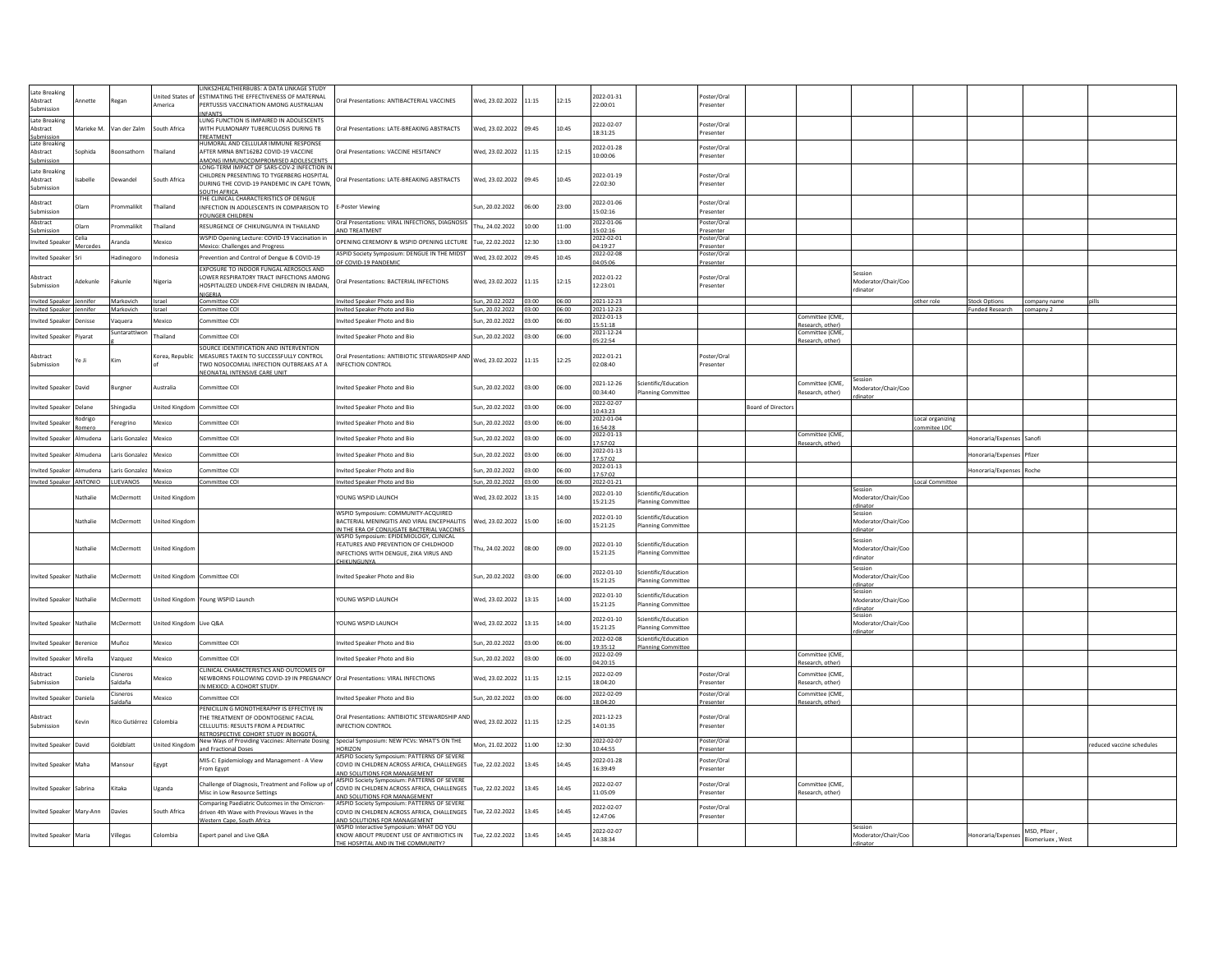|                           |              |                    |                        | LINKS2HEALTHIERBUBS: A DATA LINKAGE STUDY                                              |                                                                                      |                       |       |       |                        |                           |                          |                          |                                    |                                 |                           |              |                         |
|---------------------------|--------------|--------------------|------------------------|----------------------------------------------------------------------------------------|--------------------------------------------------------------------------------------|-----------------------|-------|-------|------------------------|---------------------------|--------------------------|--------------------------|------------------------------------|---------------------------------|---------------------------|--------------|-------------------------|
| Late Breaking<br>Abstract | mette        | Regan              | nited States of        | <b>ESTIMATING THE EFFECTIVENESS OF MATERNAL</b>                                        | Oral Presentations: ANTIBACTERIAL VACCINES                                           | Ved, 23.02.2022       | 11:15 | 12:15 | 2022-01-31             |                           | nster/Oral               |                          |                                    |                                 |                           |              |                         |
| Submission                |              |                    | merica                 | PERTUSSIS VACCINATION AMONG AUSTRALIAN                                                 |                                                                                      |                       |       |       | 22:00:01               |                           | resenter                 |                          |                                    |                                 |                           |              |                         |
| Late Breaking             |              |                    |                        | <b>INFANTS</b><br>LUNG FUNCTION IS IMPAIRED IN ADOLESCENTS                             |                                                                                      |                       |       |       |                        |                           |                          |                          |                                    |                                 |                           |              |                         |
| Abstract                  | Marieke M.   | an der Zalm        | outh Africa            | WITH PULMONARY TUBERCULOSIS DURING TB                                                  | Oral Presentations: LATE-BREAKING ABSTRACTS                                          | Ved, 23.02.2022       | 09:45 | 10:45 | 2022-02-07<br>18:31:25 |                           | Poster/Oral<br>Presenter |                          |                                    |                                 |                           |              |                         |
| Suhmission                |              |                    |                        | TREATMENT<br>HUMORAL AND CELLULAR IMMUNE RESPONSE                                      |                                                                                      |                       |       |       |                        |                           |                          |                          |                                    |                                 |                           |              |                         |
| Late Breaking<br>Abstract | ophida       | onsathorn          | ailand                 | AFTER MRNA BNT162B2 COVID-19 VACCINE                                                   | Oral Presentations: VACCINE HESITANCY                                                | Ved, 23.02.2022       | 11:15 | 12:15 | 2022-01-28             |                           | Poster/Oral              |                          |                                    |                                 |                           |              |                         |
| Submission                |              |                    |                        | AMONG IMMUNOCOMPROMISED ADOLESCENTS                                                    |                                                                                      |                       |       |       | 10:00:06               |                           | resenter                 |                          |                                    |                                 |                           |              |                         |
| Late Breaking             |              |                    |                        | ONG-TERM IMPACT OF SARS-COV-2 INFECTION I<br>CHILDREN PRESENTING TO TYGERBERG HOSPITAL |                                                                                      |                       |       |       | 2022-01-19             |                           | oster/Oral               |                          |                                    |                                 |                           |              |                         |
| Abstract                  | abelle       | ewandel            | outh Africa            | DURING THE COVID-19 PANDEMIC IN CAPE TOWN                                              | Oral Presentations: LATE-BREAKING ABSTRACTS                                          | Wed, 23.02.2022 09:45 |       | 10:45 | 22:02:30               |                           | Presenter                |                          |                                    |                                 |                           |              |                         |
| Submission                |              |                    |                        | SOUTH AFRICA                                                                           |                                                                                      |                       |       |       |                        |                           |                          |                          |                                    |                                 |                           |              |                         |
| Abstract                  | <b>Olarn</b> | ommalikit          |                        | THE CLINICAL CHARACTERISTICS OF DENGUE                                                 |                                                                                      |                       |       |       | 2022-01-06             |                           | oster/Oral               |                          |                                    |                                 |                           |              |                         |
| Submission                |              |                    | hailand                | INFECTION IN ADOLESCENTS IN COMPARISON TO<br>YOUNGER CHILDREN                          | -Poster Viewing                                                                      | sun, 20.02.2022       | 06:00 | 23:00 | 15:02:16               |                           | Presenter                |                          |                                    |                                 |                           |              |                         |
| Abstract                  | Olarn        | rommalikit         | hailand                | RESURGENCE OF CHIKUNGUNYA IN THAILAND                                                  | Oral Presentations: VIRAL INFECTIONS, DIAGNOSIS                                      | hu, 24.02.2022        | 10:00 | 11:00 | 2022-01-06             |                           | Poster/Oral              |                          |                                    |                                 |                           |              |                         |
| iubmissio                 | Celia        |                    |                        |                                                                                        | ND TREATMENT                                                                         |                       |       |       | 15:02:16               |                           | resenter                 |                          |                                    |                                 |                           |              |                         |
| <b>Invited Speak</b>      | Mercedes     | Aranda             | Mexico                 | WSPID Opening Lecture: COVID-19 Vaccination in<br>Mexico: Challenges and Progress      | OPENING CEREMONY & WSPID OPENING LECTURE                                             | Tue. 22.02.2022       | 12:30 | 13:00 | 2022-02-01<br>04:19:27 |                           | oster/Oral<br>resenter   |                          |                                    |                                 |                           |              |                         |
| <b>Invited Speake</b>     |              | Hadinegoro         | ndonesia               | Prevention and Control of Dengue & COVID-19                                            | ASPID Society Symposium: DENGUE IN THE MIDST                                         | Wed. 23.02.2022       | 09:45 | 10:45 | 2022-02-08             |                           | oster/Ora                |                          |                                    |                                 |                           |              |                         |
|                           |              |                    |                        | EXPOSURE TO INDOOR FUNGAL AEROSOLS AND                                                 | F COVID-19 PANDEMIC                                                                  |                       |       |       | 04:05:06               |                           | resenter                 |                          |                                    |                                 |                           |              |                         |
| Abstract                  |              |                    |                        | LOWER RESPIRATORY TRACT INFECTIONS AMONG                                               |                                                                                      |                       |       |       | 2022-01-22             |                           | oster/Ora                |                          |                                    | Session                         |                           |              |                         |
| Submission                | Adekunle     | akunle             | ligeria                | HOSPITALIZED UNDER-FIVE CHILDREN IN IBADAN.                                            | Oral Presentations: BACTERIAL INFECTIONS                                             | Wed, 23.02.2022       | 11:15 | 12:15 | 12:23:01               |                           | resenter                 |                          |                                    | Moderator/Chair/Coo<br>dinator  |                           |              |                         |
| Invited Speaker Jennifer  |              | Markovich          | Israel                 | <b>JIGFRIA</b><br>Committee COI                                                        | Invited Speaker Photo and Bio                                                        | Sun, 20.02.2022 03:00 |       | 06:00 | 2021-12-23             |                           |                          |                          |                                    | other role                      | <b>Stock Options</b>      | company name |                         |
| Invited Sneaker           | ennifer      | Markovich          | Israel                 | ommittee COL                                                                           | Invited Speaker Photo and Bio                                                        | Sun. 20.02.2022 03:00 |       | 06:00 | 2021-12-23             |                           |                          |                          |                                    |                                 | <b>Funded Research</b>    | comanny 2    |                         |
| <b>nvited Speake</b>      | Jenisse      | aquera             | <b>lexico</b>          | ommittee COI                                                                           | nvited Speaker Photo and Bio                                                         | un, 20.02.2022        | 03:00 | 06:00 | 2022-01-13             |                           |                          |                          | ommittee (CME.                     |                                 |                           |              |                         |
|                           |              | iuntarattiwo       |                        |                                                                                        |                                                                                      |                       |       |       | 15:51:18<br>2021-12-24 |                           |                          |                          | Research, other)<br>ommittee (CME, |                                 |                           |              |                         |
| nvited Speake             | Piyarat      |                    | hailand                | ommittee COI                                                                           | nvited Speaker Photo and Bio                                                         | un, 20.02.2022        | 03:00 | 00:00 | 05:22:54               |                           |                          |                          | Research, other                    |                                 |                           |              |                         |
| Abstract                  |              |                    |                        | SOURCE IDENTIFICATION AND INTERVENTION                                                 | Oral Presentations: ANTIBIOTIC STEWARDSHIP AND                                       |                       |       |       | 2022-01-21             |                           | oster/Oral               |                          |                                    |                                 |                           |              |                         |
| ubmission                 | re li        | Kim                | Corea, Republic        | MEASURES TAKEN TO SUCCESSFULLY CONTROL<br>TWO NOSOCOMIAL INFECTION OUTBREAKS AT A      | INFECTION CONTROL                                                                    | Wed. 23.02.2022       | 11:15 | 12:25 | 02:08:40               |                           | resenter                 |                          |                                    |                                 |                           |              |                         |
|                           |              |                    |                        | NEONATAL INTENSIVE CARE UNIT                                                           |                                                                                      |                       |       |       |                        |                           |                          |                          |                                    |                                 |                           |              |                         |
| <b>nvited Speake</b>      | David        |                    | ustralia               | mmittee COI                                                                            | nvited Speaker Photo and Bio                                                         | un. 20.02.2022        | 03:00 | 00:00 | 2021-12-26             | Scientific/Education      |                          |                          | ommittee (CME.                     | session<br>Moderator/Chair/Cog  |                           |              |                         |
|                           |              | Burener            |                        |                                                                                        |                                                                                      |                       |       |       | 00:34:40               | <b>Planning Committee</b> |                          |                          | Research, other)                   | dinator                         |                           |              |                         |
| wited Speak               | Delane       | shingadia          | <b>Inited Kingdom</b>  | Committee COI                                                                          | wited Speaker Photo and Bio                                                          | un, 20.02.2022        | 03:00 | 06:00 | 2022-02-07             |                           |                          | <b>Board of Director</b> |                                    |                                 |                           |              |                         |
|                           | todrigo      |                    |                        |                                                                                        |                                                                                      |                       |       |       | 10:43:23<br>2022-01-04 |                           |                          |                          |                                    | Local organizing                |                           |              |                         |
| wited Speak               | omerc        | eregrino           | Aexico                 | ommittee COI                                                                           | nvited Speaker Photo and Bio                                                         | un, 20.02.2022        | 03:00 | 06:00 | 16:54:28               |                           |                          |                          |                                    | mmitee LOC                      |                           |              |                         |
| <b>nvited Speake</b>      | Almudena     | Laris Gonzalez     | Mexico                 | ommittee COI                                                                           | nvited Speaker Photo and Bio                                                         | un, 20.02.2022        | 03:00 | 6:00  | 2022-01-13             |                           |                          |                          | Committee (CME.                    |                                 | Ionoraria/Expenses Sanofi |              |                         |
|                           |              |                    |                        |                                                                                        |                                                                                      |                       |       |       | 17:57:02<br>2022-01-13 |                           |                          |                          | Research, other                    |                                 |                           |              |                         |
| nvited Speake             | Almudena     | Laris Gonzalez     | Mexico                 | ommittee COI                                                                           | nvited Speaker Photo and Bio                                                         | un. 20.02.2022        | 03:00 | 00:00 | 17:57:02               |                           |                          |                          |                                    |                                 | Ionoraria/Expenses Pfizer |              |                         |
| nvited Speake             | Almudena     | Laris Gonzalez     | Mexico                 | Committee COI                                                                          | nvited Speaker Photo and Bio                                                         | un. 20.02.2022        | 03:00 | 06:00 | 2022-01-13             |                           |                          |                          |                                    |                                 | Ionoraria/Expenses Roche  |              |                         |
|                           |              |                    |                        |                                                                                        |                                                                                      |                       |       |       |                        |                           |                          |                          |                                    |                                 |                           |              |                         |
|                           |              |                    |                        |                                                                                        |                                                                                      |                       |       |       | 17:57:02               |                           |                          |                          |                                    |                                 |                           |              |                         |
| nvited Speaker ANTONIO    |              | <b>UEVANOS</b>     | Mexico                 | Committee COI                                                                          | Invited Speaker Photo and Bio                                                        | sun, 20.02.2022       | 03:00 | 06:00 | 2022-01-21             |                           |                          |                          |                                    | Local Committee<br>session      |                           |              |                         |
|                           | Nathalie     | <b>IcDermott</b>   | <b>Inited Kingdom</b>  |                                                                                        | YOUNG WSPID LAUNCH                                                                   | Wed, 23.02.2022       | 13:15 | 4:00  | 2022-01-10<br>15:21:25 | Scientific/Education      |                          |                          |                                    | Moderator/Chair/Coo             |                           |              |                         |
|                           |              |                    |                        |                                                                                        | WSPID Symposium: COMMUNITY-ACQUIRED                                                  |                       |       |       |                        | <b>Planning Committee</b> |                          |                          |                                    | rdinator<br>Session             |                           |              |                         |
|                           | Nathalie     | <b>McDermott</b>   | nited Kingdon          |                                                                                        | BACTERIAL MENINGITIS AND VIRAL ENCEPHALITIS                                          | Wed, 23.02.2022       | 15:00 | 6:00  | 2022-01-10             | Scientific/Education      |                          |                          |                                    | Moderator/Chair/Coc             |                           |              |                         |
|                           |              |                    |                        |                                                                                        | N THE ERA OF CONJUGATE BACTERIAL VACCINES                                            |                       |       |       | 15:21:25               | Planning Committee        |                          |                          |                                    | dinatr                          |                           |              |                         |
|                           |              |                    |                        |                                                                                        | WSPID Symposium: EPIDEMIOLOGY, CLINICAL<br>FEATURES AND PREVENTION OF CHILDHOOD      |                       |       |       | 2022-01-10             | Scientific/Education      |                          |                          |                                    | Session                         |                           |              |                         |
|                           | Nathalie     | McDermott          | United Kingdon         |                                                                                        | INFECTIONS WITH DENGUE, ZIKA VIRUS AND                                               | hu, 24.02.2022        | 08:00 | 09:00 | 15:21:25               | <b>Planning Committee</b> |                          |                          |                                    | Moderator/Chair/Coo             |                           |              |                         |
|                           |              |                    |                        |                                                                                        | HIKUNGUNYA                                                                           |                       |       |       |                        |                           |                          |                          |                                    | rdinator                        |                           |              |                         |
| wited Speake              | Nathalie     | AcDermott          |                        |                                                                                        |                                                                                      |                       |       |       | 2022-01-10             | Scientific/Education      |                          |                          |                                    | Session                         |                           |              |                         |
|                           |              |                    |                        | nited Kingdom Committee COI                                                            | wited Speaker Photo and Bio                                                          | un, 20.02.2022        | 03:00 | 06:00 | 15:21:25               | <b>Planning Committee</b> |                          |                          |                                    | Moderator/Chair/Coo<br>rdinator |                           |              |                         |
|                           |              |                    |                        |                                                                                        |                                                                                      |                       |       |       | 2022-01-10             | Scientific/Education      |                          |                          |                                    | Session                         |                           |              |                         |
| <b>nvited Speaker</b>     | Nathalie     | McDermott          |                        | Inited Kingdom Young WSPID Launch                                                      | OUNG WSPID LAUNCH                                                                    | Ved, 23.02.2022       | 13:15 | 14:00 | 15:21:25               | <b>Planning Committee</b> |                          |                          |                                    | Moderator/Chair/Coo<br>rdinator |                           |              |                         |
|                           |              |                    |                        |                                                                                        |                                                                                      |                       |       |       | 2022-01-10             | Scientific/Education      |                          |                          |                                    | Session                         |                           |              |                         |
| <b>nvited Speake</b>      | Nathalie     | McDermott          | nited Kingdom Live Q&A |                                                                                        | OUNG WSPID LAUNCH                                                                    | Ved, 23.02.2022       | 13:15 | 14:00 | 15:21:25               | Planning Committee        |                          |                          |                                    | Moderator/Chair/Coo             |                           |              |                         |
|                           |              |                    |                        |                                                                                        |                                                                                      |                       |       |       | 2022-02-08             | Scientific/Education      |                          |                          |                                    | rdinator                        |                           |              |                         |
| wited Speake              | erenice      | Muñoz              | Mexico                 | ommittee COI                                                                           | wited Speaker Photo and Bio                                                          | un, 20.02.2022        | 03:00 | 06:00 | 19:35:12               | <b>Planning Committee</b> |                          |                          |                                    |                                 |                           |              |                         |
| nvited Speake             | Mirella      | /azquez            | <b>lexico</b>          | ommittee COI                                                                           | nvited Speaker Photo and Bio                                                         | un, 20.02.2022        | 03:00 | 6:00  | 2022-02-09<br>04:20:15 |                           |                          |                          | Committee (CME.                    |                                 |                           |              |                         |
|                           |              |                    |                        | CLINICAL CHARACTERISTICS AND OUTCOMES OF                                               |                                                                                      |                       |       |       |                        |                           |                          |                          | Research, other                    |                                 |                           |              |                         |
| bstract<br>submission     | aniela       | isneros<br>Saldaña | Mexico                 | NEWBORNS FOLLOWING COVID-19 IN PREGNANCY                                               | Oral Presentations: VIRAL INFECTIONS                                                 | Wed, 23.02.2022       | 11:15 | 12:15 | 2022-02-09<br>18:04:20 |                           | oster/Oral<br>resenter   |                          | nmittee (CME,<br>Research, other)  |                                 |                           |              |                         |
|                           |              | Cisneros           |                        | IN MEXICO: A COHORT STUDY.                                                             |                                                                                      |                       |       |       | 2022-02-09             |                           | Poster/Oral              |                          | Committee (CME,                    |                                 |                           |              |                         |
| Invited Speake            | Daniela      | aldaña             | Mexico                 | Committee COI                                                                          | Invited Speaker Photo and Bio                                                        | sun. 20.02.2022       | 03:00 | 06:00 | 18:04:20               |                           | esenter                  |                          | esearch, other                     |                                 |                           |              |                         |
|                           |              |                    |                        | PENICILLIN G MONOTHERAPHY IS EFFECTIVE IN                                              |                                                                                      |                       |       |       |                        |                           |                          |                          |                                    |                                 |                           |              |                         |
| Abstract<br>Submission    | Kevin        | Rico Gutiérrez     | Colombia               | HE TREATMENT OF ODONTOGENIC FACIAL<br>CELLULITIS: RESULTS FROM A PEDIATRIC             | Oral Presentations: ANTIBIOTIC STEWARDSHIP AND<br><b>INFECTION CONTROL</b>           | Wed, 23.02.2022       | 11:15 | 12:25 | 2021-12-23<br>14:01:35 |                           | oster/Oral<br>resenter   |                          |                                    |                                 |                           |              |                         |
|                           |              |                    |                        | <u>RETROSPECTIVE COHORT STUDY IN BOGOTÁ</u>                                            |                                                                                      |                       |       |       |                        |                           |                          |                          |                                    |                                 |                           |              |                         |
| <b>nvited Speake</b>      | David        | <b>Soldblatt</b>   | nited Kingdom          | New Ways of Providing Vaccines: Alternate Dosing                                       | Special Symposium: NEW PCVs: WHAT'S ON THE                                           | Mon, 21.02.2022       | 11:00 | 12:30 | 2022-02-07             |                           | Poster/Oral              |                          |                                    |                                 |                           |              | educed vaccine schedule |
|                           |              |                    |                        | and Fractional Doses                                                                   | HORIZON<br>AfSPID Society Symposium: PATTERNS OF SEVERE                              |                       |       |       | 10:44:55               |                           | resenter                 |                          |                                    |                                 |                           |              |                         |
| nvited Speaker            | Maha         | Mansour            | Egypt                  | MIS-C: Epidemiology and Management - A View<br>From Egypt                              | COVID IN CHILDREN ACROSS AFRICA, CHALLENGES                                          | ue, 22.02.2022        | 13:45 | 14.45 | 2022-01-28<br>16:39:49 |                           | Poster/Oral<br>Presenter |                          |                                    |                                 |                           |              |                         |
|                           |              |                    |                        |                                                                                        | AND SOLUTIONS FOR MANAGEMENT<br>AfSPID Society Symposium: PATTERNS OF SEVERE         |                       |       |       |                        |                           |                          |                          |                                    |                                 |                           |              |                         |
| nvited Speaker            | Sabrina      | Kitaka             | Jganda                 | Challenge of Diagnosis, Treatment and Follow up o                                      | COVID IN CHILDREN ACROSS AFRICA, CHALLENGES                                          | ue, 22.02.2022        | 13:45 | 4:45  | 2022-02-07             |                           | Poster/Oral              |                          | Committee (CME                     |                                 |                           |              |                         |
|                           |              |                    |                        | Misc in Low Resource Settings                                                          | ND SOLUTIONS FOR MANAGEMENT                                                          |                       |       |       | 11:05:09               |                           | Presenter                |                          | Research, other)                   |                                 |                           |              |                         |
| <b>nvited Speake</b>      | Mary-Ann     | Davies             |                        | Comparing Paediatric Outcomes in the Omicron-                                          | AfSPID Society Symposium: PATTERNS OF SEVERE                                         |                       |       | 14:45 | 2022-02-07             |                           | oster/Oral               |                          |                                    |                                 |                           |              |                         |
|                           |              |                    | outh Africa            | riven 4th Wave with Previous Waves in the<br>Vestern Cape, South Africa                | COVID IN CHILDREN ACROSS AFRICA, CHALLENGES<br>AND SOLUTIONS FOR MANAGEMENT.         | ue, 22.02.2022        | 13:45 |       | 12:47:06               |                           | resenter                 |                          |                                    |                                 |                           |              |                         |
| nvited Speake             | Maria        | Villegas           | clombia                | Expert panel and Live Q&A                                                              | WSPID Interactive Symposium: WHAT DO YOU<br>KNOW ABOUT PRUDENT USE OF ANTIBIOTICS IN | ue, 22.02.2022        | 13:45 | 14:45 | 2022-02-07<br>14:38:34 |                           |                          |                          |                                    | Session<br>Moderator/Chair/Coo  | Ionoraria/Expenses        | MSD. Pfizer  |                         |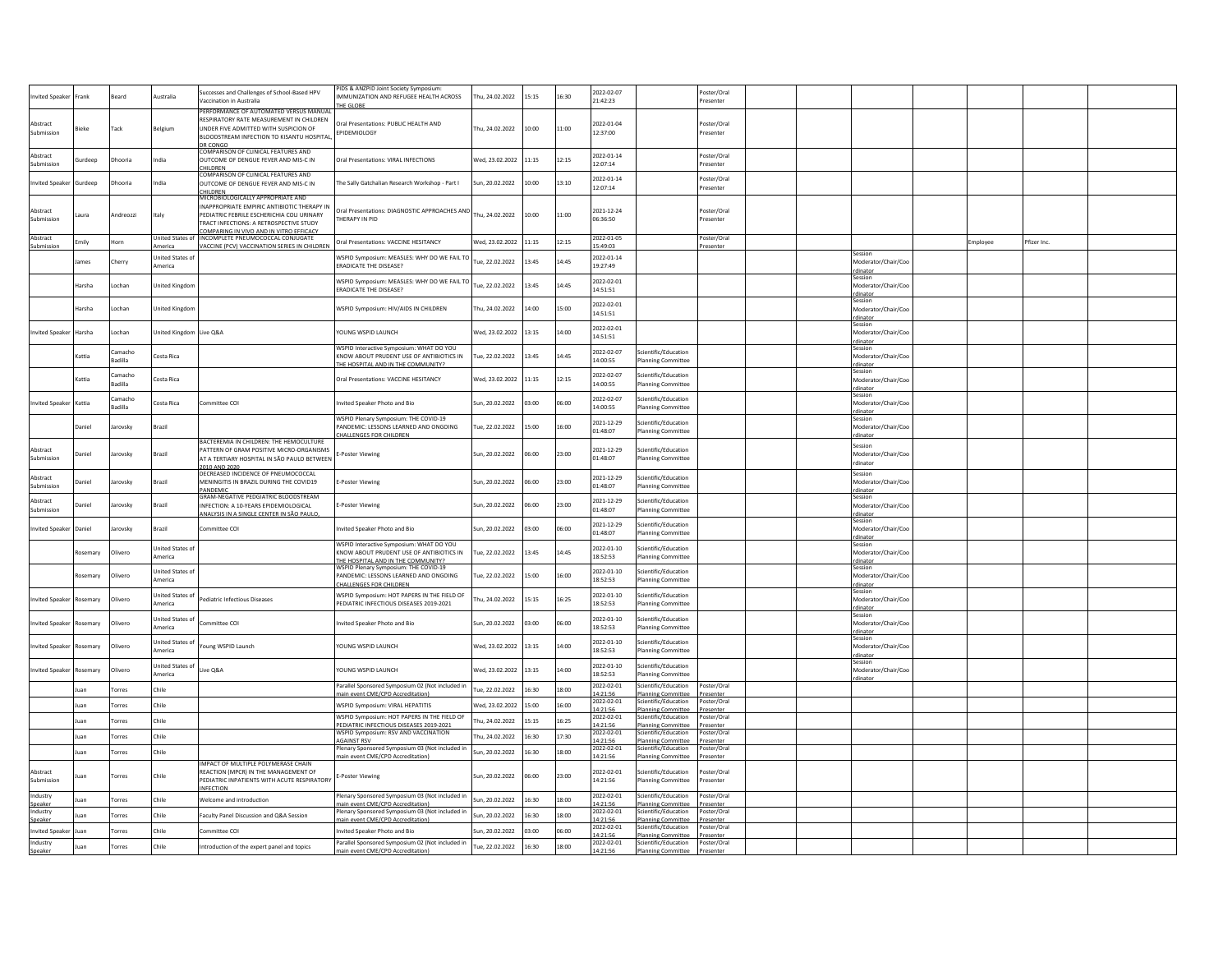| wited Speaker            | Frank         | Beard              | ustralia                           | Successes and Challenges of School-Based HPV<br>Vaccination in Australia                                                                                                                                                         | PIDS & ANZPID Joint Society Symposium<br>IMMUNIZATION AND REFUGEE HEALTH ACROSS<br>HE GLOBE                                | hu, 24.02.2022        | 15:15 | 16:30 | 2022-02-07<br>21:42:23            |                                                                         | Poster/Oral<br>resenter               |  |                                            |         |             |
|--------------------------|---------------|--------------------|------------------------------------|----------------------------------------------------------------------------------------------------------------------------------------------------------------------------------------------------------------------------------|----------------------------------------------------------------------------------------------------------------------------|-----------------------|-------|-------|-----------------------------------|-------------------------------------------------------------------------|---------------------------------------|--|--------------------------------------------|---------|-------------|
| Abstract<br>Submission   | ieke          | Tack               | Belgium                            | PERFORMANCE OF AUTOMATED VERSUS MANUAL<br>RESPIRATORY RATE MEASUREMENT IN CHILDREN<br>UNDER FIVE ADMITTED WITH SUSPICION OF<br>BLOODSTREAM INFECTION TO KISANTU HOSPITAL                                                         | Oral Presentations: PUBLIC HEALTH AND<br>EPIDEMIOLOGY                                                                      | hu, 24.02.2022        | 10:00 | 11:00 | 2022-01-04<br>12:37:00            |                                                                         | Poster/Oral<br>resenter               |  |                                            |         |             |
| Abstract<br>Submission   | urdeep        | Dhooria            | India                              | DR CONGO<br>COMPARISON OF CLINICAL FEATURES AND<br>OUTCOME OF DENGUE FEVER AND MIS-C IN<br>CHILDREN                                                                                                                              | Oral Presentations: VIRAL INFECTIONS                                                                                       | Ved, 23.02.2022       | 11:15 | 12:15 | 2022-01-14<br>12:07:14            |                                                                         | Poster/Oral<br>resenter               |  |                                            |         |             |
| nvited Speaker           | iurdeep       | Dhooria            | India                              | COMPARISON OF CLINICAL FEATURES AND<br>OUTCOME OF DENGUE FEVER AND MIS-C IN                                                                                                                                                      | The Sally Gatchalian Research Workshop - Part I                                                                            | un, 20.02.2022        | 10:00 | 13:10 | 2022-01-14<br>12:07:14            |                                                                         | Poster/Oral<br>Presenter              |  |                                            |         |             |
| Abstract<br>Submissior   | Laura         | Andreozzi          | Italy                              | CHILDREN<br>MICROBIOLOGICALLY APPROPRIATE AND<br>INAPPROPRIATE EMPIRIC ANTIBIOTIC THERAPY IN<br>PEDIATRIC FEBRILE ESCHERICHIA COLI URINARY<br>TRACT INFECTIONS: A RETROSPECTIVE STUDY<br>COMPARING IN VIVO AND IN VITRO EFFICACY | Oral Presentations: DIAGNOSTIC APPROACHES AND<br><b>HERAPY IN PID</b>                                                      | Thu, 24.02.2022       | 10:00 | 11:00 | 2021-12-24<br>06:36:50            |                                                                         | Poster/Oral<br>resenter               |  |                                            |         |             |
| Abstract<br>Submissior   | milv:         | lorn               |                                    | United States of INCOMPLETE PNEUMOCOCCAL CONJUGATE<br><b>VACCINE (PCV) VACCINATION SERIES IN CHILDREN</b>                                                                                                                        | Oral Presentations: VACCINE HESITANCY                                                                                      | Ved. 23.02.2022       | 11:15 | 12:15 | 2022-01-05<br>5:49:03             |                                                                         | Poster/Oral<br>resenter               |  |                                            | mployee | Pfizer Inc. |
|                          | ames          | Cherry             | United States of<br>America        |                                                                                                                                                                                                                                  | WSPID Symposium: MEASLES: WHY DO WE FAIL TO<br>RADICATE THE DISEASE?                                                       | ue, 22.02.2022        | 13:45 | 14:45 | 2022-01-14<br>19:27:49            |                                                                         |                                       |  | ession<br>Moderator/Chair/Coo<br>dinator   |         |             |
|                          | Harsha        | Lochan             | <b>Jnited Kingdon</b>              |                                                                                                                                                                                                                                  | WSPID Symposium: MEASLES: WHY DO WE FAIL TO<br><b>RADICATE THE DISEASE?</b>                                                | ue, 22.02.2022        | 13:45 | 14:45 | 2022-02-01<br>14:51:51            |                                                                         |                                       |  | Session<br>Moderator/Chair/Coo<br>rdinator |         |             |
|                          | larsha        | Lochan             | <b>Inited Kingdon</b>              |                                                                                                                                                                                                                                  | VSPID Symposium: HIV/AIDS IN CHILDREN                                                                                      | hu, 24.02.2022        | 14:00 | 15:00 | 2022-02-01<br>14:51:51            |                                                                         |                                       |  | Aoderator/Chair/Coo<br>rdinator            |         |             |
| <b>nvited Speaker</b>    | Harsha        | Lochan             | <b>Jnited Kingdom</b>              | Live Q&A                                                                                                                                                                                                                         | OUNG WSPID LAUNCH                                                                                                          | Ved, 23.02.2022       | 13:15 | 14:00 | 2022-02-01<br>14:51:51            |                                                                         |                                       |  | essior<br>Aoderator/Chair/Coo<br>rdinator  |         |             |
|                          | Kattia        | Camacho<br>Badilla | Costa Rica                         |                                                                                                                                                                                                                                  | WSPID Interactive Symposium: WHAT DO YOU<br>(NOW ABOUT PRUDENT USE OF ANTIBIOTICS IN<br>THE HOSPITAL AND IN THE COMMUNITY? | ue, 22.02.2022        | 13:45 | 14:45 | 2022-02-07<br>14:00:55            | Scientific/Education<br>lanning Committee                               |                                       |  | iessior<br>Moderator/Chair/Coo<br>rdinator |         |             |
|                          | Kattia        | Camacho<br>Badilla | Costa Rica                         |                                                                                                                                                                                                                                  | Oral Presentations: VACCINE HESITANCY                                                                                      | Ved. 23.02.2022       | 11:15 | 12:15 | 2022-02-07<br>14:00:55            | Scientific/Education<br>Planning Committee                              |                                       |  | Moderator/Chair/Coo<br>rdinator            |         |             |
| nvited Speaker           | Kattia        | Camacho<br>Badilla | Costa Rica                         | Committee COI                                                                                                                                                                                                                    | nvited Speaker Photo and Bio                                                                                               | un. 20.02.2022        | 03:00 | 06:00 | 2022-02-07<br>14:00:55            | cientific/Education<br>lanning Committee                                |                                       |  | Session<br>Moderator/Chair/Coo<br>dinator  |         |             |
|                          | Daniel        | Jarovsky           | Brazil                             |                                                                                                                                                                                                                                  | WSPID Plenary Symposium: THE COVID-19<br>PANDEMIC: LESSONS LEARNED AND ONGOING<br>HALLENGES FOR CHILDREN                   | Tue, 22.02.2022       | 15:00 | 16:00 | 2021-12-29<br>01:48:07            | cientific/Education<br><b>Planning Committee</b>                        |                                       |  | Session<br>Moderator/Chair/Coo<br>dinator  |         |             |
| Abstract<br>iubmissio    | <b>Daniel</b> | Jarovsky           | Brazil                             | BACTEREMIA IN CHILDREN: THE HEMOCULTURE<br>PATTERN OF GRAM POSITIVE MICRO-ORGANISMS<br>AT A TERTIARY HOSPITAL IN SÃO PAULO BETWEEN<br>2010 AND 2020                                                                              | -Poster Viewing                                                                                                            | Sun. 20.02.2022       | 06:00 | 23:00 | 2021-12-29<br>01:48:07            | Scientific/Education<br>Planning Committee                              |                                       |  | Session<br>Moderator/Chair/Coo<br>rdinator |         |             |
| Abstract<br>Submission   | niel          | larovsky           | Brazil                             | DECREASED INCIDENCE OF PNEUMOCOCCAL<br>MENINGITIS IN BRAZIL DURING THE COVID19<br>PANDEMIC                                                                                                                                       | -Poster Viewing                                                                                                            | un, 20.02.2022        | 06:00 | 23:00 | 2021-12-29<br>01:48:07            | Scientific/Education<br><b>Planning Committee</b>                       |                                       |  | Session<br>Moderator/Chair/Coo<br>rdinator |         |             |
| Abstract<br>Suhmission   | niel          | arovsky            | Brazil                             | GRAM-NEGATIVE PEDGIATRIC BLOODSTREAM<br>INFECTION: A 10-YEARS EPIDEMIOLOGICAL<br>NALYSIS IN A SINGLE CENTER IN SÃO PAULO.                                                                                                        | -Poster Viewing                                                                                                            | un, 20.02.2022        | 06:00 | 23:00 | 2021-12-29<br>01:48:07            | Scientific/Education<br><b>Planning Committee</b>                       |                                       |  | Sessior<br>Moderator/Chair/Coo<br>rdinator |         |             |
| nvited Speaker           | Daniel        | Jarovsky           | Brazil                             | Committee COI                                                                                                                                                                                                                    | nvited Speaker Photo and Bio                                                                                               | sun, 20.02.2022       | 03:00 | 06:00 | 2021-12-29<br>01:48:07            | Scientific/Education<br><b>Planning Committee</b>                       |                                       |  | Session<br>Moderator/Chair/Coo<br>rdinator |         |             |
|                          | osemary       | Olivero            | United States of<br>America        |                                                                                                                                                                                                                                  | WSPID Interactive Symposium: WHAT DO YOU<br>KNOW ABOUT PRUDENT USE OF ANTIBIOTICS IN<br>THE HOSPITAL AND IN THE COMMUNITY? | ue, 22.02.2022        | 13:45 | 14:45 | 2022-01-10<br>18:52:53            | Scientific/Education<br>lanning Committee                               |                                       |  | Session<br>Moderator/Chair/Coo<br>rdinator |         |             |
|                          | osemary       | Olivero            | <b>Jnited States o</b><br>America  |                                                                                                                                                                                                                                  | <b>NSPID Plenary Symposium: THE COVID-19</b><br>PANDEMIC: LESSONS LEARNED AND ONGOING<br><b>HALLENGES FOR CHILDREN</b>     | ue, 22.02.2022        | 15:00 | 16:00 | 2022-01-10<br>18:52:53            | Scientific/Education<br>Planning Committee                              |                                       |  | Session<br>Moderator/Chair/Coo<br>rdinator |         |             |
| <b>nvited Speaker</b>    | tosemarv      | Olivero            | United States of<br>America        | Pediatric Infectious Diseases                                                                                                                                                                                                    | WSPID Symposium: HOT PAPERS IN THE FIELD OF<br>EDIATRIC INFECTIOUS DISEASES 2019-2021                                      | hu. 24.02.2022        | 15:15 | 16:25 | 2022-01-10<br>18:52:53            | Scientific/Education<br>Planning Committee                              |                                       |  | iession<br>Moderator/Chair/Coo<br>dinator  |         |             |
| nvited Speaker           | Rosemary      | Olivero            | <b>Jnited States of</b><br>America | Committee COI                                                                                                                                                                                                                    | nvited Speaker Photo and Bio                                                                                               | sun, 20.02.2022       | 03:00 | 06:00 | 2022-01-10<br>18:52:53            | cientific/Education<br>Planning Committee                               |                                       |  | Session<br>Moderator/Chair/Coo<br>rdinator |         |             |
| nvited Speaker           | Rosemary      | Olivero            | United States o<br>America         | Young WSPID Launch                                                                                                                                                                                                               | OUNG WSPID LAUNCH                                                                                                          | Wed. 23.02.2022       | 13:15 | 14:00 | 2022-01-10<br>18:52:53            | Scientific/Education<br>Planning Committee                              |                                       |  | Session<br>Moderator/Chair/Coc<br>dinato   |         |             |
| <b>nvited Speaker</b>    | osemary       | Olivero            | <b>Jnited States of</b><br>merica  | ive Q&A                                                                                                                                                                                                                          | OUNG WSPID LAUNCH                                                                                                          | Wed, 23.02.2022 13:15 |       | 14:00 | 2022-01-10<br>18:52:53            | Scientific/Education<br><b>Planning Committee</b>                       |                                       |  | Session<br>Moderator/Chair/Coo<br>rdinator |         |             |
|                          | uan           | Torres             | Chile                              |                                                                                                                                                                                                                                  | Parallel Sponsored Symposium 02 (Not included in<br>nain event CME/CPD Accreditation)                                      | ue. 22.02.2022        | 16:30 | 18:00 | 2022-02-01<br>14:21:56            | Scientific/Education<br>lanning Committee                               | Poster/Oral<br>Presenter              |  |                                            |         |             |
|                          | uan           | Torres             | Chile                              |                                                                                                                                                                                                                                  | WSPID Symposium: VIRAL HEPATITIS                                                                                           | Ved. 23.02.2022       | 15:00 | 16:00 | 2022-02-01<br>14:21:56            | Scientific/Education<br><b>Planning Committee</b>                       | Poster/Oral<br>Presenter              |  |                                            |         |             |
|                          | uan           | Torres             | Chile                              |                                                                                                                                                                                                                                  | WSPID Symposium: HOT PAPERS IN THE FIELD OF<br>PEDIATRIC INFECTIOUS DISEASES 2019-2021                                     | hu, 24.02.2022        | 15:15 | 16:25 | 2022-02-01<br>14:21:56            | Scientific/Education<br>Planning Committee                              | Poster/Oral<br>Presenter              |  |                                            |         |             |
|                          | uan           | Torres             | Chile                              |                                                                                                                                                                                                                                  | WSPID Symposium: RSV AND VACCINATION<br><b>GAINST RSV</b>                                                                  | hu. 24.02.2022        | 16:30 | 17:30 | 2022-02-01<br>14:21:56            | Scientific/Education<br>Planning Committee                              | Poster/Oral<br>Presenter              |  |                                            |         |             |
|                          | uan           | Torres             | Chile                              |                                                                                                                                                                                                                                  | lenary Sponsored Symposium 03 (Not included in<br>main event CME/CPD Accreditation)                                        | un. 20.02.2022        | 16:30 | 18:00 | 2022-02-01<br>14:21:56            | cientific/Education<br>Planning Committee                               | Poster/Oral<br>Presenter              |  |                                            |         |             |
| Abstract<br>Submission   |               | Torres             | Chile                              | IMPACT OF MULTIPLE POLYMERASE CHAIN<br>REACTION (MPCR) IN THE MANAGEMENT OF<br>PEDIATRIC INPATIENTS WITH ACUTE RESPIRATORY<br><b>INFECTION</b>                                                                                   | <b>E-Poster Viewing</b>                                                                                                    | sun, 20.02.2022       | 06:00 | 23:00 | 2022-02-01<br>14:21:56            | Scientific/Education<br>Planning Committee                              | oster/Oral<br>resenter                |  |                                            |         |             |
| ndustry                  |               | Torres             | Chile                              | <b>Nelcome and introduction</b>                                                                                                                                                                                                  | Plenary Sponsored Symposium 03 (Not included in                                                                            | un, 20.02.2022        | 16:30 | 18:00 | 2022-02-01<br>14:21:56            | Scientific/Education                                                    | Poster/Oral                           |  |                                            |         |             |
| Speaker<br>Industry      |               | orres              | Chile                              | aculty Panel Discussion and Q&A Session                                                                                                                                                                                          | main event CME/CPD Accreditation)<br>lenary Sponsored Symposium 03 (Not included in                                        | un, 20.02.2022        | 16:30 | 18:00 | 2022-02-01                        | <b>Planning Committee</b><br>Scientific/Education                       | Presenter<br>Poster/Oral              |  |                                            |         |             |
| Speaker<br>nvited Speake |               | orres              | Chile                              | Committee COI                                                                                                                                                                                                                    | ain event CME/CPD Accreditation)<br>wited Speaker Photo and Bio                                                            | un, 20.02.2022        | 03:00 | 06:00 | 4:21:56<br>2022-02-01<br>14:21:56 | Planning Committee<br>Scientific/Education<br><b>Planning Committee</b> | Presenter<br>Poster/Oral<br>Presenter |  |                                            |         |             |
| Industry<br>Speaker      | uan           | Torres             | Chile                              | Introduction of the expert panel and topics                                                                                                                                                                                      | Parallel Sponsored Symposium 02 (Not included in<br>main event CME/CPD Accreditation)                                      | ue, 22.02.2022        | 16:30 | 18:00 | 2022-02-01<br>14:21:56            | Scientific/Education<br><b>Planning Committee</b>                       | Poster/Oral<br>Presenter              |  |                                            |         |             |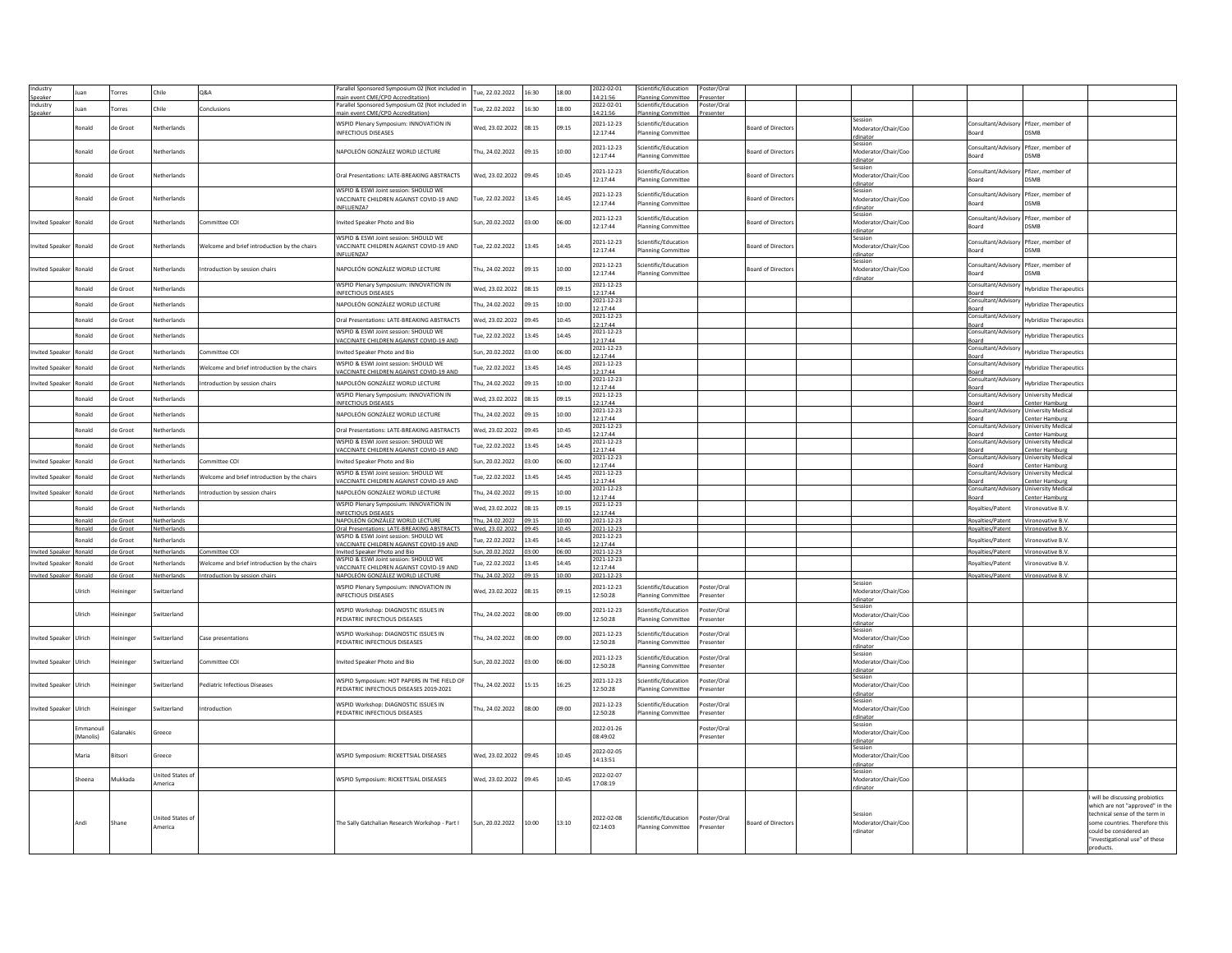| ndustry                       |               |                  |                        |                                              | Parallel Sponsored Symposium 02 (Not included in |                       |       |       | 2022-02-01             | cientific/Education       | Poster/Oral |                           |                     |                                        |                                    |                                |
|-------------------------------|---------------|------------------|------------------------|----------------------------------------------|--------------------------------------------------|-----------------------|-------|-------|------------------------|---------------------------|-------------|---------------------------|---------------------|----------------------------------------|------------------------------------|--------------------------------|
|                               |               | Torres           | Chile                  | <b>Q&amp;A</b>                               | nt CME/CPD Accreditatio                          | ue, 22.02.2022        | 16:30 | 18:00 | $-21 - 56$             |                           |             |                           |                     |                                        |                                    |                                |
| ndustr                        |               |                  |                        |                                              | Parallel Sponsored Symposium 02 (Not included in |                       |       |       | 2022-02-01             | Scientific/Education      | oster/Oral  |                           |                     |                                        |                                    |                                |
| Speake                        | ian           | Torres           | Chile                  | Conclusions                                  | ain event CME/CPD Accreditation                  | ue. 22.02.2022        | 16:30 | 18:00 | 4:21:56                | nning Committe            | esenter     |                           |                     |                                        |                                    |                                |
|                               |               |                  |                        |                                              |                                                  |                       |       |       |                        |                           |             |                           | Session             |                                        |                                    |                                |
|                               | onald         | de Groot         | letherlands            |                                              | WSPID Plenary Symposium: INNOVATION IN           | Ved, 23.02.2022       | 08:15 | 09:15 | 2021-12-23             | Scientific/Education      |             | oard of Director          | Moderator/Chair/Coo | Consultant/Advisory Pfizer, member of  |                                    |                                |
|                               |               |                  |                        |                                              | <b>INFECTIOUS DISEASES</b>                       |                       |       |       | 12:17:44               | lanning Committee         |             |                           | rdinator            | Board                                  | <b>DSMP</b>                        |                                |
|                               |               |                  |                        |                                              |                                                  |                       |       |       |                        |                           |             |                           |                     |                                        |                                    |                                |
|                               | tonald        | de Groot         | Vetherlands            |                                              | NAPOLEÓN GONZÁLEZ WORLD LECTURE                  | hu, 24.02.2022        | 09:15 | 10:00 | 2021-12-23             | cientific/Education       |             | <b>Board of Directors</b> | Moderator/Chair/Coo | Consultant/Advisory Pfizer, member of  |                                    |                                |
|                               |               |                  |                        |                                              |                                                  |                       |       |       | 12:17:44               | <b>Planning Committee</b> |             |                           | rdinator            | <b>Board</b>                           | <b>DSMR</b>                        |                                |
|                               |               |                  |                        |                                              |                                                  |                       |       |       |                        |                           |             |                           | Session             |                                        |                                    |                                |
|                               | <b>conald</b> | de Groot         | letherlands            |                                              | Oral Presentations: LATE-BREAKING ABSTRACTS      | Ved, 23.02.2022       | 09:45 | 10:45 | 2021-12-23             | cientific/Education       |             | <b>Board of Directors</b> | Moderator/Chair/Cog | Consultant/Advisory                    | Pfizer, member of                  |                                |
|                               |               |                  |                        |                                              |                                                  |                       |       |       | 12:17:44               | <b>Planning Committee</b> |             |                           | rdinator            | Board                                  | <b>DSMB</b>                        |                                |
|                               |               |                  |                        |                                              | WSPID & ESWI Joint session: SHOULD WE            |                       |       |       |                        |                           |             |                           | Session             |                                        |                                    |                                |
|                               | Ronald        | de Groot         | Vetherlands            |                                              | VACCINATE CHILDREN AGAINST COVID-19 AND          | Tue, 22.02.2022       | 13:45 | 14:45 | 2021-12-23             | cientific/Education       |             | <b>Board of Directors</b> | Moderator/Chair/Coo | Consultant/Advisory                    | Pfizer, member of                  |                                |
|                               |               |                  |                        |                                              | INFLUENZA?                                       |                       |       |       | 12:17:44               | <b>Planning Committee</b> |             |                           | rdinator            | Board                                  | <b>DSMP</b>                        |                                |
|                               |               |                  |                        |                                              |                                                  |                       |       |       |                        |                           |             |                           | Session             |                                        |                                    |                                |
| <b>Invited Speake</b>         | Ronald        | de Groot         | <b>Jetherlands</b>     | Committee COI                                | nvited Speaker Photo and Bio                     | Sun, 20.02.2022       | 03:00 | 06:00 | 2021-12-23             | Scientific/Education      |             | <b>Board of Director:</b> | Moderator/Chair/Cog | Consultant/Advisory Pfizer, member of  |                                    |                                |
|                               |               |                  |                        |                                              |                                                  |                       |       |       | 12:17:44               | <b>Planning Committee</b> |             |                           | dinato              | Board                                  | DSMB                               |                                |
|                               |               |                  |                        |                                              | WSPID & ESWI Joint session: SHOULD WE            |                       |       |       |                        |                           |             |                           | Session             |                                        |                                    |                                |
| Invited Speake                | hlanos        | de Groot         | Vetherlands            | Welcome and brief introduction by the chairs | VACCINATE CHILDREN AGAINST COVID-19 AND          | Tue, 22.02.2022       | 13:45 | 14:45 | 2021-12-23             | cientific/Education       |             | <b>Board of Director:</b> | Moderator/Chair/Coo | Consultant/Advisory                    | Pfizer, member of                  |                                |
|                               |               |                  |                        |                                              | INFLUENZA?                                       |                       |       |       | 12:17:44               | <b>Planning Committee</b> |             |                           | rdinator            | Board                                  | <b>DSMP</b>                        |                                |
|                               |               |                  |                        |                                              |                                                  |                       |       |       |                        |                           |             |                           | Session             |                                        |                                    |                                |
| nvited Speake                 | tonald        | de Groot         | letherlands            | ntroduction by session chairs                | NAPOLEÓN GONZÁLEZ WORLD LECTURE                  | hu, 24.02.2022        | 09:15 | 10:00 | 2021-12-23<br>12:17:44 | cientific/Education       |             | <b>Board of Directors</b> | Moderator/Chair/Coo | Consultant/Advisory Pfizer, member of  | <b>DSMB</b>                        |                                |
|                               |               |                  |                        |                                              |                                                  |                       |       |       |                        | <b>Planning Committee</b> |             |                           |                     | Board                                  |                                    |                                |
|                               | Ronald        | de Groot         | Vetherlands            |                                              | WSPID Plenary Symposium: INNOVATION IN           | Ved. 23.02.2022       | 08:15 | 09:15 | 2021-12-23             |                           |             |                           |                     | Consultant/Advisor                     | <b>Hybridize Therapeutics</b>      |                                |
|                               |               |                  |                        |                                              | INFECTIOUS DISEASES                              |                       |       |       | 12:17:44               |                           |             |                           |                     | Board                                  |                                    |                                |
|                               | Ronald        | de Groot         | Vetherlands            |                                              | NAPOLEÓN GONZÁLEZ WORLD LECTURE                  | hu. 24.02.2022        | 09:15 | 10:00 | 2021-12-23             |                           |             |                           |                     | Consultant/Advisory                    | <b>Hybridize Therapeutics</b>      |                                |
|                               |               |                  |                        |                                              |                                                  |                       |       |       | 12:17:44               |                           |             |                           |                     | Board                                  |                                    |                                |
|                               | Ronald        | de Groot         | Vetherlands            |                                              | Oral Presentations: LATE-BREAKING ARSTRACTS      | Ned. 23.02.2022       | 09:45 | 10:45 | 2021-12-23             |                           |             |                           |                     | Consultant/Advisory                    | <b>Hybridize Therapeutics</b>      |                                |
|                               |               |                  |                        |                                              |                                                  |                       |       |       | 12:17:44               |                           |             |                           |                     | Board                                  |                                    |                                |
|                               | Ronald        | de Groot         | Netherlands            |                                              | WSPID & ESWI Joint session: SHOULD WE            | ue, 22.02.2022        | 13:45 | 14:45 | 2021-12-23             |                           |             |                           |                     | Consultant/Advisory                    | <b>Hybridize Therapeutics</b>      |                                |
|                               |               |                  |                        |                                              | VACCINATE CHILDREN AGAINST COVID-19 AND          |                       |       |       | 2:17:44                |                           |             |                           |                     | Board                                  |                                    |                                |
| nvited Speake                 | Ronald        | de Groot         | Netherlands            | Committee COI                                | Invited Speaker Photo and Bio                    | Sun, 20.02.2022       | 03:00 | 06:00 | 2021-12-23             |                           |             |                           |                     | Consultant/Advisory                    | <b>Hybridize Therapeutics</b>      |                                |
|                               |               |                  |                        |                                              |                                                  |                       |       |       | 2:17:44                |                           |             |                           |                     | Board                                  |                                    |                                |
| nvited Speake                 | tonald        | de Groot         | Netherlands            | Welcome and brief introduction by the chairs | WSPID & ESWI Joint session: SHOULD WE            | ue, 22.02.2022        | 13:45 | 14:45 | 2021-12-23             |                           |             |                           |                     | Consultant/Advisory                    | <b>Hybridize Therapeutics</b>      |                                |
|                               |               |                  |                        |                                              | <b>/ACCINATE CHILDREN AGAINST COVID-19 AND</b>   |                       |       |       | 2:17:44                |                           |             |                           |                     | Board                                  |                                    |                                |
| nvited Speake                 | <b>conald</b> | de Groot         | Netherlands            | Introduction by session chairs               | NAPOLEÓN GONZÁLEZ WORLD LECTURE                  | hu, 24.02.2022        | 09:15 | 10:00 | 2021-12-23             |                           |             |                           |                     | Consultant/Advisory                    | <b>Hybridize Therapeutics</b>      |                                |
|                               |               |                  |                        |                                              |                                                  |                       |       |       | 2:17:44                |                           |             |                           |                     | <b>Board</b>                           |                                    |                                |
|                               | hlanot        | de Groot         | Netherlands            |                                              | WSPID Plenary Symposium: INNOVATION IN           | Ved, 23.02.2022       | 08:15 | 09:15 | 2021-12-23             |                           |             |                           |                     | Consultant/Advisory University Medical |                                    |                                |
|                               |               |                  |                        |                                              | <b>INFECTIOUS DISEASES</b>                       |                       |       |       | 2:17:44                |                           |             |                           |                     | Board                                  | Center Hamburg                     |                                |
|                               | Ronald        | de Groot         | Netherlands            |                                              | NAPOLEÓN GONZÁLEZ WORLD LECTURE                  | hu, 24.02.2022        | 09:15 | 10:00 | 2021-12-23             |                           |             |                           |                     | Consultant/Advisory University Medical |                                    |                                |
|                               |               |                  |                        |                                              |                                                  |                       |       |       | 2:17:44                |                           |             |                           |                     | Board                                  | <b>Center Hamburg</b>              |                                |
|                               | <b>conald</b> | de Groot         | Netherlands            |                                              | Oral Presentations: LATE-BREAKING ABSTRACTS      | Ved. 23.02.2022       | 09:45 | 10:45 | 2021-12-23             |                           |             |                           |                     | Consultant/Advisory University Medical |                                    |                                |
|                               |               |                  |                        |                                              |                                                  |                       |       |       | 12:17:44               |                           |             |                           |                     | Board                                  | Center Hamburg                     |                                |
|                               | conald        | de Groot         | Netherlands            |                                              | WSPID & ESWI Joint session: SHOULD WE            | ue, 22.02.2022        | 13:45 | 14:45 | 2021-12-23<br>12:17:44 |                           |             |                           |                     | Consultant/Advisory University Medical |                                    |                                |
|                               |               |                  |                        |                                              | VACCINATE CHILDREN AGAINST COVID-19 AND          |                       |       |       |                        |                           |             |                           |                     | Board                                  | Center Hamburg                     |                                |
| nvited Speake                 | onald         | de Groot         | Vetherlands            | Committee COI                                | nvited Speaker Photo and Bio                     | un. 20.02.2022        | 03:00 | 06:00 | 2021-12-23<br>2:17:44  |                           |             |                           |                     | Consultant/Advisory                    | <b>University Medica</b>           |                                |
|                               |               |                  |                        |                                              | WSPID & ESWI Joint session: SHOULD WE            |                       |       |       | 021-12-23              |                           |             |                           |                     | Board<br>Consultant/Advisory           | Center Hamburg<br>niversity Medica |                                |
| nvited Speake                 | conald        | de Groot         | Netherlands            | Welcome and brief introduction by the chairs | ACCINATE CHILDREN AGAINST COVID-19 AND           | ue. 22.02.2022        | 13:45 | 14:45 | 12:17:44               |                           |             |                           |                     |                                        |                                    |                                |
|                               |               |                  |                        |                                              |                                                  |                       |       |       | 021-12-23              |                           |             |                           |                     | Board<br>Consultant/Advisory           | Center Hamburg<br>niversity Medica |                                |
| nvited Sneake                 | hlenot        | de Groot         | Netherlands            | ntroduction by session chairs                | NAPOLEÓN GONZÁLEZ WORLD LECTURE                  | hu. 24.02.2022        | 09:15 | 10:00 | 12:17:44               |                           |             |                           |                     | Board                                  |                                    |                                |
|                               |               |                  |                        |                                              | WSPID Plenary Symposium: INNOVATION IN           |                       |       |       | 2021-12-23             |                           |             |                           |                     |                                        | Center Hamburg                     |                                |
|                               | hlanot        | de Groot         | Vetherlands            |                                              | <b>INFECTIOUS DISEASES</b>                       | Ved, 23.02.2022       | 08:15 | 09:15 | 12:17:44               |                           |             |                           |                     | Royalties/Patent                       | /ironovative B.V.                  |                                |
|                               | Ronald        | de Groot         | Netherlands            |                                              | NAPOLEÓN GONZÁLEZ WORLD LECTURE                  | Thu, 24.02.2022       | 09:15 | 10:00 | 2021-12-23             |                           |             |                           |                     | Royalties/Patent                       | Vironovative B.V                   |                                |
|                               | Ronald        | de Groot         | Vetherlands            |                                              | Oral Presentations: LATE-BREAKING ABSTRACTS      | Wed. 23.02.2022 09:45 |       | 10:45 | 2021-12-23             |                           |             |                           |                     | Rovalties/Patent                       | Vironovative B.V                   |                                |
|                               |               |                  |                        |                                              | VSPID & ESWI Joint session: SHOULD WI            |                       |       |       | 021-12-23              |                           |             |                           |                     |                                        |                                    |                                |
|                               | hlanos        | de Groot         | <b>Jetherlands</b>     |                                              | VACCINATE CHILDREN AGAINST COVID-19 AND          | ue, 22.02.2022        | 13:45 | 14:45 | 12:17:44               |                           |             |                           |                     | Rovalties/Patent                       | ronovative B.V                     |                                |
| <b>Invited Speaker</b>        | Ronald        | de Groot         | Netherlands            | Committee COI                                | Invited Speaker Photo and Bio                    | Sun, 20.02.2022       | 03:00 | 06:00 | 2021-12-23             |                           |             |                           |                     | Rovalties/Patent                       | Vironovative B.V.                  |                                |
|                               |               |                  |                        |                                              | WSPID & ESWI Joint session: SHOULD WE            |                       |       |       | 2021-12-23             |                           |             |                           |                     |                                        |                                    |                                |
| wited Speake                  | onald         | de Groot         | Netherlands            | Welcome and brief introduction by the chairs | VACCINATE CHILDREN AGAINST COVID-19 AND          | ue, 22.02.2022        | 13:45 | 14:45 | 2:17:44                |                           |             |                           |                     | Royalties/Patent                       | Vironovative B.V                   |                                |
| <b>Invited Speaker Ronald</b> |               | de Groot         | Netherlands            | Introduction by session chairs               | NAPOLEÓN GONZÁLEZ WORLD LECTURE                  | Thu, 24.02.2022 09:15 |       | 10:00 | 2021-12-23             |                           |             |                           |                     | Royalties/Patent                       | Vironovative B.V.                  |                                |
|                               |               |                  |                        |                                              |                                                  |                       |       |       |                        |                           |             |                           | Session             |                                        |                                    |                                |
|                               | Jirich        | leininger        | witzerland             |                                              | <b>NSPID Plenary Symposium: INNOVATION IN</b>    | Wed, 23.02.2022       | 08:15 | 09:15 | 2021-12-23             | cientific/Education       | oster/Oral  |                           | Moderator/Chair/Coo |                                        |                                    |                                |
|                               |               |                  |                        |                                              | <b>INFECTIOUS DISEASES</b>                       |                       |       |       | 12:50:28               | lanning Committee         | resenter    |                           |                     |                                        |                                    |                                |
|                               |               |                  |                        |                                              | WSPID Workshop: DIAGNOSTIC ISSUES IN             |                       |       |       | 2021-12-23             | cientific/Education       | Poster/Oral |                           | Session             |                                        |                                    |                                |
|                               | Jirich        | Heininger        | witzerland             |                                              | PEDIATRIC INFECTIOUS DISEASES                    | hu, 24.02.2022        | 08:00 | 09:00 | 12:50:28               |                           |             |                           | Moderator/Chair/Coo |                                        |                                    |                                |
|                               |               |                  |                        |                                              |                                                  |                       |       |       |                        | <b>Planning Committee</b> | Presenter   |                           |                     |                                        |                                    |                                |
|                               |               |                  |                        |                                              | WSPID Workshop: DIAGNOSTIC ISSUES IN             |                       |       |       | 2021-12-23             | cientific/Education       | oster/Oral  |                           | Session             |                                        |                                    |                                |
| Invited Speake                | Ulrich        | leininge         | witzerland             | Case presentations                           | PEDIATRIC INFECTIOUS DISEASES                    | hu, 24.02.2022        | 08:00 | 09:00 | 12:50:28               | lanning Committee         | resenter    |                           | Moderator/Chair/Coo |                                        |                                    |                                |
|                               |               |                  |                        |                                              |                                                  |                       |       |       |                        |                           |             |                           | rdinator            |                                        |                                    |                                |
|                               |               |                  |                        |                                              |                                                  |                       |       |       | 2021-12-23             | cientific/Education       | oster/Oral  |                           |                     |                                        |                                    |                                |
| nvited Speake                 | Jirich        | leininger        | witzerland             | Committee COI                                | nvited Speaker Photo and Bio                     | sun, 20.02.2022       | 03:00 | 06:00 | 12:50:28               | <b>Planning Committee</b> | Presenter   |                           | Moderator/Chair/Coo |                                        |                                    |                                |
|                               |               |                  |                        |                                              |                                                  |                       |       |       |                        |                           |             |                           | rdinator            |                                        |                                    |                                |
|                               |               |                  |                        |                                              | WSPID Symposium: HOT PAPERS IN THE FIELD OF      |                       |       |       | 2021-12-23             | Scientific/Education      | Poster/Oral |                           |                     |                                        |                                    |                                |
| nvited Speake                 | Jirich        | leininger        | witzerland             | ediatric Infectious Diseases                 | PEDIATRIC INFECTIOUS DISEASES 2019-2021          | hu, 24.02.2022        | 15:15 | 16:25 | 12:50:28               | lanning Committee         | esenter     |                           | Moderator/Chair/Coo |                                        |                                    |                                |
|                               |               |                  |                        |                                              |                                                  |                       |       |       |                        |                           |             |                           | rdinator            |                                        |                                    |                                |
|                               |               |                  |                        |                                              | WSPID Workshop: DIAGNOSTIC ISSUES IN             |                       |       |       | 2021-12-23             | cientific/Education       | Poster/Oral |                           |                     |                                        |                                    |                                |
| Invited Speake                | Ulrich        | Heininger        | witzerland             | ntroduction                                  | PEDIATRIC INFECTIOUS DISEASES                    | hu, 24.02.2022        | 08:00 | 09:00 | 12:50:28               | <b>Planning Committee</b> | resenter    |                           | Moderator/Chair/Coo |                                        |                                    |                                |
|                               |               |                  |                        |                                              |                                                  |                       |       |       |                        |                           |             |                           | rdinator            |                                        |                                    |                                |
|                               | nmanou        |                  |                        |                                              |                                                  |                       |       |       | 2022-01-26             |                           | oster/Oral  |                           | Session             |                                        |                                    |                                |
|                               | Manolis)      | <b>Salanakis</b> | Greece                 |                                              |                                                  |                       |       |       | 08:49:02               |                           | esenter     |                           | Moderator/Chair/Coo |                                        |                                    |                                |
|                               |               |                  |                        |                                              |                                                  |                       |       |       |                        |                           |             |                           | dinato<br>Session   |                                        |                                    |                                |
|                               |               |                  |                        |                                              | WSPID Symposium: RICKETTSIAL DISEASES            | Ved. 23.02.2022 09:45 |       | 10:45 | 2022-02-05             |                           |             |                           |                     |                                        |                                    |                                |
|                               | Maria         | Bitsori          | Greece                 |                                              |                                                  |                       |       |       | 14:13:51               |                           |             |                           | Moderator/Chair/Cog |                                        |                                    |                                |
|                               |               |                  |                        |                                              |                                                  |                       |       |       |                        |                           |             |                           | rdinator            |                                        |                                    |                                |
|                               |               |                  | <b>Jnited States o</b> |                                              |                                                  | Ned, 23.02.2022       | 09:45 | 10:45 | 2022-02-07             |                           |             |                           | Session             |                                        |                                    |                                |
|                               | sheena        | Mukkada          | America                |                                              | WSPID Symposium: RICKETTSIAL DISEASES            |                       |       |       | 17:08:19               |                           |             |                           | Moderator/Chair/Coo |                                        |                                    |                                |
|                               |               |                  |                        |                                              |                                                  |                       |       |       |                        |                           |             |                           |                     |                                        |                                    |                                |
|                               |               |                  |                        |                                              |                                                  |                       |       |       |                        |                           |             |                           |                     |                                        |                                    | will be discussing probiotics  |
|                               |               |                  |                        |                                              |                                                  |                       |       |       |                        |                           |             |                           |                     |                                        |                                    | hich are not "approved" in the |
|                               |               |                  | <b>Jnited States o</b> |                                              |                                                  |                       |       |       | 2022-02-08             | Scientific/Education      | Poster/Oral |                           | essio               |                                        |                                    | echnical sense of the term in  |
|                               | Andi          | Shane            | America                |                                              | The Sally Gatchalian Research Workshop - Part I  | Sun, 20.02.2022       | 10:00 | 13:10 | 02:14:03               | <b>Planning Committee</b> | resenter    | <b>Board of Directors</b> | Moderator/Chair/Coo |                                        |                                    | some countries. Therefore this |
|                               |               |                  |                        |                                              |                                                  |                       |       |       |                        |                           |             |                           | rdinator            |                                        |                                    | could be considered an         |
|                               |               |                  |                        |                                              |                                                  |                       |       |       |                        |                           |             |                           |                     |                                        |                                    | investigational use" of these  |
|                               |               |                  |                        |                                              |                                                  |                       |       |       |                        |                           |             |                           |                     |                                        |                                    | products.                      |
|                               |               |                  |                        |                                              |                                                  |                       |       |       |                        |                           |             |                           |                     |                                        |                                    |                                |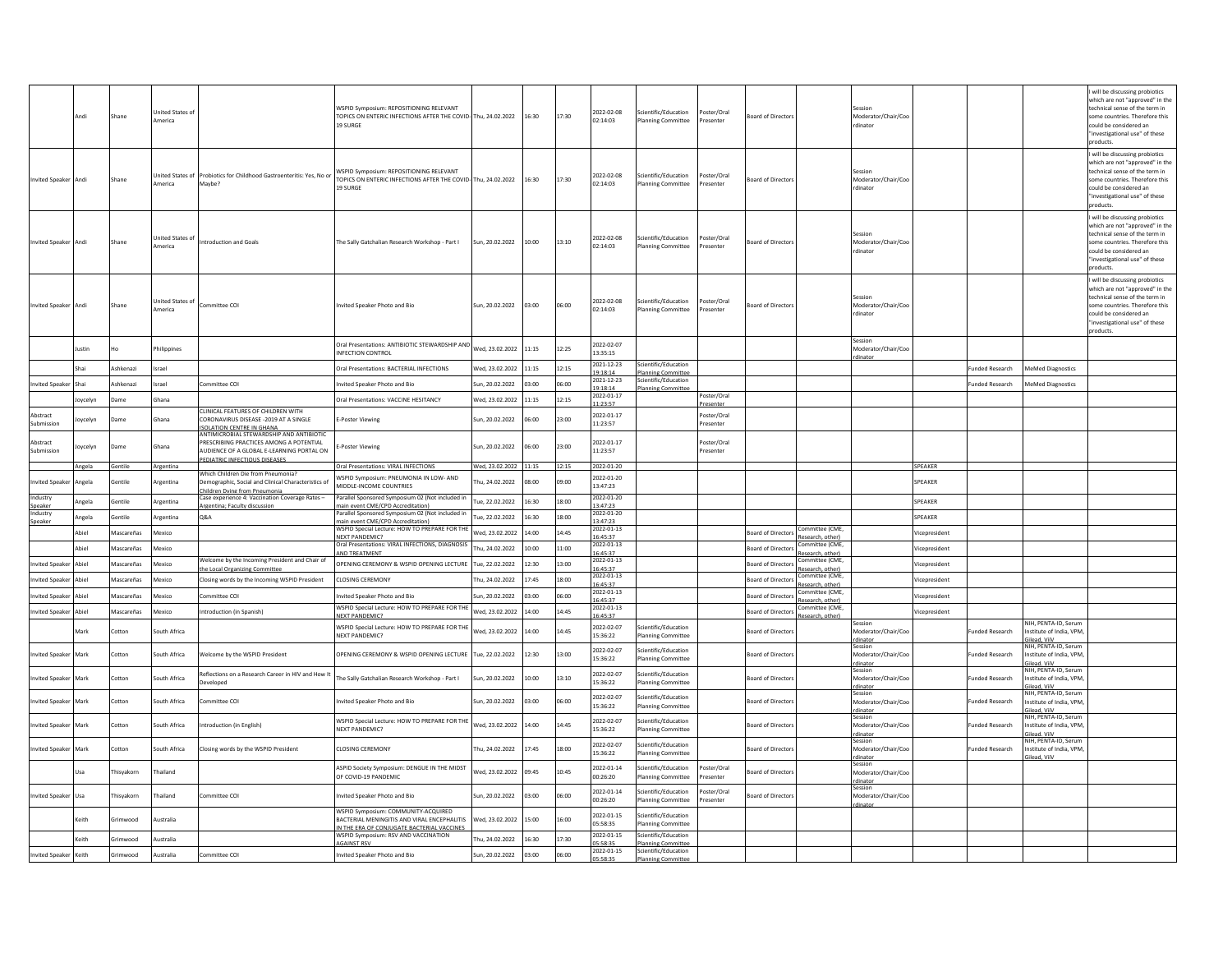|                                   | Andi     | Shane          | <b>Inited States o</b><br>America  |                                                                                                                                                      | WSPID Symposium: REPOSITIONING RELEVANT<br>TOPICS ON ENTERIC INFECTIONS AFTER THE COVID-Thu, 24.02.2022<br>19 SURGE   |                       | 16:30 | 17:30 | 2022-02-08<br>02:14:03               | Scientific/Education<br><b>Planning Committee</b> | 'oster/Oral<br>Presenter | Board of Director         | Moderator/Chair/Coo<br>rdinator                       |               |                       |                                                                                        | will be discussing probiotics<br>which are not "approved" in the<br>technical sense of the term in<br>some countries. Therefore this<br>could be considered an<br>'investigational use" of these<br>products. |
|-----------------------------------|----------|----------------|------------------------------------|------------------------------------------------------------------------------------------------------------------------------------------------------|-----------------------------------------------------------------------------------------------------------------------|-----------------------|-------|-------|--------------------------------------|---------------------------------------------------|--------------------------|---------------------------|-------------------------------------------------------|---------------|-----------------------|----------------------------------------------------------------------------------------|---------------------------------------------------------------------------------------------------------------------------------------------------------------------------------------------------------------|
| <b>Invited Speaker</b>            | Andi     | Shane          | America                            | Inited States of Probiotics for Childhood Gastroenteritis: Yes, No or<br>Maybe?                                                                      | WSPID Symposium: REPOSITIONING RELEVANT<br>TOPICS ON ENTERIC INFECTIONS AFTER THE COVID-Thu, 24.02.2022<br>19 SURGE   |                       | 16:30 | 17:30 | 2022-02-08<br>02:14:03               | Scientific/Education<br><b>Planning Committee</b> | oster/Oral<br>Presenter  | Board of Director:        | Moderator/Chair/Coo<br>rdinator                       |               |                       |                                                                                        | will be discussing probiotics<br>which are not "approved" in the<br>technical sense of the term in<br>ome countries. Therefore this<br>could be considered an<br>'investigational use" of these<br>products.  |
| <b>Invited Speaker</b>            | Andi     | Shane          | <b>Inited States of</b><br>America | <b>Introduction and Goals</b>                                                                                                                        | The Sally Gatchalian Research Workshop - Part I                                                                       | Sun, 20.02.2022       | 10:00 | 13:10 | 2022-02-08<br>02:14:03               | Scientific/Education<br><b>Planning Committee</b> | 'oster/Oral<br>Presenter | loard of Director         | Moderator/Chair/Coo<br>rdinator                       |               |                       |                                                                                        | will be discussing probiotics<br>which are not "approved" in the<br>technical sense of the term in<br>some countries. Therefore this<br>could be considered an<br>'investigational use" of these<br>aroducts. |
| <b>Invited Speaker</b>            | Andi     | Shane          | <b>Jnited States of</b><br>America | Committee COI                                                                                                                                        | nvited Speaker Photo and Bio                                                                                          | Sun, 20.02.2022       | 03:00 | 06:00 | 2022-02-08<br>02:14:03               | Scientific/Education<br><b>Planning Committee</b> | Poster/Oral<br>resenter  | loard of Director:        | Moderator/Chair/Coo<br>dinator                        |               |                       |                                                                                        | will be discussing probiotics<br>which are not "approved" in the<br>technical sense of the term in<br>ome countries. Therefore this<br>could be considered an<br>'investigational use" of these<br>products.  |
|                                   | lustin   |                | Philippines                        |                                                                                                                                                      | Oral Presentations: ANTIBIOTIC STEWARDSHIP AND<br>INFECTION CONTROL                                                   | Ved. 23.02.2022       | 11:15 | 12:25 | 2022-02-07<br>13:35:15               |                                                   |                          |                           | Session<br>Moderator/Chair/Coc<br>dinat               |               |                       |                                                                                        |                                                                                                                                                                                                               |
|                                   | Sha      | Ashkenazi      | Israel                             |                                                                                                                                                      | Oral Presentations: BACTERIAL INFECTIONS                                                                              | Ved, 23.02.2022       | 11:15 | 12:15 | 2021-12-23<br>19:18:14               | Scientific/Education<br><b>Planning Committee</b> |                          |                           |                                                       |               | unded Research        | <b>MeMed Diagnostics</b>                                                               |                                                                                                                                                                                                               |
| nvited Speake                     | Sha      | Ashkenazi      | Israel                             | ommittee COI                                                                                                                                         | nvited Speaker Photo and Bio                                                                                          | un, 20.02.2022        | 33:00 | 06:00 | 2021-12-23<br>19:18:14               | Scientific/Education<br><b>Planning Committee</b> |                          |                           |                                                       |               | unded Research        | <b>MeMed Diagnostics</b>                                                               |                                                                                                                                                                                                               |
|                                   | loycelyn | Dame           | Ghana                              |                                                                                                                                                      | Oral Presentations: VACCINE HESITANCY                                                                                 | Ved, 23.02.2022       | 11:15 | 12:15 | 2022-01-17<br>11:23:57               |                                                   | Poster/Oral<br>Presenter |                           |                                                       |               |                       |                                                                                        |                                                                                                                                                                                                               |
| Abstract<br>Submission            | oycelyn  | Dame           | Ghana                              | CLINICAL FEATURES OF CHILDREN WITH<br>CORONAVIRUS DISEASE -2019 AT A SINGLE<br>ISOLATION CENTRE IN GHANA<br>ANTIMICROBIAL STEWARDSHIP AND ANTIBIOTIC | <b>E-Poster Viewing</b>                                                                                               | un, 20.02.2022        | 06:00 | 23:00 | 2022-01-17<br>11:23:57               |                                                   | Poster/Oral<br>Presenter |                           |                                                       |               |                       |                                                                                        |                                                                                                                                                                                                               |
| Abstract<br>Submission            | loycelyn | Dame           | Ghana                              | PRESCRIBING PRACTICES AMONG A POTENTIAL<br>AUDIENCE OF A GLOBAL E-LEARNING PORTAL ON<br>PEDIATRIC INFECTIOUS DISEASES                                | -Poster Viewing                                                                                                       | un, 20.02.2022        | 06:00 | 23:00 | 2022-01-17<br>11:23:57               |                                                   | Poster/Oral<br>Presenter |                           |                                                       |               |                       |                                                                                        |                                                                                                                                                                                                               |
|                                   | Angela   | Gentile        | Argentina                          | Which Children Die from Pneumonia?                                                                                                                   | Oral Presentations: VIRAL INFECTIONS                                                                                  | Wed, 23.02.2022 11:15 |       | 12:15 | 2022-01-20                           |                                                   |                          |                           |                                                       | SPEAKER       |                       |                                                                                        |                                                                                                                                                                                                               |
| <b>Invited Speake</b><br>Industry | Angela   | Gentile        | Argentina                          | emographic, Social and Clinical Characteristics of<br>Children Dving from Pneumonia<br>Case experience 4: Vaccination Coverage Rates -               | WSPID Symposium: PNEUMONIA IN LOW- AND<br>MIDDLE-INCOME COUNTRIES<br>Parallel Sponsored Symposium 02 (Not included in | hu, 24.02.2022        | 08:00 | 09:00 | 2022-01-20<br>13:47:23<br>2022-01-20 |                                                   |                          |                           |                                                       | SPEAKER       |                       |                                                                                        |                                                                                                                                                                                                               |
| Speaker<br>Industry               | Angela   | <b>Gentile</b> | Argentina                          | Argentina; Faculty discussion                                                                                                                        | main event CME/CPD Accreditation)                                                                                     | ue. 22.02.2022        | 16:30 | 18:00 | 13:47:23<br>2022-01-20               |                                                   |                          |                           |                                                       | SPEAKER       |                       |                                                                                        |                                                                                                                                                                                                               |
| Speaker                           | Angela   | <b>Gentile</b> | Argentina                          | <b>Q&amp;A</b>                                                                                                                                       | Parallel Sponsored Symposium 02 (Not included in<br>main event CME/CPD Accreditation)                                 | ue, 22.02.2022        | 16:30 | 18:00 | 13:47:23                             |                                                   |                          |                           |                                                       | SPEAKER       |                       |                                                                                        |                                                                                                                                                                                                               |
|                                   | Abiel    | Mascareñas     | Mexico                             |                                                                                                                                                      | WSPID Special Lecture: HOW TO PREPARE FOR THE<br><b>NEXT PANDEMIC?</b>                                                | Ned, 23.02.2022       | 14:00 | 14:45 | 2022-01-13<br>16:45:37               |                                                   |                          | <b>Board of Directors</b> | Committee (CME.<br>Research, other)                   | Vicepresident |                       |                                                                                        |                                                                                                                                                                                                               |
|                                   | Abiel    | Mascareñas     | Mexico                             |                                                                                                                                                      | Oral Presentations: VIRAL INFECTIONS, DIAGNOSIS<br>AND TREATMENT                                                      | hu, 24.02.2022        | 10:00 | 11:00 | 2022-01-13<br>6:45:37                |                                                   |                          | <b>Board of Directors</b> | ommittee (CME.<br>Research, other)                    | Vicepresident |                       |                                                                                        |                                                                                                                                                                                                               |
| <b>Invited Speaker</b>            | Abiel    | Mascareñas     | Mexico                             | Welcome by the Incoming President and Chair of<br>the Local Organizing Committee                                                                     | OPENING CEREMONY & WSPID OPENING LECTURE                                                                              | ue, 22.02.2022        | 12:30 | 13:00 | 2022-01-13<br>16:45:37               |                                                   |                          | <b>Board of Directors</b> | ommittee (CME.<br>Research, other)                    | Vicepresident |                       |                                                                                        |                                                                                                                                                                                                               |
| <b>Invited Speake</b>             | Abiel    | Mascareñas     | Mexico                             | Closing words by the Incoming WSPID President                                                                                                        | CLOSING CEREMONY                                                                                                      | hu, 24.02.2022        | 17:45 | 18:00 | 2022-01-13<br>6:45:37                |                                                   |                          | <b>Board of Director:</b> | ommittee (CME<br>Research, other)                     | Vicepresident |                       |                                                                                        |                                                                                                                                                                                                               |
| nvited Speaker                    | Abiel    | Mascareñas     | Mexico                             | Committee COI                                                                                                                                        | nvited Speaker Photo and Bio                                                                                          | un, 20.02.2022        | 03:00 | 06:00 | 2022-01-13<br>6:45:37                |                                                   |                          | <b>Board of Directors</b> | ommittee (CME,<br>Research, other)                    | Vicepresident |                       |                                                                                        |                                                                                                                                                                                                               |
| <b>Invited Speake</b>             | Abiel    | Mascareñas     | Mexico                             | ntroduction (in Spanish)                                                                                                                             | WSPID Special Lecture: HOW TO PREPARE FOR THE<br><b>NEXT PANDEMIC?</b>                                                | Ved. 23.02.2022       | 14:00 | 14:45 | 2022-01-13<br>16:45:37               |                                                   |                          | <b>Board of Directors</b> | ommittee (CME<br>Research, other)                     | Vicepresident |                       |                                                                                        |                                                                                                                                                                                                               |
|                                   | Mark     | Cotton         | South Africa                       |                                                                                                                                                      | WSPID Special Lecture: HOW TO PREPARE FOR THE<br><b>NEXT PANDEMIC?</b>                                                | Ved, 23.02.2022       | 14:00 | 14:45 | 2022-02-07<br>15:36:22               | Scientific/Education<br><b>Planning Committee</b> |                          | <b>Board of Director</b>  | Session<br>Moderator/Chair/Coo<br>dinato              |               | unded Research        | NIH. PENTA-ID. Serum<br>nstitute of India, VPM<br>ilead, ViiV                          |                                                                                                                                                                                                               |
| <b>Invited Speake</b>             | Mark     | Cotton         | South Africa                       | <b>Nelcome by the WSPID President</b>                                                                                                                | OPENING CEREMONY & WSPID OPENING LECTURE                                                                              | ue, 22.02.2022        | 12:30 | 13:00 | 2022-02-07<br>15:36:22               | Scientific/Education<br>Planning Committee        |                          | <b>Board of Director</b>  | Session<br>Moderator/Chair/Coo                        |               | unded Research        | NIH, PENTA-ID, Serum<br>istitute of India, VPM<br>Gilead, ViiV<br>NIH, PENTA-ID, Serum |                                                                                                                                                                                                               |
| nvited Speake                     | Mark     | Cotton         | South Africa                       | Reflections on a Research Career in HIV and How It<br>Developed                                                                                      | The Sally Gatchalian Research Workshop - Part I                                                                       | un, 20.02.2022        | 10:00 | 13:10 | 2022-02-07<br>15:36:22               | Scientific/Education<br><b>Planning Committee</b> |                          | <b>Board of Director</b>  | Session<br>Moderator/Chair/Coo<br>rdinato             |               | unded Research        | nstitute of India, VPM,<br>lead. ViiV                                                  |                                                                                                                                                                                                               |
| nvited Speaker                    | Mark     | Cotton         | South Africa                       | Committee COI                                                                                                                                        | nvited Speaker Photo and Bio                                                                                          | un, 20.02.2022        | 03:00 | 06:00 | 2022-02-07<br>15:36:22               | Scientific/Education<br><b>Planning Committee</b> |                          | <b>Board of Director</b>  | Session<br>Moderator/Chair/Coo<br>rdinator            |               | unded Research        | NIH. PENTA-ID. Serum<br>nstitute of India, VPM,<br>ilead, ViiV                         |                                                                                                                                                                                                               |
| nvited Speake                     | Mark     | Cotton         | South Africa                       | <b>ntroduction</b> (in English)                                                                                                                      | WSPID Special Lecture: HOW TO PREPARE FOR THE<br><b>NEXT PANDEMIC?</b>                                                | Ved. 23.02.2022       | 14:00 | 14:45 | 2022-02-07<br>15:36:22               | Scientific/Education<br>Planning Committee        |                          | <b>Board of Director</b>  | Session<br>Moderator/Chair/Coo                        |               | <b>unded Research</b> | NIH, PENTA-ID, Serum<br>nstitute of India, VPM<br>lead. ViiV                           |                                                                                                                                                                                                               |
| <b>Invited Speake</b>             | Mark     | Cotton         | South Africa                       | Closing words by the WSPID President                                                                                                                 | <b>CLOSING CEREMONY</b>                                                                                               | hu, 24.02.2022        | 17:45 | 18:00 | 2022-02-07<br>15:36:22               | Scientific/Education<br><b>Planning Committee</b> |                          | <b>Board of Director</b>  | Session<br>Moderator/Chair/Coo<br>rdinator            |               | unded Research        | NIH, PENTA-ID, Serum<br>nstitute of India, VPM,<br>ilead. ViiV                         |                                                                                                                                                                                                               |
|                                   | Usa      | Thisyakorn     | Thailand                           |                                                                                                                                                      | ASPID Society Symposium: DENGUE IN THE MIDST<br>OF COVID-19 PANDEMIC                                                  | Ved, 23.02.2022       | 09:45 | 10:45 | 2022-01-14<br>00:26:20               | Scientific/Education<br><b>Planning Committee</b> | Poster/Oral<br>Presenter | Board of Director         | Session<br>Moderator/Chair/Coc<br>rdinator<br>Session |               |                       |                                                                                        |                                                                                                                                                                                                               |
| <b>Invited Speake</b>             | Usa      | hisyakorn      | Thailand                           | Committee COI                                                                                                                                        | nvited Speaker Photo and Bio<br>WSPID Symposium: COMMUNITY-ACQUIRED                                                   | un, 20.02.2022        | 03:00 | 06:00 | 2022-01-14<br>00:26:20               | Scientific/Education<br><b>Planning Committee</b> | 'oster/Oral<br>Presenter | loard of Director         | Moderator/Chair/Coc<br>dinato                         |               |                       |                                                                                        |                                                                                                                                                                                                               |
|                                   | Keith    | Srimwood       | Australia                          |                                                                                                                                                      | BACTERIAL MENINGITIS AND VIRAL ENCEPHALITIS                                                                           | Wed, 23.02.2022       | 15:00 | 16:00 | 2022-01-15<br>05:58:35               | Scientific/Education<br><b>Planning Committee</b> |                          |                           |                                                       |               |                       |                                                                                        |                                                                                                                                                                                                               |
|                                   | Keith    | srimwood       | ustralia                           |                                                                                                                                                      | IN THE ERA OF CONJUGATE BACTERIAL VACCINES<br>WSPID Symposium: RSV AND VACCINATION                                    | hu. 24.02.2022        | 16:30 | 17:30 | 2022-01-15                           | Scientific/Education                              |                          |                           |                                                       |               |                       |                                                                                        |                                                                                                                                                                                                               |
| <b>Invited Speaker</b>            | Keith    | Grimwood       | Australia                          | Committee COI                                                                                                                                        | <b>AGAINST RSV</b><br>nvited Speaker Photo and Bio                                                                    | un, 20.02.2022        | 03:00 | 06:00 | 05:58:35<br>2022-01-15               | <b>Planning Committee</b><br>Scientific/Education |                          |                           |                                                       |               |                       |                                                                                        |                                                                                                                                                                                                               |
|                                   |          |                |                                    |                                                                                                                                                      |                                                                                                                       |                       |       |       | 05:58:35                             | <b>Planning Committee</b>                         |                          |                           |                                                       |               |                       |                                                                                        |                                                                                                                                                                                                               |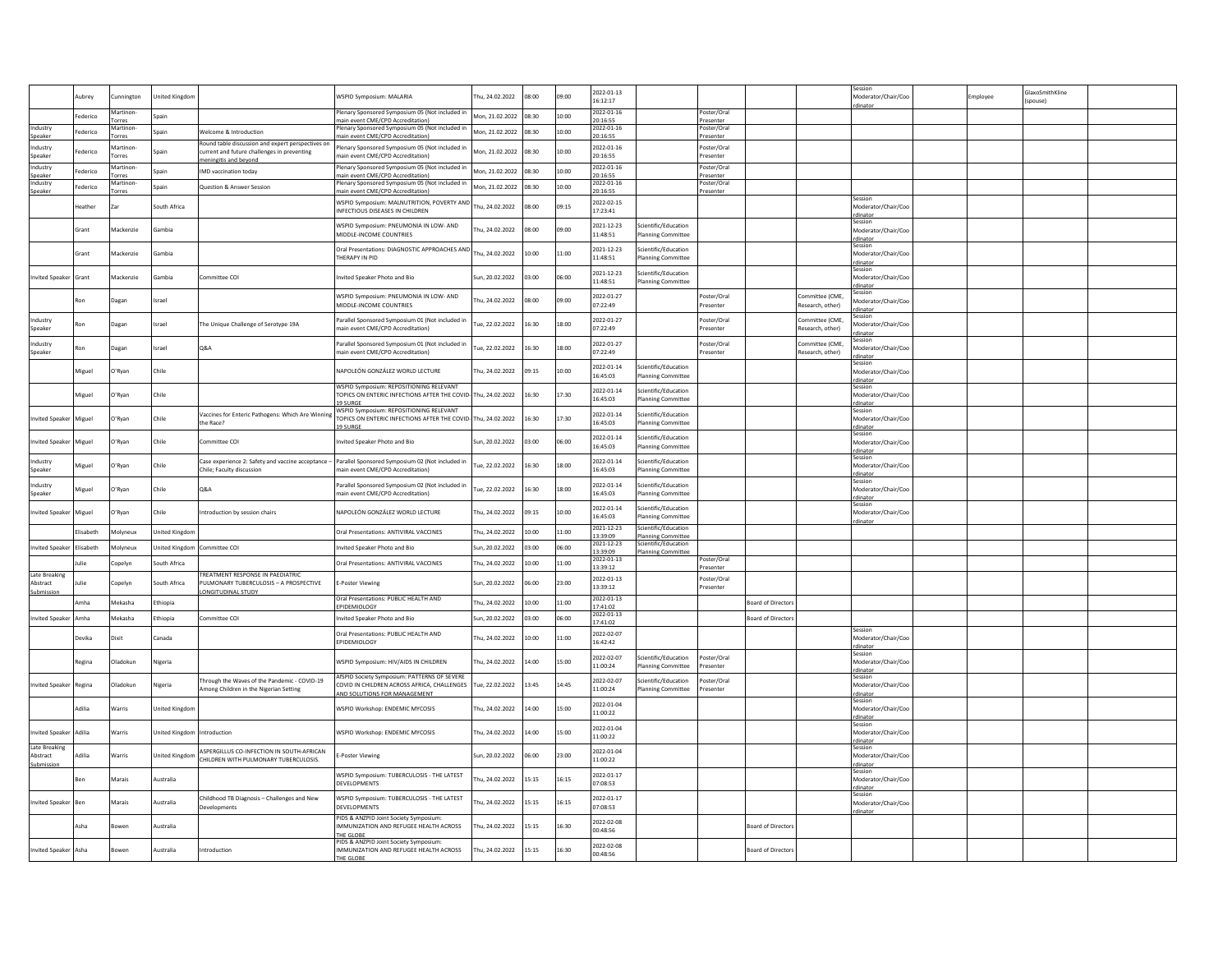|                            |               |                     |                             |                                                                                                  |                                                                                                                             |                 | 08:00 | 09:00 | 2022-01-13                         |                                                   |                                      |                           |                                     |                                            |         | ilaxoSmithKline |  |
|----------------------------|---------------|---------------------|-----------------------------|--------------------------------------------------------------------------------------------------|-----------------------------------------------------------------------------------------------------------------------------|-----------------|-------|-------|------------------------------------|---------------------------------------------------|--------------------------------------|---------------------------|-------------------------------------|--------------------------------------------|---------|-----------------|--|
|                            | <b>ubrey</b>  | nnington            | Inited Kingdon              |                                                                                                  | <b>NSPID Symposium: MALARIA</b>                                                                                             | hu, 24.02.2022  |       |       | 16:12:17                           |                                                   |                                      |                           |                                     | Moderator/Chair/Coo                        | mployee | spouse)         |  |
|                            | Federico      | Martinor<br>Torres  | Snain                       |                                                                                                  | lenary Sponsored Symposium 05 (Not included in<br>main event CME/CPD Accreditation)                                         | Mon. 21.02.2022 | 08:30 | 10:00 | 2022-01-16<br>0:16:55              |                                                   | Poster/Oral<br>Presenter             |                           |                                     |                                            |         |                 |  |
| Industry<br>Speake         | ederico       | Martinon-<br>Torres | Spain                       | Welcome & Introduction                                                                           | Plenary Sponsored Symposium 05 (Not included in<br>nain event CME/CPD Accreditation)                                        | Mon, 21.02.2022 | 08:30 | 10:00 | 2022-01-16<br>0:16:55              |                                                   | Poster/Oral<br>Presenter             |                           |                                     |                                            |         |                 |  |
| ndustry                    | ederico       | Martinon            |                             | Round table discussion and expert perspectives on<br>current and future challenges in preventing | Plenary Sponsored Symposium 05 (Not included in                                                                             | Aon, 21.02.2022 | 08:30 | 10:00 | 2022-01-16                         |                                                   | Poster/Oral                          |                           |                                     |                                            |         |                 |  |
| Speaker                    |               | Torres              |                             | eitis and bevor                                                                                  | main event CME/CPD Accreditation)                                                                                           |                 |       |       | 20:16:55                           |                                                   | Presenter                            |                           |                                     |                                            |         |                 |  |
| Industry<br>Speaker        | Federico      | Martinon<br>Torres  | ipain                       | IMD vaccination today                                                                            | Plenary Sponsored Symposium 05 (Not included in<br>main event CME/CPD Accreditation)                                        | Mon. 21.02.2022 | 08:30 | 10:00 | 2022-01-16<br>0:16:55              |                                                   | Poster/Oral<br>Presenter             |                           |                                     |                                            |         |                 |  |
| ndustry<br>Speaker         | Federico      | Martinon-<br>Torres | Spain                       | Question & Answer Session                                                                        | Plenary Sponsored Symposium 05 (Not included in<br>main event CME/CPD Accreditation)                                        | Mon. 21.02.2022 | 08:30 | 10:00 | 2022-01-16<br>0:16:55              |                                                   | Poster/Oral<br>Presenter             |                           |                                     |                                            |         |                 |  |
|                            | eather        | Zar                 | outh Africa                 |                                                                                                  | WSPID Symposium: MALNUTRITION, POVERTY AND<br>INFECTIOUS DISEASES IN CHILDREN                                               | hu, 24.02.2022  | 00:80 | 09:15 | 2022-02-15<br>17:23:41             |                                                   |                                      |                           |                                     | Session<br>Moderator/Chair/Cor             |         |                 |  |
|                            | Grant         | Mackenzie           | <b>Sambia</b>               |                                                                                                  | WSPID Symposium: PNEUMONIA IN LOW- AND<br>MIDDLE-INCOME COUNTRIES                                                           | hu, 24.02.2022  | 08:00 | 09:00 | 2021-12-23<br>11:48:51             | cientific/Education<br><b>Planning Committee</b>  |                                      |                           |                                     | Session<br>Moderator/Chair/Coo<br>rdinator |         |                 |  |
|                            | irant         | Aackenzie           | ambia                       |                                                                                                  | Oral Presentations: DIAGNOSTIC APPROACHES AND<br>THERAPY IN PID                                                             | hu, 24.02.2022  | 0:00  | 11:00 | 2021-12-23<br>11:48:51             | cientific/Education<br>lanning Committee          |                                      |                           |                                     | Session<br>Moderator/Chair/Coo<br>rdinator |         |                 |  |
| nvited Speaker Grant       |               | Mackenzie           | iambia                      | Committee COI                                                                                    | nvited Speaker Photo and Bio                                                                                                | un, 20.02.2022  | 03:00 | 06:00 | 2021-12-23<br>11:48:51             | cientific/Education<br><b>Planning Committee</b>  |                                      |                           |                                     | Session<br>Moderator/Chair/Coo             |         |                 |  |
|                            |               | Dagan               | rael                        |                                                                                                  | WSPID Symposium: PNEUMONIA IN LOW- AND<br>MIDDLE-INCOME COUNTRIES                                                           | hu, 24.02.2022  | 08:00 | 09:00 | 2022-01-27<br>07:22:49             |                                                   | Poster/Oral<br>Presenter             |                           | ommittee (CME,<br>Research, other)  | linato<br>iession<br>loderator/Chair/Coo   |         |                 |  |
| <b>Industry</b><br>Sneaker |               | Dagan               | Israel                      | The Unique Challenge of Serotype 19A                                                             | Parallel Sponsored Symposium 01 (Not included ir<br>main event CME/CPD Accreditation)                                       | ue, 22.02.2022  | 16:30 | 18:00 | 2022-01-27<br>07:22:49             |                                                   | Poster/Oral<br>Presenter             |                           | Committee (CME<br>Research, other)  | dinator<br>Moderator/Chair/Coo             |         |                 |  |
| ndustry<br>Sneaker         |               | Dagan               | rael                        | Q&A                                                                                              | Parallel Sponsored Symposium 01 (Not included in<br>main event CME/CPD Accreditation)                                       | ue, 22.02.2022  | 16:30 | 18:00 | 2022-01-27<br>07:22:49             |                                                   | Poster/Oral<br>Presenter             |                           | Committee (CME.<br>Research, other) | linator<br>Moderator/Chair/Coo             |         |                 |  |
|                            | Miguel        | O'Ryan              | Chile                       |                                                                                                  | NAPOLEÓN GONZÁLEZ WORLD LECTURE                                                                                             | hu, 24.02.2022  | 09:15 | 10:00 | 2022-01-14<br>16:45:03             | Scientific/Education<br><b>Planning Committee</b> |                                      |                           |                                     | linato<br>Moderator/Chair/Coo<br>rdinator  |         |                 |  |
|                            | Aiguel        | O'Ryan              | Chile                       |                                                                                                  | WSPID Symposium: REPOSITIONING RELEVANT<br>TOPICS ON ENTERIC INFECTIONS AFTER THE COVID<br><b>19 SURGE</b>                  | hu, 24.02.2022  | 16:30 | 17:30 | 2022-01-14<br>16:45:03             | cientific/Education<br>lanning Committee          |                                      |                           |                                     | session<br>Moderator/Chair/Coo<br>rdinator |         |                 |  |
| nvited Speake              | Miguel        | O'Ryan              | Chile                       | Vaccines for Enteric Pathogens: Which Are Winning<br>the Race?                                   | WSPID Symposium: REPOSITIONING RELEVANT<br>TOPICS ON ENTERIC INFECTIONS AFTER THE COVID-<br>19 SURGE                        | hu, 24.02.2022  | 16:30 | 17:30 | 2022-01-14<br>16:45:03             | cientific/Education<br><b>Planning Committee</b>  |                                      |                           |                                     | Moderator/Chair/Coo<br>rdinator            |         |                 |  |
| wited Speak                | Miguel        | O'Ryan              | Chile                       | mmittee COI                                                                                      | nvited Speaker Photo and Bio                                                                                                | un, 20.02.2022  | 00:50 | 06:00 | 2022-01-14<br>16:45:03             | cientific/Education<br>anning Committee           |                                      |                           |                                     | Session<br>Moderator/Chair/Coo<br>rdinator |         |                 |  |
| ndustry<br>Speaker         | Aiguel        | D'Ryan              | Chile                       | Case experience 2: Safety and vaccine acceptance -<br>Chile; Faculty discussion                  | Parallel Sponsored Symposium 02 (Not included in<br>main event CME/CPD Accreditation)                                       | ue, 22.02.2022  | 16:30 | 18:00 | 2022-01-14<br>16:45:03             | cientific/Education<br><b>Planning Committee</b>  |                                      |                           |                                     | session<br>Moderator/Chair/Coo<br>rdinator |         |                 |  |
| ndustry<br>ineaker         | <b>Aiguel</b> | O'Ryan              | Chile                       | <b>Q&amp;A</b>                                                                                   | Parallel Sponsored Symposium 02 (Not included ir<br>main event CME/CPD Accreditation)                                       | ue, 22.02.2022  | 16:30 | 18:00 | 2022-01-14<br>16:45:03             | cientific/Education<br>lanning Committee          |                                      |                           |                                     | Session<br>Moderator/Chair/Coo<br>dinator  |         |                 |  |
| wited Speake               | Miguel        | O'Ryan              | Chile                       | ntroduction by session chairs                                                                    | NAPOLEÓN GONZÁLEZ WORLD LECTURE                                                                                             | hu, 24.02.2022  | 09:15 | 10:00 | 2022-01-14<br>16:45:03             | cientific/Education<br><b>Planning Committee</b>  |                                      |                           |                                     | Moderator/Chair/Coo<br>dinator             |         |                 |  |
|                            | Flisaheth     | Molyneux            | <b>United Kingdom</b>       |                                                                                                  | Oral Presentations: ANTIVIRAL VACCINES                                                                                      | hu, 24.02.2022  | 10:00 | 11:00 | 2021-12-23<br>13:39:09             | Scientific/Education<br><b>Planning Committee</b> |                                      |                           |                                     |                                            |         |                 |  |
| nvited Speaker             | Flisaheth     | Molyneux            |                             | United Kingdom Committee COI                                                                     | Invited Speaker Photo and Bio                                                                                               | un, 20.02.2022  | 03:00 | 06:00 | 2021-12-23<br>3:39:09              | Scientific/Education<br><b>Planning Committ</b>   |                                      |                           |                                     |                                            |         |                 |  |
|                            | lulie         | Copelyn             | South Africa                |                                                                                                  | Oral Presentations: ANTIVIRAL VACCINES                                                                                      | hu, 24.02.2022  | 10:00 | 11:00 | 2022-01-13                         |                                                   | Poster/Oral                          |                           |                                     |                                            |         |                 |  |
| Late Breakin<br>Abstract   |               | Copelyn             | outh Africa                 | <b><i>FREATMENT RESPONSE IN PAEDIATRIC</i></b><br>ULMONARY TUBERCULOSIS - A PROSPECTIVE          | -Poster Viewing                                                                                                             | un, 20.02.2022  | 00:00 | 23:00 | 13:39:12<br>2022-01-13<br>13:39:12 |                                                   | Presenter<br>Poster/Oral<br>resenter |                           |                                     |                                            |         |                 |  |
| Submission                 | Amha          | Mekasha             | Ethiopia                    | ONGITUDINAL STUDY                                                                                | Oral Presentations: PUBLIC HEALTH AND                                                                                       | hu, 24.02.2022  | 10:00 | 11:00 | 2022-01-13                         |                                                   |                                      | <b>Board of Director</b>  |                                     |                                            |         |                 |  |
|                            |               |                     |                             |                                                                                                  | EPIDEMIOLOGY                                                                                                                |                 |       |       | 17:41:02<br>022-01-13              |                                                   |                                      |                           |                                     |                                            |         |                 |  |
| wited Speaker              | Amha          | Mekasha             | thiopia                     | Committee COI                                                                                    | wited Speaker Photo and Bio                                                                                                 | un, 20.02.2022  | 33:00 | 06:00 | 17:41:02                           |                                                   |                                      | <b>Board of Director</b>  |                                     |                                            |         |                 |  |
|                            | Devika        | Dixit               | anada                       |                                                                                                  | Oral Presentations: PUBLIC HEALTH AND<br>EPIDEMIOLOGY                                                                       | hu, 24.02.2022  | 10:00 | 11:00 | 2022-02-07<br>16:42:42             |                                                   |                                      |                           |                                     | Moderator/Chair/Coc<br>rdinator            |         |                 |  |
|                            | Regina        | Dladokun            | Nigeria                     |                                                                                                  | WSPID Symposium: HIV/AIDS IN CHILDREN                                                                                       | hu. 24.02.2022  | 14:00 | 15:00 | 2022-02-07<br>1:00:24              | cientific/Education<br>nning Committee            | Poster/Oral<br>resenter              |                           |                                     | Session<br>Moderator/Chair/Coo<br>dinato   |         |                 |  |
| nvited Speaker             | Regina        | Dladokun            | ligeria                     | Through the Waves of the Pandemic - COVID-19<br>Among Children in the Nigerian Setting           | AfSPID Society Symposium: PATTERNS OF SEVERE<br>COVID IN CHILDREN ACROSS AFRICA, CHALLENGES<br>IND SOLUTIONS FOR MANAGEMENT | Tue, 22.02.2022 | 13:45 | 14:45 | 2022-02-07<br>11:00:24             | cientific/Education<br><b>Planning Committee</b>  | Poster/Oral<br>Presenter             |                           |                                     | Session<br>Moderator/Chair/Coo<br>dinator  |         |                 |  |
|                            | Adilia        | Warris              | United Kingdon              |                                                                                                  | WSPID Workshop: ENDEMIC MYCOSIS                                                                                             | hu. 24.02.2022  | 14:00 | 15:00 | 2022-01-04<br>11:00:22             |                                                   |                                      |                           |                                     | Session<br>Moderator/Chair/Coo<br>rdinator |         |                 |  |
| nvited Speaker             | Adilia        | Warris              | United Kingdom Introduction |                                                                                                  | WSPID Workshop: ENDEMIC MYCOSIS                                                                                             | hu, 24.02.2022  | 14:00 | 15:00 | 2022-01-04<br>11:00:22             |                                                   |                                      |                           |                                     | Session<br>Moderator/Chair/Coo<br>dinator  |         |                 |  |
| Late Breaking<br>Abstract  | <b>dilia</b>  | Warris              | <b>Inited Kingdom</b>       | ASPERGILLUS CO-INFECTION IN SOUTH-AFRICAN<br>CHILDREN WITH PULMONARY TUBERCULOSIS.               | -Poster Viewing                                                                                                             | un. 20.02.2022  | 06:00 | 23:00 | 2022-01-04<br>1:00:22              |                                                   |                                      |                           |                                     | Session<br>Moderator/Chair/Coo<br>linatr   |         |                 |  |
|                            |               | Marais              | ustralia                    |                                                                                                  | WSPID Symposium: TUBERCULOSIS - THE LATEST<br>DEVELOPMENTS                                                                  | hu, 24.02.2022  | 15:15 | 16:15 | 2022-01-17<br>07:08:53             |                                                   |                                      |                           |                                     | Session<br>Moderator/Chair/Coo<br>rdinator |         |                 |  |
| wited Speaker              | Ben           | Marais              | <b>Nustralia</b>            | Childhood TB Diagnosis - Challenges and New<br>Developments                                      | WSPID Symposium: TUBERCULOSIS - THE LATEST<br>DEVELOPMENTS                                                                  | hu. 24.02.2022  | 15:15 | 16:15 | 2022-01-17<br>07:08:53             |                                                   |                                      |                           |                                     | Session<br>Moderator/Chair/Coo<br>dinator  |         |                 |  |
|                            | Asha          | Bowen               | <b>Nustralia</b>            |                                                                                                  | PIDS & ANZPID Joint Society Symposium<br>IMMUNIZATION AND REFUGEE HEALTH ACROSS<br>THE GLORE                                | Thu, 24.02.2022 | 15:15 | 16:30 | 2022-02-08<br>00:48:56             |                                                   |                                      | Board of Director:        |                                     |                                            |         |                 |  |
| nvited Speaker             | Asha          | Rowen               | ustralia                    | ntroduction                                                                                      | PIDS & ANZPID Joint Society Symposium:<br>IMMUNIZATION AND REFUGEE HEALTH ACROSS<br>THE GLOBE                               | hu. 24.02.2022  | 15:15 | 16:30 | 2022-02-08<br>00:48:56             |                                                   |                                      | <b>Board of Director:</b> |                                     |                                            |         |                 |  |